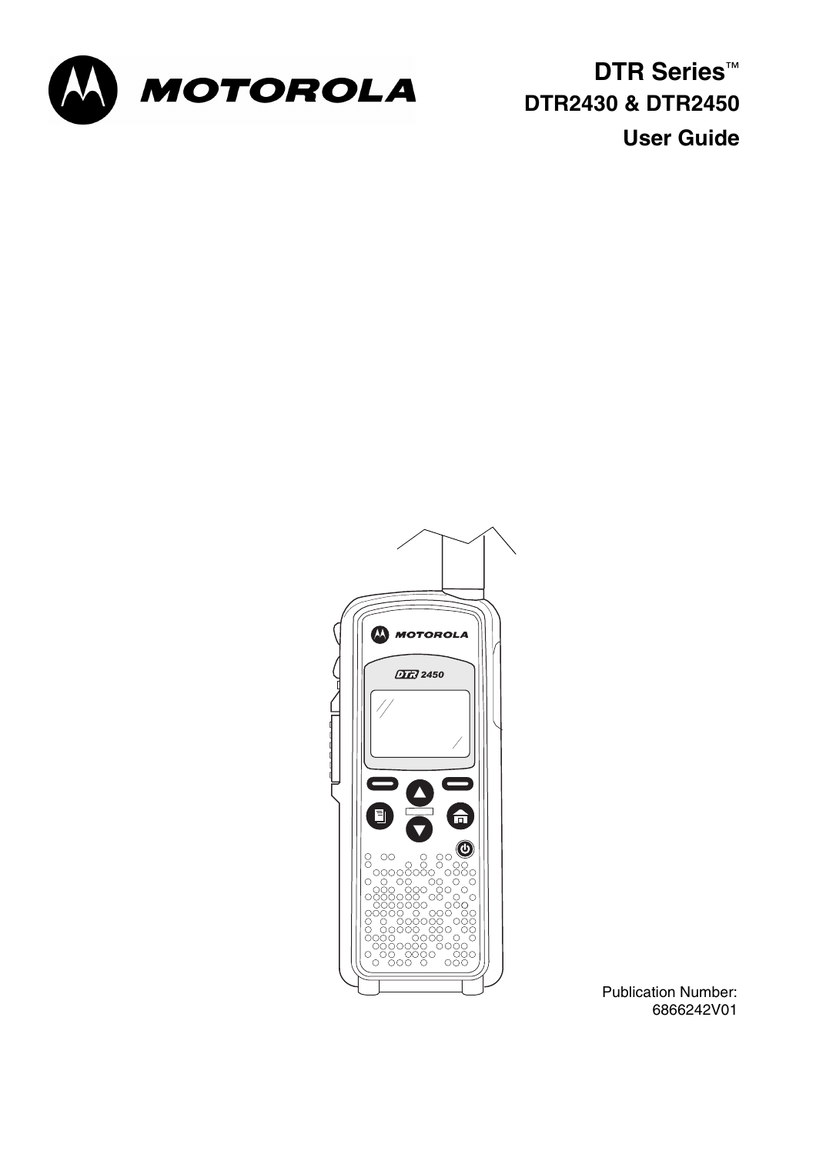

**DTR Series™ DTR2430 & DTR2450 User Guide**



Publication Number: 6866242V01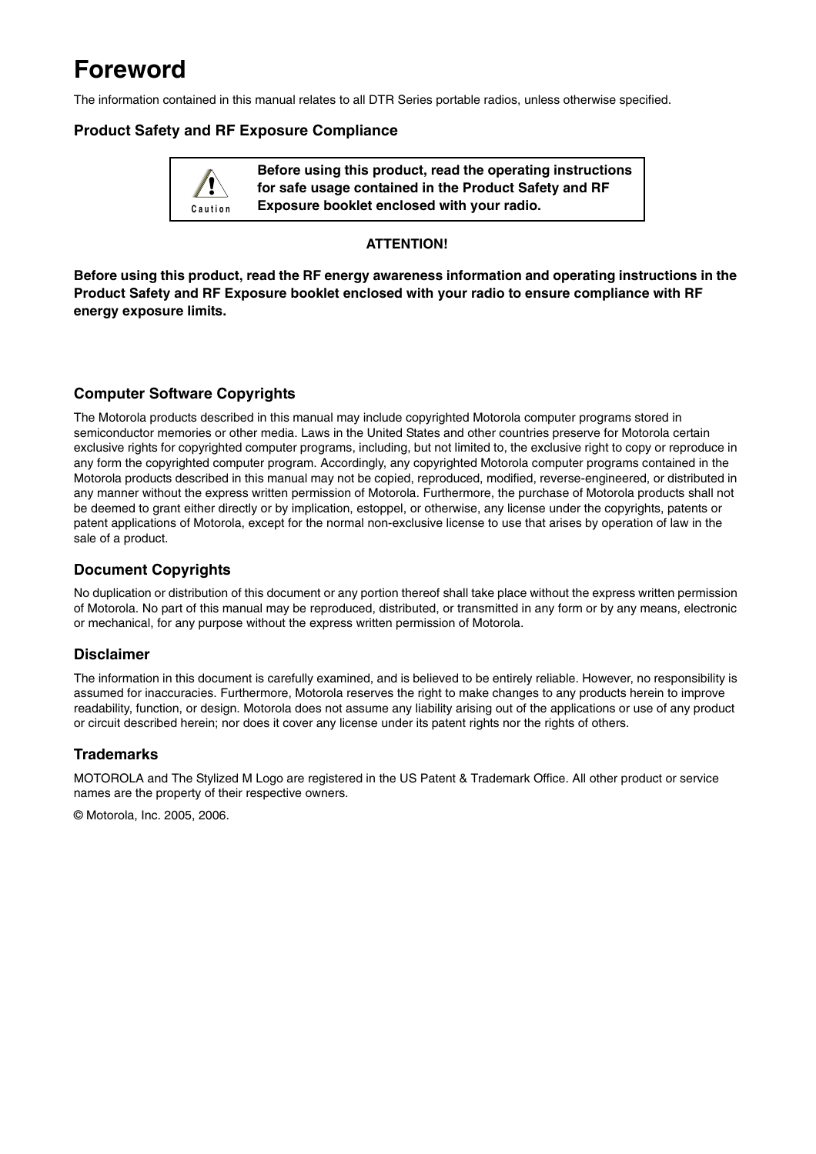## **Foreword**

The information contained in this manual relates to all DTR Series portable radios, unless otherwise specified.

#### **Product Safety and RF Exposure Compliance**

**Before using this product, read the operating instructions for safe usage contained in the Product Safety and RF Exposure booklet enclosed with your radio. ! C a u t i o n**

#### **ATTENTION!**

**Before using this product, read the RF energy awareness information and operating instructions in the Product Safety and RF Exposure booklet enclosed with your radio to ensure compliance with RF energy exposure limits.**

#### **Computer Software Copyrights**

The Motorola products described in this manual may include copyrighted Motorola computer programs stored in semiconductor memories or other media. Laws in the United States and other countries preserve for Motorola certain exclusive rights for copyrighted computer programs, including, but not limited to, the exclusive right to copy or reproduce in any form the copyrighted computer program. Accordingly, any copyrighted Motorola computer programs contained in the Motorola products described in this manual may not be copied, reproduced, modified, reverse-engineered, or distributed in any manner without the express written permission of Motorola. Furthermore, the purchase of Motorola products shall not be deemed to grant either directly or by implication, estoppel, or otherwise, any license under the copyrights, patents or patent applications of Motorola, except for the normal non-exclusive license to use that arises by operation of law in the sale of a product.

#### **Document Copyrights**

No duplication or distribution of this document or any portion thereof shall take place without the express written permission of Motorola. No part of this manual may be reproduced, distributed, or transmitted in any form or by any means, electronic or mechanical, for any purpose without the express written permission of Motorola.

#### **Disclaimer**

The information in this document is carefully examined, and is believed to be entirely reliable. However, no responsibility is assumed for inaccuracies. Furthermore, Motorola reserves the right to make changes to any products herein to improve readability, function, or design. Motorola does not assume any liability arising out of the applications or use of any product or circuit described herein; nor does it cover any license under its patent rights nor the rights of others.

#### **Trademarks**

MOTOROLA and The Stylized M Logo are registered in the US Patent & Trademark Office. All other product or service names are the property of their respective owners.

© Motorola, Inc. 2005, 2006.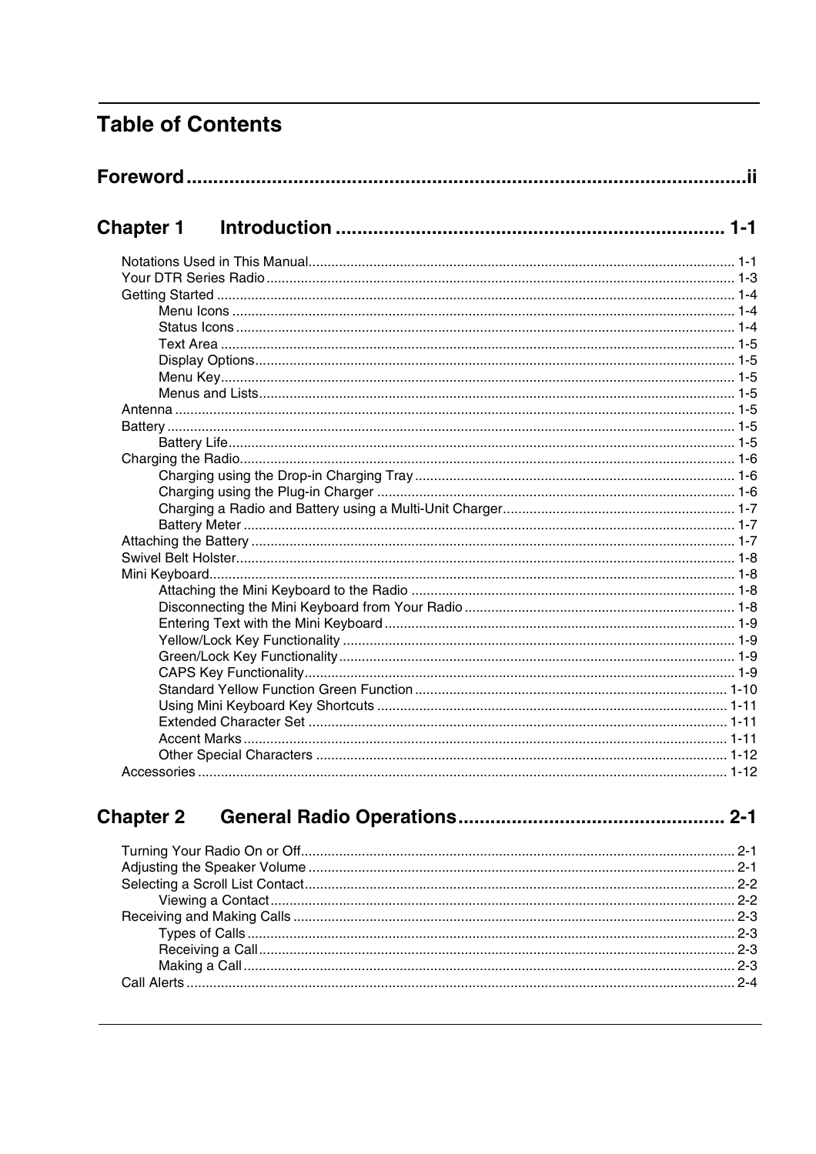## **Table of Contents**

| <b>Chapter 1</b> |  |
|------------------|--|
|                  |  |
|                  |  |
|                  |  |
|                  |  |
|                  |  |
|                  |  |
|                  |  |
|                  |  |
|                  |  |
|                  |  |
|                  |  |
|                  |  |
|                  |  |
|                  |  |
|                  |  |
|                  |  |
|                  |  |
|                  |  |
|                  |  |
|                  |  |
|                  |  |
|                  |  |
|                  |  |
|                  |  |
|                  |  |
|                  |  |
|                  |  |
|                  |  |
|                  |  |
|                  |  |
|                  |  |
|                  |  |

#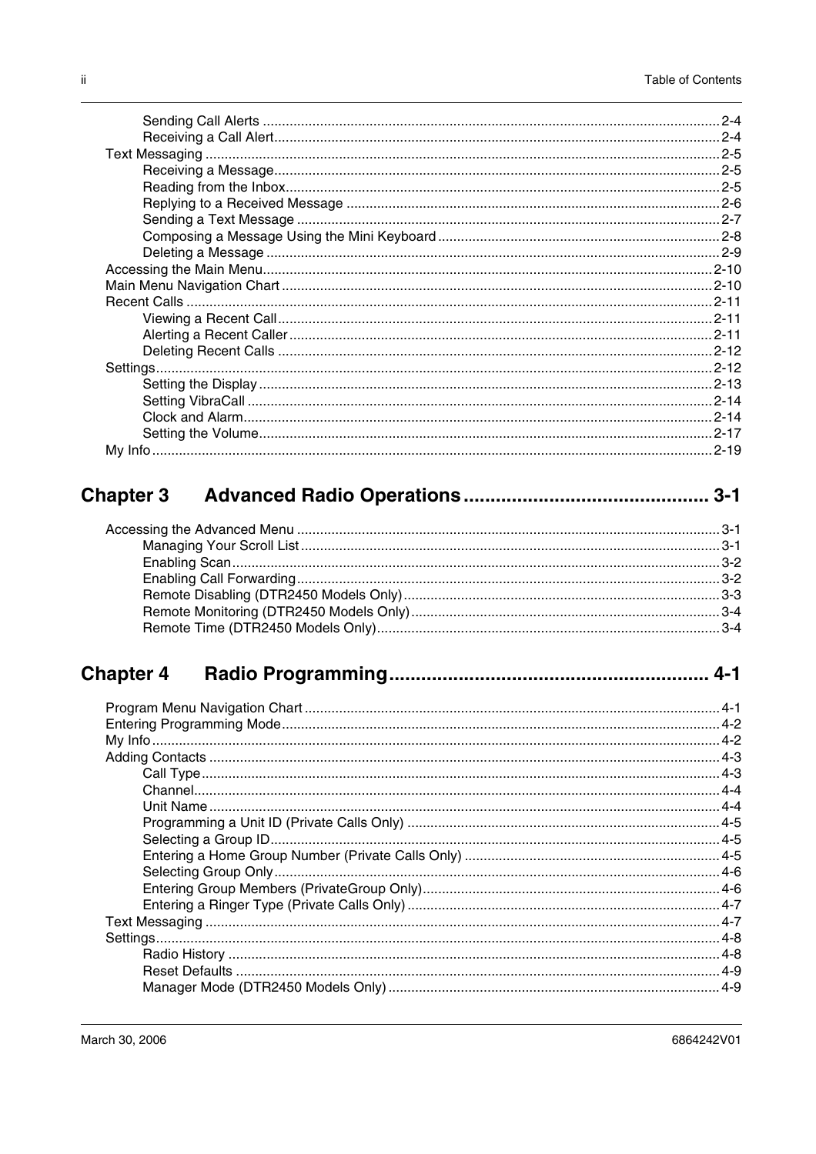## 

##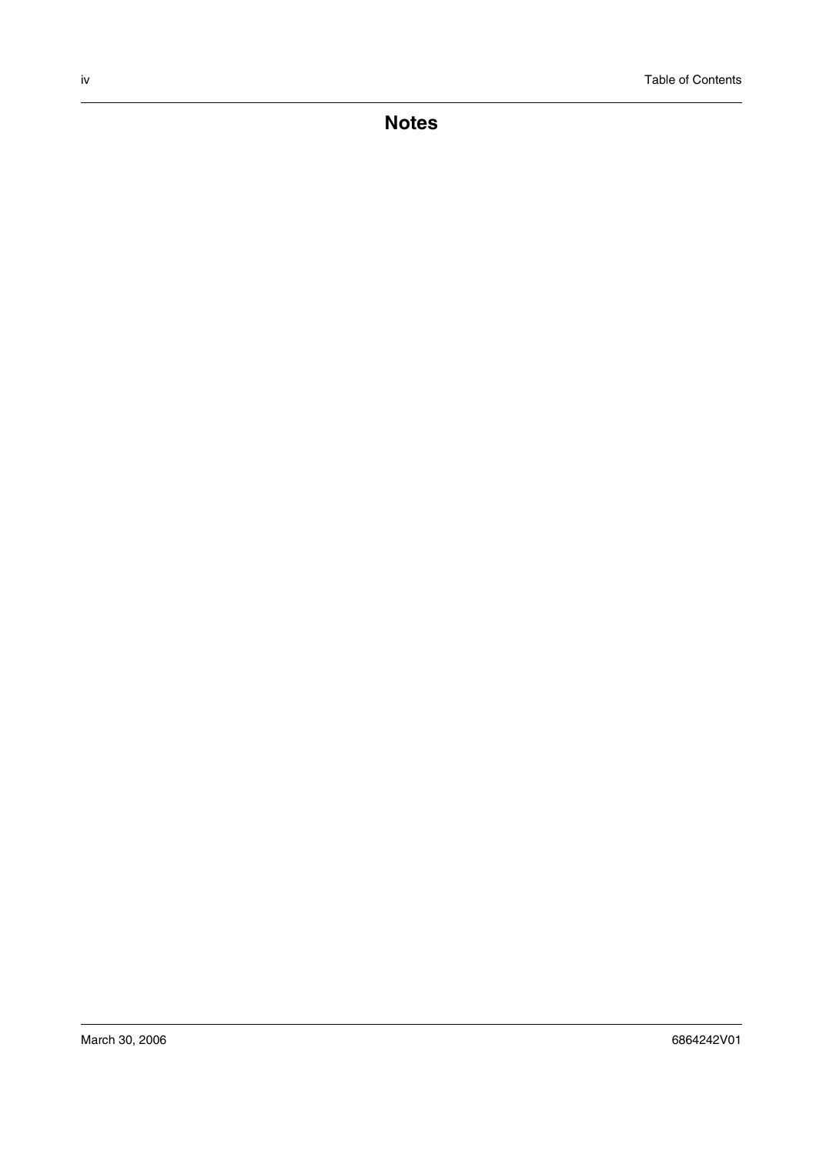**Notes**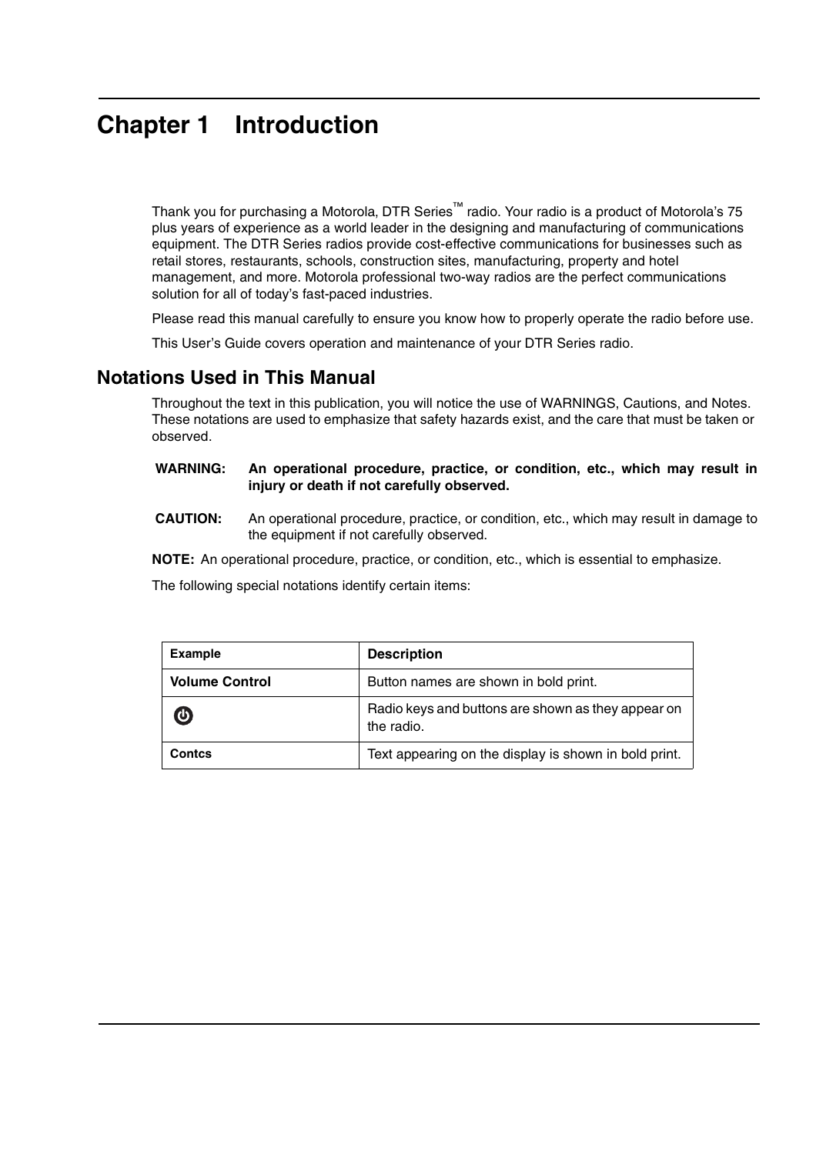## **Chapter 1 Introduction**

Thank you for purchasing a Motorola, DTR Series™ radio. Your radio is a product of Motorola's 75 plus years of experience as a world leader in the designing and manufacturing of communications equipment. The DTR Series radios provide cost-effective communications for businesses such as retail stores, restaurants, schools, construction sites, manufacturing, property and hotel management, and more. Motorola professional two-way radios are the perfect communications solution for all of today's fast-paced industries.

Please read this manual carefully to ensure you know how to properly operate the radio before use.

This User's Guide covers operation and maintenance of your DTR Series radio.

### **Notations Used in This Manual**

Throughout the text in this publication, you will notice the use of WARNINGS, Cautions, and Notes. These notations are used to emphasize that safety hazards exist, and the care that must be taken or observed.

#### **WARNING: An operational procedure, practice, or condition, etc., which may result in injury or death if not carefully observed.**

**CAUTION:** An operational procedure, practice, or condition, etc., which may result in damage to the equipment if not carefully observed.

**NOTE:** An operational procedure, practice, or condition, etc., which is essential to emphasize.

The following special notations identify certain items:

| <b>Example</b>        | <b>Description</b>                                               |  |
|-----------------------|------------------------------------------------------------------|--|
| <b>Volume Control</b> | Button names are shown in bold print.                            |  |
| $\bigcirc$            | Radio keys and buttons are shown as they appear on<br>the radio. |  |
| Contcs                | Text appearing on the display is shown in bold print.            |  |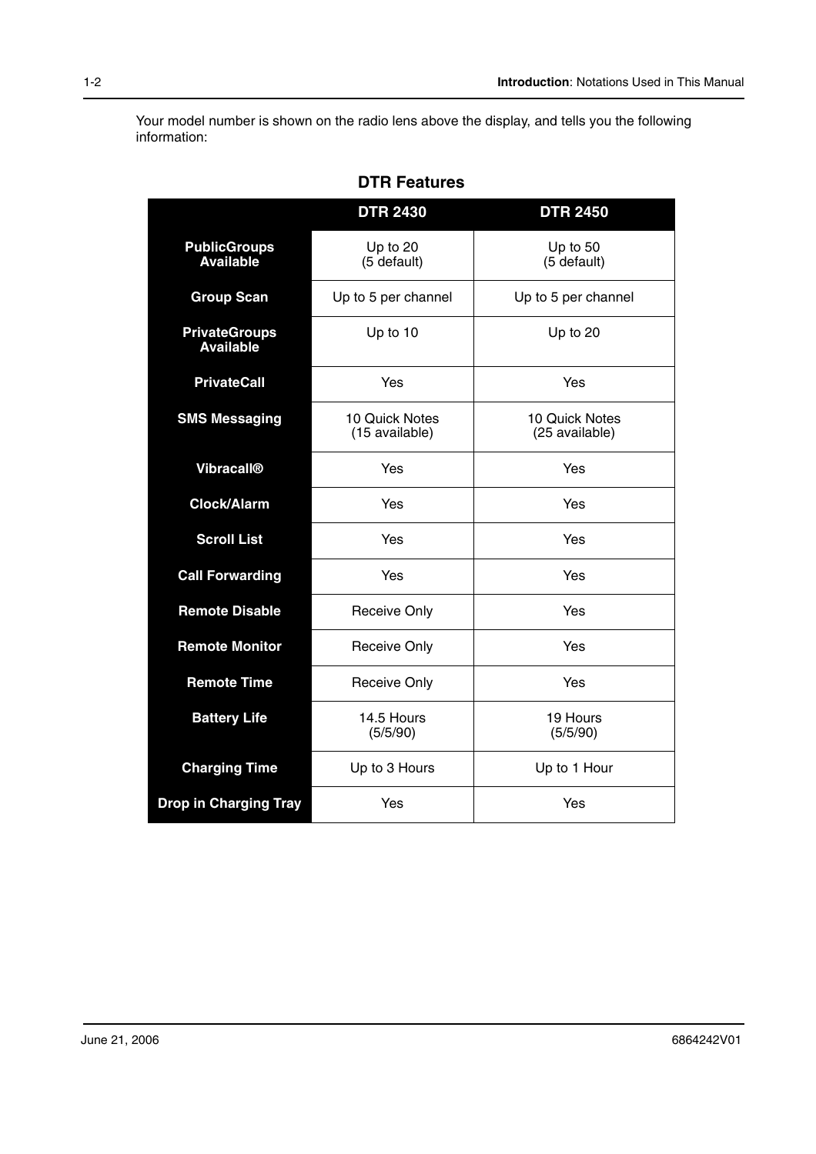Your model number is shown on the radio lens above the display, and tells you the following information:

|                                                          | <b>DTR 2430</b>         | <b>DTR 2450</b>                  |  |
|----------------------------------------------------------|-------------------------|----------------------------------|--|
| <b>PublicGroups</b><br><b>Available</b>                  | Up to 20<br>(5 default) | Up to 50<br>(5 default)          |  |
| <b>Group Scan</b>                                        | Up to 5 per channel     | Up to 5 per channel              |  |
| <b>PrivateGroups</b><br><b>Available</b>                 | Up to 10                | Up to 20                         |  |
| <b>PrivateCall</b>                                       | Yes                     | Yes                              |  |
| <b>SMS Messaging</b><br>10 Quick Notes<br>(15 available) |                         | 10 Quick Notes<br>(25 available) |  |
| <b>Vibracall®</b>                                        | Yes                     | Yes                              |  |
| <b>Clock/Alarm</b>                                       | Yes                     | Yes                              |  |
| <b>Scroll List</b>                                       | Yes                     | Yes                              |  |
| <b>Call Forwarding</b>                                   | Yes                     | Yes                              |  |
| <b>Remote Disable</b>                                    | <b>Receive Only</b>     | Yes                              |  |
| <b>Remote Monitor</b>                                    | <b>Receive Only</b>     | Yes                              |  |
| <b>Remote Time</b>                                       | <b>Receive Only</b>     | Yes                              |  |
| <b>Battery Life</b><br>14.5 Hours<br>(5/5/90)            |                         | 19 Hours<br>(5/5/90)             |  |
| <b>Charging Time</b>                                     | Up to 3 Hours           | Up to 1 Hour                     |  |
| <b>Drop in Charging Tray</b>                             | Yes                     | Yes                              |  |

**DTR Features**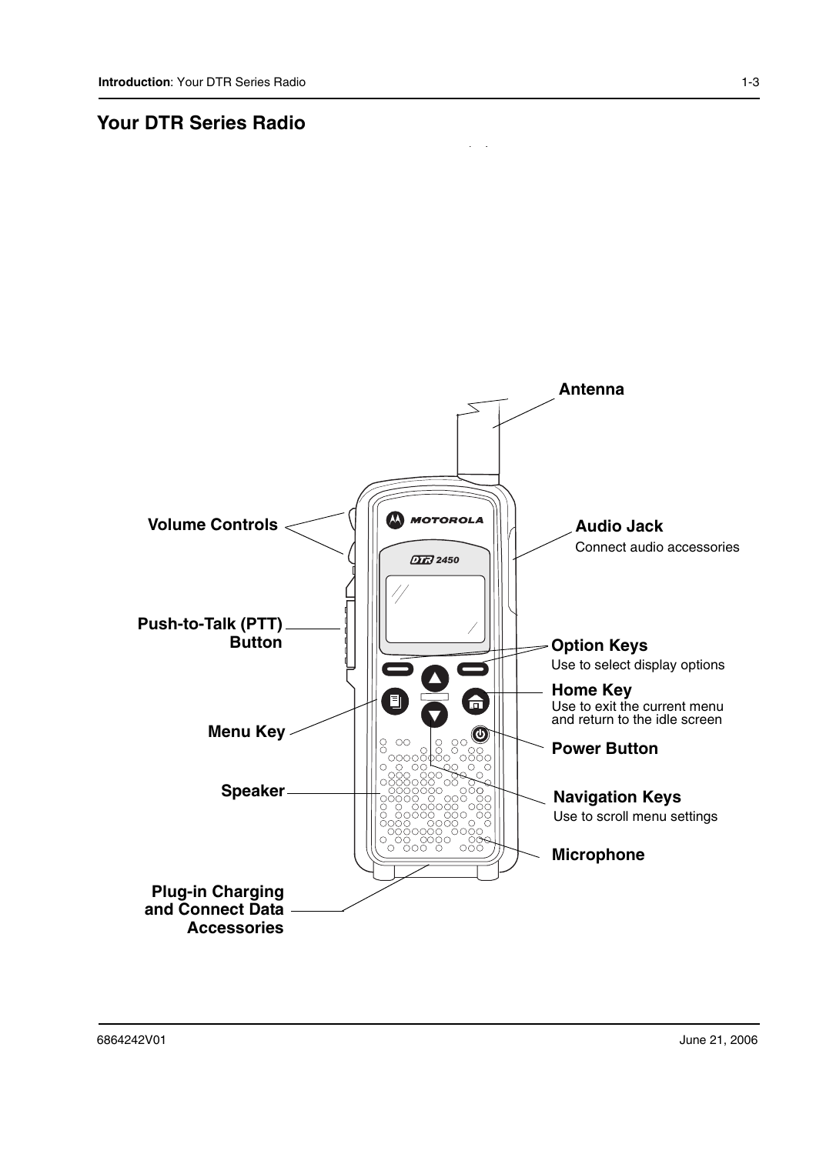### **Your DTR Series Radio**

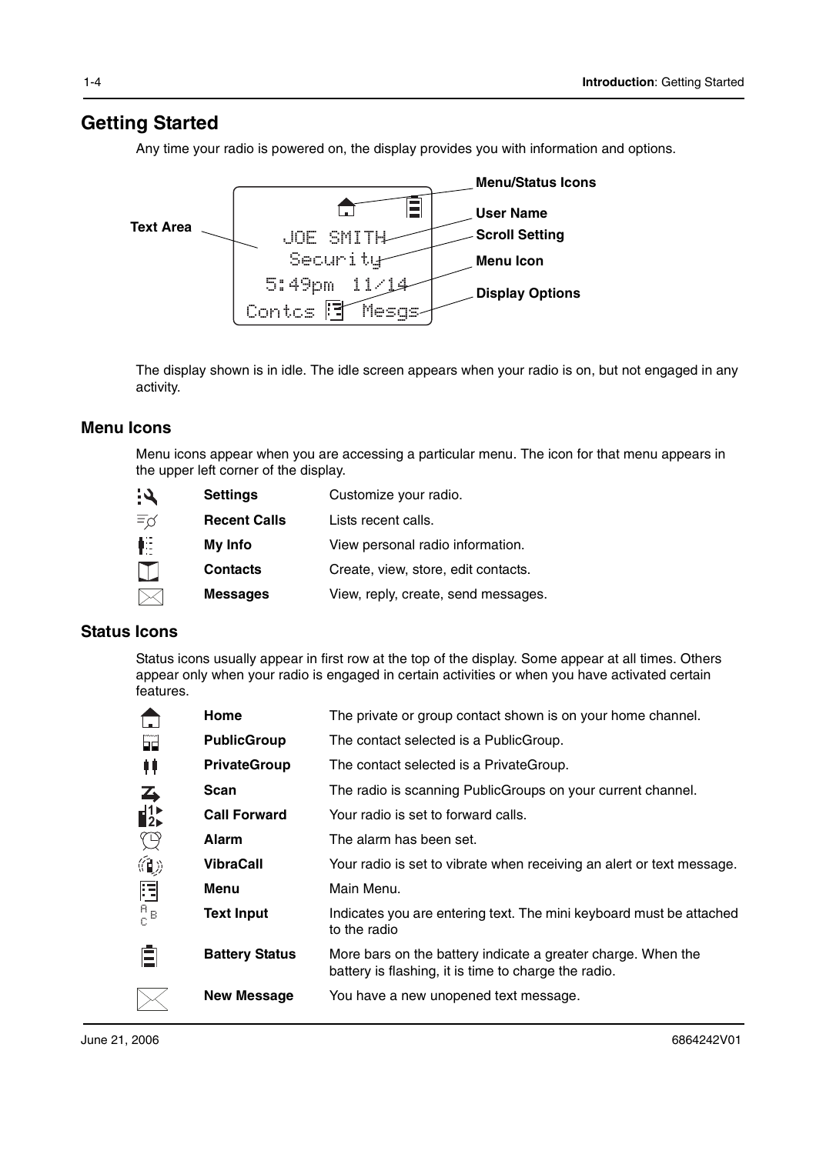### **Getting Started**

Any time your radio is powered on, the display provides you with information and options.



The display shown is in idle. The idle screen appears when your radio is on, but not engaged in any activity.

#### **Menu Icons**

Menu icons appear when you are accessing a particular menu. The icon for that menu appears in the upper left corner of the display.

| <b>Settings</b>     | Customize your radio.               |
|---------------------|-------------------------------------|
| <b>Recent Calls</b> | Lists recent calls.                 |
| My Info             | View personal radio information.    |
| <b>Contacts</b>     | Create, view, store, edit contacts. |
| <b>Messages</b>     | View, reply, create, send messages. |
|                     |                                     |

#### **Status Icons**

Status icons usually appear in first row at the top of the display. Some appear at all times. Others appear only when your radio is engaged in certain activities or when you have activated certain features.

|                  | Home                  | The private or group contact shown is on your home channel.                                                          |  |  |
|------------------|-----------------------|----------------------------------------------------------------------------------------------------------------------|--|--|
| FĨ               | <b>PublicGroup</b>    | The contact selected is a PublicGroup.                                                                               |  |  |
| 11               | <b>PrivateGroup</b>   | The contact selected is a PrivateGroup.                                                                              |  |  |
| $\rightarrow$    | Scan                  | The radio is scanning PublicGroups on your current channel.                                                          |  |  |
| $\mathbf{I}^{1}$ | <b>Call Forward</b>   | Your radio is set to forward calls.                                                                                  |  |  |
| $\mathbb{Q}$     | <b>Alarm</b>          | The alarm has been set.                                                                                              |  |  |
| 伯》               | <b>VibraCall</b>      | Your radio is set to vibrate when receiving an alert or text message.                                                |  |  |
| 胆                | Menu                  | Main Menu.                                                                                                           |  |  |
| $\frac{A}{C}B$   | <b>Text Input</b>     | Indicates you are entering text. The mini keyboard must be attached<br>to the radio                                  |  |  |
|                  | <b>Battery Status</b> | More bars on the battery indicate a greater charge. When the<br>battery is flashing, it is time to charge the radio. |  |  |
|                  | <b>New Message</b>    | You have a new unopened text message.                                                                                |  |  |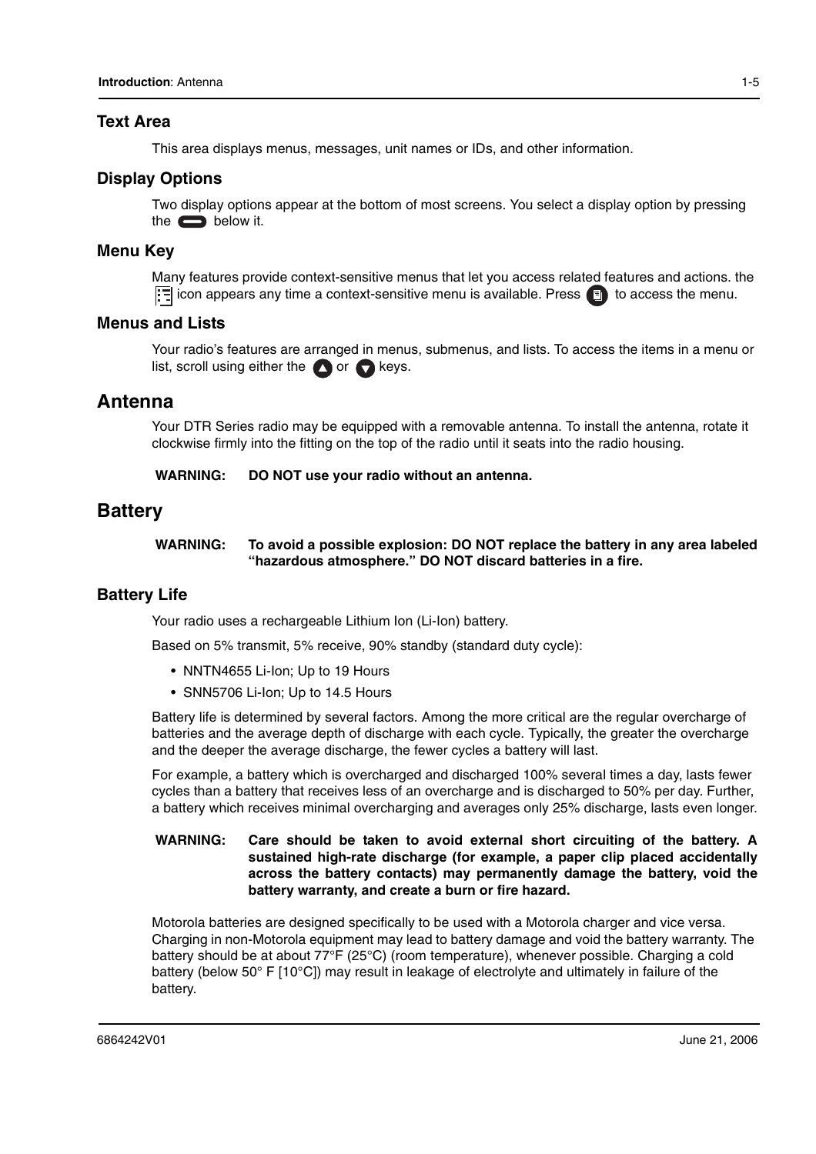#### **Text Area**

This area displays menus, messages, unit names or IDs, and other information.

#### **Display Options**

Two display options appear at the bottom of most screens. You select a display option by pressing the  $\qquad \qquad$  below it.

#### **Menu Key**

Many features provide context-sensitive menus that let you access related features and actions. the  $\boxed{\cdot}$  icon appears any time a context-sensitive menu is available. Press  $\boxed{\cdot}$  to access the menu.

#### **Menus and Lists**

Your radio's features are arranged in menus, submenus, and lists. To access the items in a menu or list, scroll using either the  $\bigcirc$  or  $\bigcirc$  keys.

#### **Antenna**

Your DTR Series radio may be equipped with a removable antenna. To install the antenna, rotate it clockwise firmly into the fitting on the top of the radio until it seats into the radio housing.

**WARNING: DO NOT use your radio without an antenna.**

#### **Battery**

#### **WARNING: To avoid a possible explosion: DO NOT replace the battery in any area labeled "hazardous atmosphere." DO NOT discard batteries in a fire.**

#### **Battery Life**

Your radio uses a rechargeable Lithium Ion (Li-Ion) battery.

Based on 5% transmit, 5% receive, 90% standby (standard duty cycle):

- NNTN4655 Li-Ion; Up to 19 Hours
- SNN5706 Li-Ion; Up to 14.5 Hours

Battery life is determined by several factors. Among the more critical are the regular overcharge of batteries and the average depth of discharge with each cycle. Typically, the greater the overcharge and the deeper the average discharge, the fewer cycles a battery will last.

For example, a battery which is overcharged and discharged 100% several times a day, lasts fewer cycles than a battery that receives less of an overcharge and is discharged to 50% per day. Further, a battery which receives minimal overcharging and averages only 25% discharge, lasts even longer.

#### **WARNING: Care should be taken to avoid external short circuiting of the battery. A sustained high-rate discharge (for example, a paper clip placed accidentally across the battery contacts) may permanently damage the battery, void the battery warranty, and create a burn or fire hazard.**

Motorola batteries are designed specifically to be used with a Motorola charger and vice versa. Charging in non-Motorola equipment may lead to battery damage and void the battery warranty. The battery should be at about 77°F (25°C) (room temperature), whenever possible. Charging a cold battery (below 50° F [10°C]) may result in leakage of electrolyte and ultimately in failure of the battery.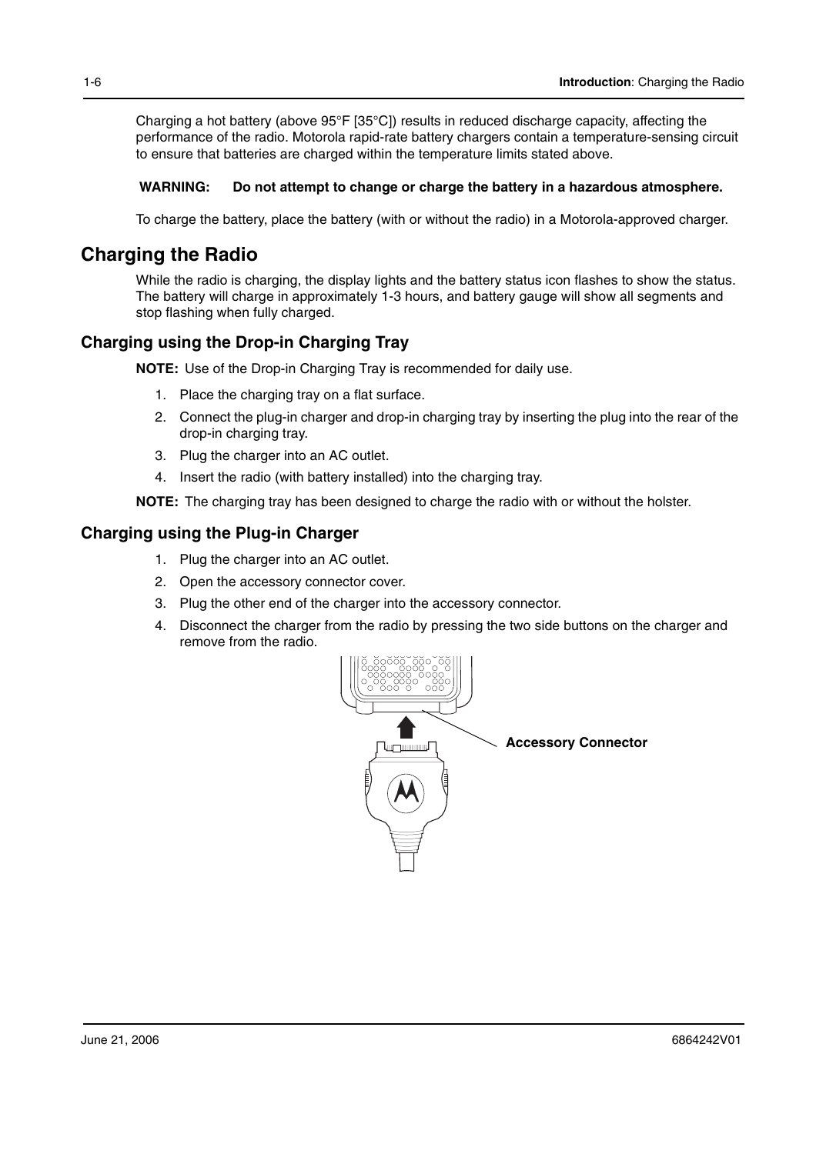Charging a hot battery (above 95°F [35°C]) results in reduced discharge capacity, affecting the performance of the radio. Motorola rapid-rate battery chargers contain a temperature-sensing circuit to ensure that batteries are charged within the temperature limits stated above.

#### **WARNING: Do not attempt to change or charge the battery in a hazardous atmosphere.**

To charge the battery, place the battery (with or without the radio) in a Motorola-approved charger.

### **Charging the Radio**

While the radio is charging, the display lights and the battery status icon flashes to show the status. The battery will charge in approximately 1-3 hours, and battery gauge will show all segments and stop flashing when fully charged.

### **Charging using the Drop-in Charging Tray**

**NOTE:** Use of the Drop-in Charging Tray is recommended for daily use.

- 1. Place the charging tray on a flat surface.
- 2. Connect the plug-in charger and drop-in charging tray by inserting the plug into the rear of the drop-in charging tray.
- 3. Plug the charger into an AC outlet.
- 4. Insert the radio (with battery installed) into the charging tray.

**NOTE:** The charging tray has been designed to charge the radio with or without the holster.

#### **Charging using the Plug-in Charger**

- 1. Plug the charger into an AC outlet.
- 2. Open the accessory connector cover.
- 3. Plug the other end of the charger into the accessory connector.
- 4. Disconnect the charger from the radio by pressing the two side buttons on the charger and remove from the radio.

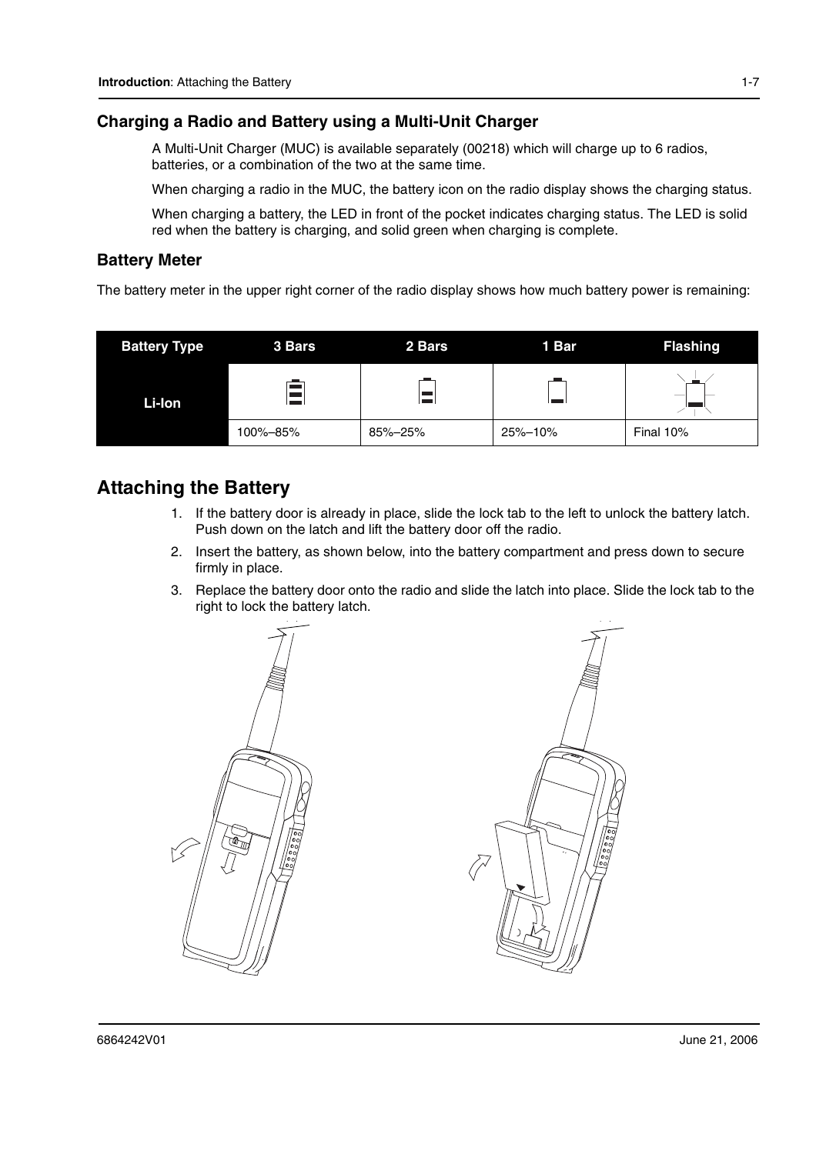#### **Charging a Radio and Battery using a Multi-Unit Charger**

A Multi-Unit Charger (MUC) is available separately (00218) which will charge up to 6 radios, batteries, or a combination of the two at the same time.

When charging a radio in the MUC, the battery icon on the radio display shows the charging status.

When charging a battery, the LED in front of the pocket indicates charging status. The LED is solid red when the battery is charging, and solid green when charging is complete.

#### **Battery Meter**

The battery meter in the upper right corner of the radio display shows how much battery power is remaining:

| <b>Battery Type</b> | 3 Bars   | 2 Bars  | 1 Bar   | <b>Flashing</b>          |
|---------------------|----------|---------|---------|--------------------------|
| Li-Ion              |          |         |         | $\overline{\phantom{a}}$ |
|                     | 100%-85% | 85%-25% | 25%-10% | Final 10%                |

### **Attaching the Battery**

- 1. If the battery door is already in place, slide the lock tab to the left to unlock the battery latch. Push down on the latch and lift the battery door off the radio.
- 2. Insert the battery, as shown below, into the battery compartment and press down to secure firmly in place.
- 3. Replace the battery door onto the radio and slide the latch into place. Slide the lock tab to the right to lock the battery latch.

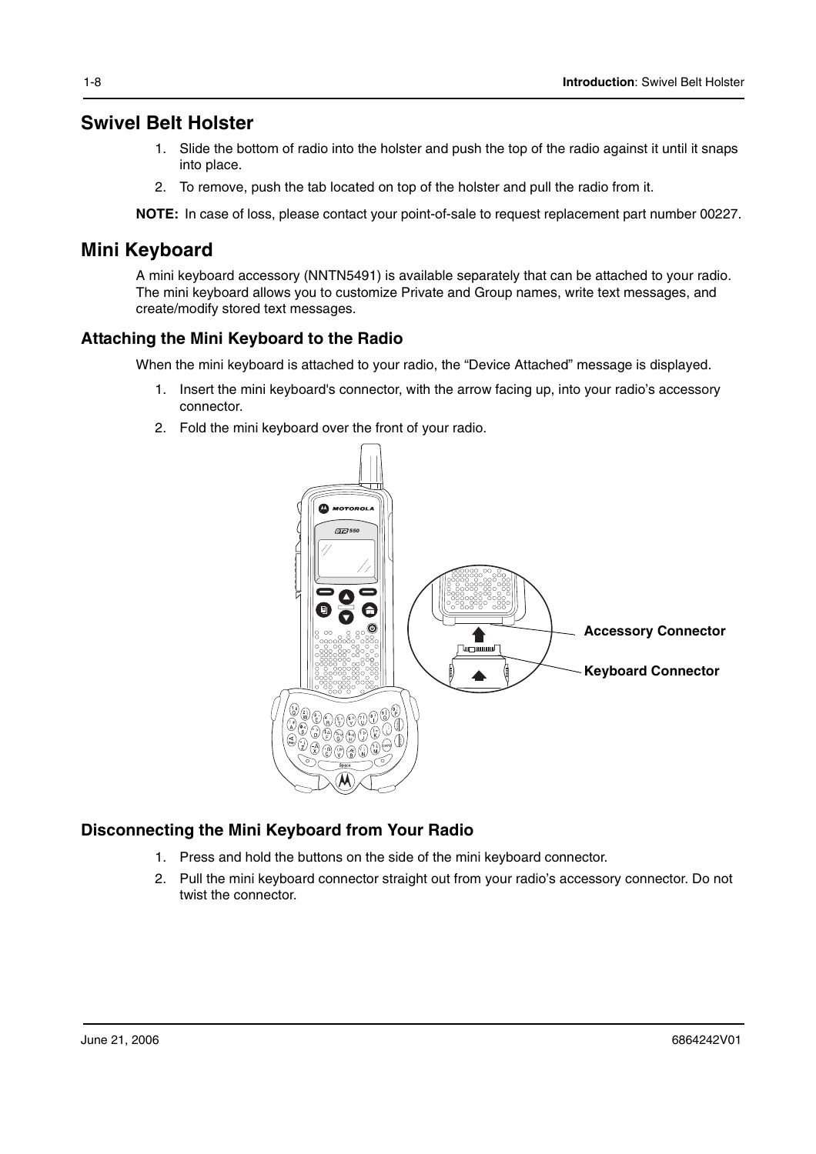### **Swivel Belt Holster**

- 1. Slide the bottom of radio into the holster and push the top of the radio against it until it snaps into place.
- 2. To remove, push the tab located on top of the holster and pull the radio from it.

**NOTE:** In case of loss, please contact your point-of-sale to request replacement part number 00227.

### **Mini Keyboard**

A mini keyboard accessory (NNTN5491) is available separately that can be attached to your radio. The mini keyboard allows you to customize Private and Group names, write text messages, and create/modify stored text messages.

#### **Attaching the Mini Keyboard to the Radio**

When the mini keyboard is attached to your radio, the "Device Attached" message is displayed.

- 1. Insert the mini keyboard's connector, with the arrow facing up, into your radio's accessory connector.
- 2. Fold the mini keyboard over the front of your radio.



#### **Disconnecting the Mini Keyboard from Your Radio**

- 1. Press and hold the buttons on the side of the mini keyboard connector.
- 2. Pull the mini keyboard connector straight out from your radio's accessory connector. Do not twist the connector.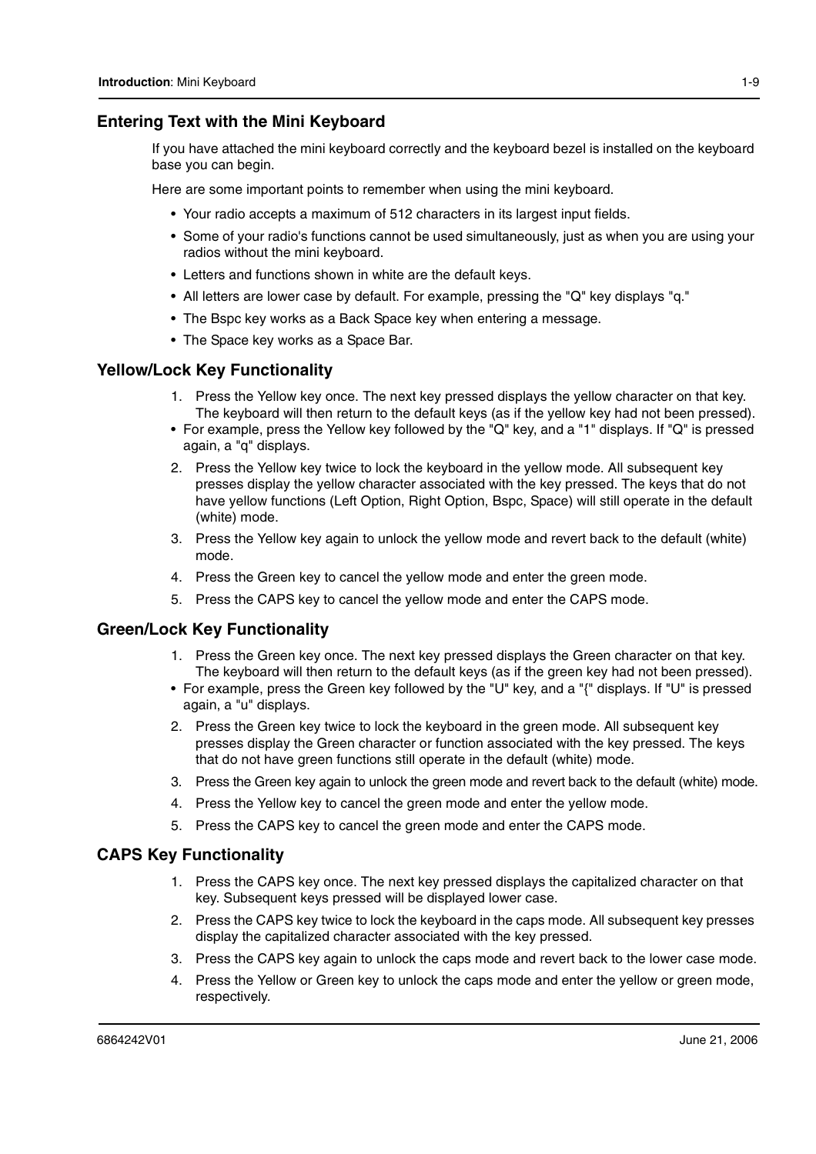#### **Entering Text with the Mini Keyboard**

If you have attached the mini keyboard correctly and the keyboard bezel is installed on the keyboard base you can begin.

Here are some important points to remember when using the mini keyboard.

- Your radio accepts a maximum of 512 characters in its largest input fields.
- Some of your radio's functions cannot be used simultaneously, just as when you are using your radios without the mini keyboard.
- Letters and functions shown in white are the default keys.
- All letters are lower case by default. For example, pressing the "Q" key displays "q."
- The Bspc key works as a Back Space key when entering a message.
- The Space key works as a Space Bar.

#### **Yellow/Lock Key Functionality**

- 1. Press the Yellow key once. The next key pressed displays the yellow character on that key. The keyboard will then return to the default keys (as if the yellow key had not been pressed).
- For example, press the Yellow key followed by the "Q" key, and a "1" displays. If "Q" is pressed again, a "q" displays.
- 2. Press the Yellow key twice to lock the keyboard in the yellow mode. All subsequent key presses display the yellow character associated with the key pressed. The keys that do not have yellow functions (Left Option, Right Option, Bspc, Space) will still operate in the default (white) mode.
- 3. Press the Yellow key again to unlock the yellow mode and revert back to the default (white) mode.
- 4. Press the Green key to cancel the yellow mode and enter the green mode.
- 5. Press the CAPS key to cancel the yellow mode and enter the CAPS mode.

#### **Green/Lock Key Functionality**

- 1. Press the Green key once. The next key pressed displays the Green character on that key. The keyboard will then return to the default keys (as if the green key had not been pressed).
- For example, press the Green key followed by the "U" key, and a "{" displays. If "U" is pressed again, a "u" displays.
- 2. Press the Green key twice to lock the keyboard in the green mode. All subsequent key presses display the Green character or function associated with the key pressed. The keys that do not have green functions still operate in the default (white) mode.
- 3. Press the Green key again to unlock the green mode and revert back to the default (white) mode.
- 4. Press the Yellow key to cancel the green mode and enter the yellow mode.
- 5. Press the CAPS key to cancel the green mode and enter the CAPS mode.

#### **CAPS Key Functionality**

- 1. Press the CAPS key once. The next key pressed displays the capitalized character on that key. Subsequent keys pressed will be displayed lower case.
- 2. Press the CAPS key twice to lock the keyboard in the caps mode. All subsequent key presses display the capitalized character associated with the key pressed.
- 3. Press the CAPS key again to unlock the caps mode and revert back to the lower case mode.
- 4. Press the Yellow or Green key to unlock the caps mode and enter the yellow or green mode, respectively.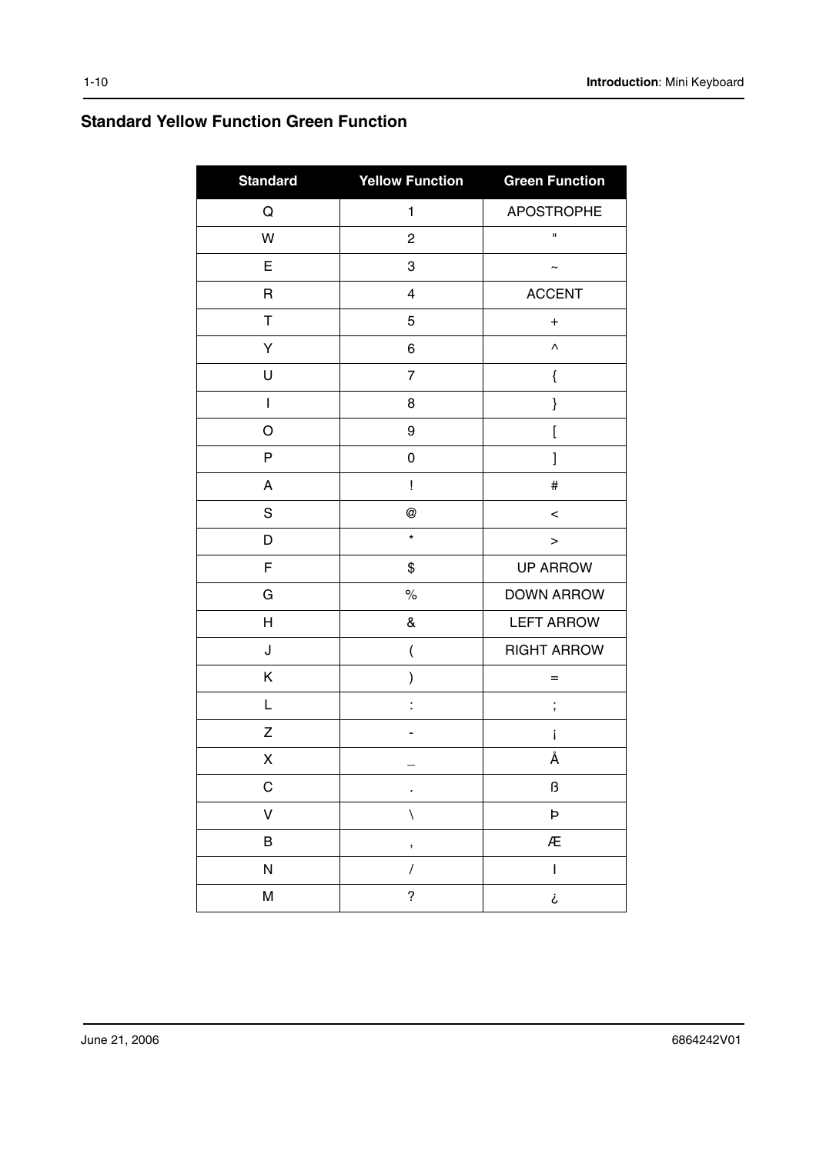### **Standard Yellow Function Green Function**

| <b>Standard</b>           | <b>Yellow Function</b>   | <b>Green Function</b>                                                                                                                                                                                                                                                                                                                                                                                          |
|---------------------------|--------------------------|----------------------------------------------------------------------------------------------------------------------------------------------------------------------------------------------------------------------------------------------------------------------------------------------------------------------------------------------------------------------------------------------------------------|
| $\mathsf Q$               | $\mathbf{1}$             | <b>APOSTROPHE</b>                                                                                                                                                                                                                                                                                                                                                                                              |
| W                         | $\overline{c}$           | $\blacksquare$                                                                                                                                                                                                                                                                                                                                                                                                 |
| E                         | 3                        | ∼                                                                                                                                                                                                                                                                                                                                                                                                              |
| R                         | $\overline{\mathbf{4}}$  | <b>ACCENT</b>                                                                                                                                                                                                                                                                                                                                                                                                  |
| Τ                         | 5                        | $\ddot{}$                                                                                                                                                                                                                                                                                                                                                                                                      |
| Υ                         | 6                        | Λ                                                                                                                                                                                                                                                                                                                                                                                                              |
| U                         | $\overline{7}$           | {                                                                                                                                                                                                                                                                                                                                                                                                              |
| T                         | 8                        | }                                                                                                                                                                                                                                                                                                                                                                                                              |
| O                         | 9                        | $\mathbf{r}$                                                                                                                                                                                                                                                                                                                                                                                                   |
| P                         | 0                        | l                                                                                                                                                                                                                                                                                                                                                                                                              |
| A                         | Ţ                        | $\#$                                                                                                                                                                                                                                                                                                                                                                                                           |
| ${\mathsf S}$             | @                        | $\,<$                                                                                                                                                                                                                                                                                                                                                                                                          |
| D                         | $\star$                  | $\,>$                                                                                                                                                                                                                                                                                                                                                                                                          |
| F                         | \$                       | <b>UP ARROW</b>                                                                                                                                                                                                                                                                                                                                                                                                |
| G                         | $\%$                     | <b>DOWN ARROW</b>                                                                                                                                                                                                                                                                                                                                                                                              |
| $\boldsymbol{\mathsf{H}}$ | &                        | <b>LEFT ARROW</b>                                                                                                                                                                                                                                                                                                                                                                                              |
| J                         | (                        | <b>RIGHT ARROW</b>                                                                                                                                                                                                                                                                                                                                                                                             |
| Κ                         | $\mathcal{E}$            | $=$                                                                                                                                                                                                                                                                                                                                                                                                            |
| L                         | $\ddot{\cdot}$           | ;                                                                                                                                                                                                                                                                                                                                                                                                              |
| Ζ                         |                          | i                                                                                                                                                                                                                                                                                                                                                                                                              |
| Χ                         |                          | Å                                                                                                                                                                                                                                                                                                                                                                                                              |
| C                         | ٠                        | ß                                                                                                                                                                                                                                                                                                                                                                                                              |
| $\mathsf{V}$              | $\bar{\mathcal{A}}$      | Þ                                                                                                                                                                                                                                                                                                                                                                                                              |
| B                         | ,                        | Æ                                                                                                                                                                                                                                                                                                                                                                                                              |
| ${\sf N}$                 | $\sqrt{\phantom{a}}$     | $\begin{array}{c} \rule{0pt}{2ex} \rule{0pt}{2ex} \rule{0pt}{2ex} \rule{0pt}{2ex} \rule{0pt}{2ex} \rule{0pt}{2ex} \rule{0pt}{2ex} \rule{0pt}{2ex} \rule{0pt}{2ex} \rule{0pt}{2ex} \rule{0pt}{2ex} \rule{0pt}{2ex} \rule{0pt}{2ex} \rule{0pt}{2ex} \rule{0pt}{2ex} \rule{0pt}{2ex} \rule{0pt}{2ex} \rule{0pt}{2ex} \rule{0pt}{2ex} \rule{0pt}{2ex} \rule{0pt}{2ex} \rule{0pt}{2ex} \rule{0pt}{2ex} \rule{0pt}{$ |
| ${\sf M}$                 | $\overline{\mathcal{C}}$ | i                                                                                                                                                                                                                                                                                                                                                                                                              |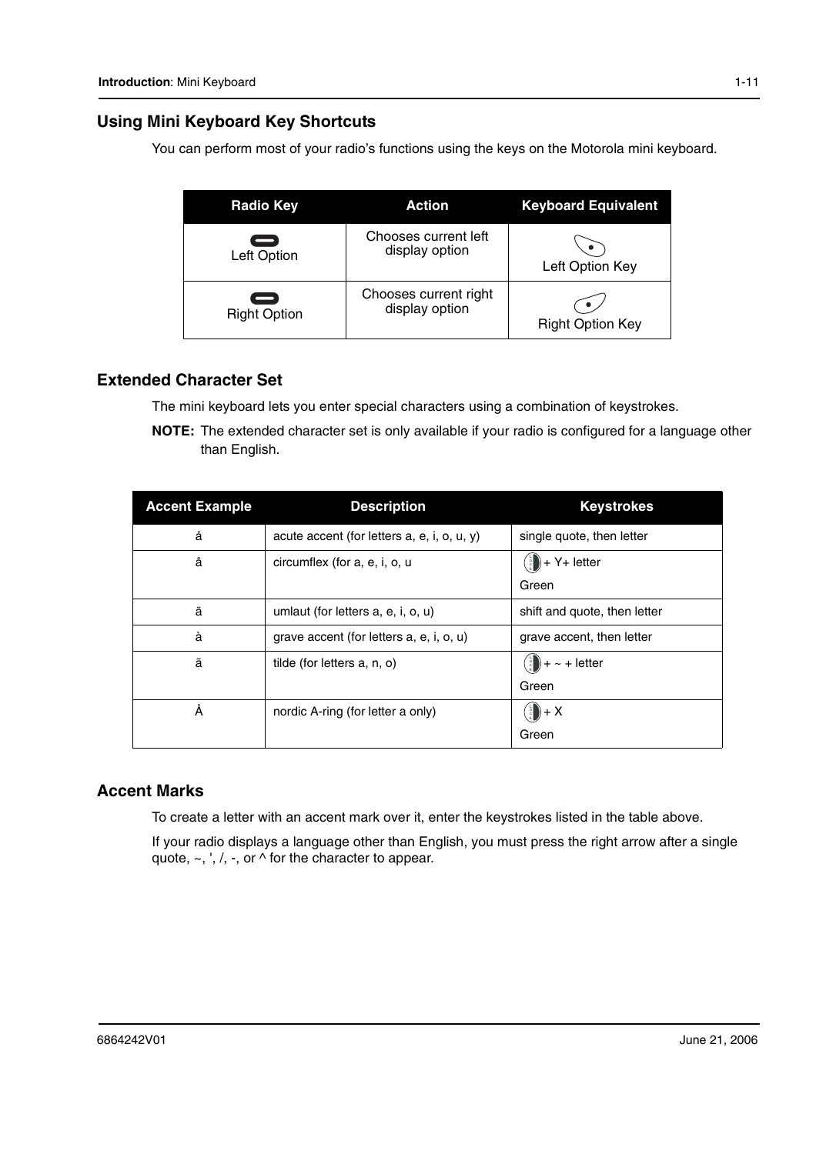#### **Using Mini Keyboard Key Shortcuts**

You can perform most of your radio's functions using the keys on the Motorola mini keyboard.

| <b>Radio Key</b>                                | <b>Action</b>                           | <b>Keyboard Equivalent</b> |
|-------------------------------------------------|-----------------------------------------|----------------------------|
| $\equiv$<br>Left Option                         | Chooses current left<br>display option  | Left Option Key            |
| $\overline{\phantom{0}}$<br><b>Right Option</b> | Chooses current right<br>display option | <b>Right Option Key</b>    |

#### **Extended Character Set**

The mini keyboard lets you enter special characters using a combination of keystrokes.

**NOTE:** The extended character set is only available if your radio is configured for a language other than English.

| <b>Accent Example</b> | <b>Description</b>                             | <b>Keystrokes</b>                         |
|-----------------------|------------------------------------------------|-------------------------------------------|
| å                     | acute accent (for letters $a, e, i, o, u, y$ ) | single quote, then letter                 |
| â                     | circumflex (for a, e, i, o, u                  | $+ Y+$ letter<br>॑॑<br>Green              |
| ä                     | umlaut (for letters a, e, i, o, u)             | shift and quote, then letter              |
| à                     | grave accent (for letters a, e, i, o, u)       | grave accent, then letter                 |
| ã                     | tilde (for letters a, n, o)                    | $\binom{5}{5}$ + $\sim$ + letter<br>Green |
| Å                     | nordic A-ring (for letter a only)              | $\binom{1}{2} + X$<br>Green               |

#### **Accent Marks**

To create a letter with an accent mark over it, enter the keystrokes listed in the table above.

If your radio displays a language other than English, you must press the right arrow after a single quote,  $\sim$ , ', /, -, or  $\wedge$  for the character to appear.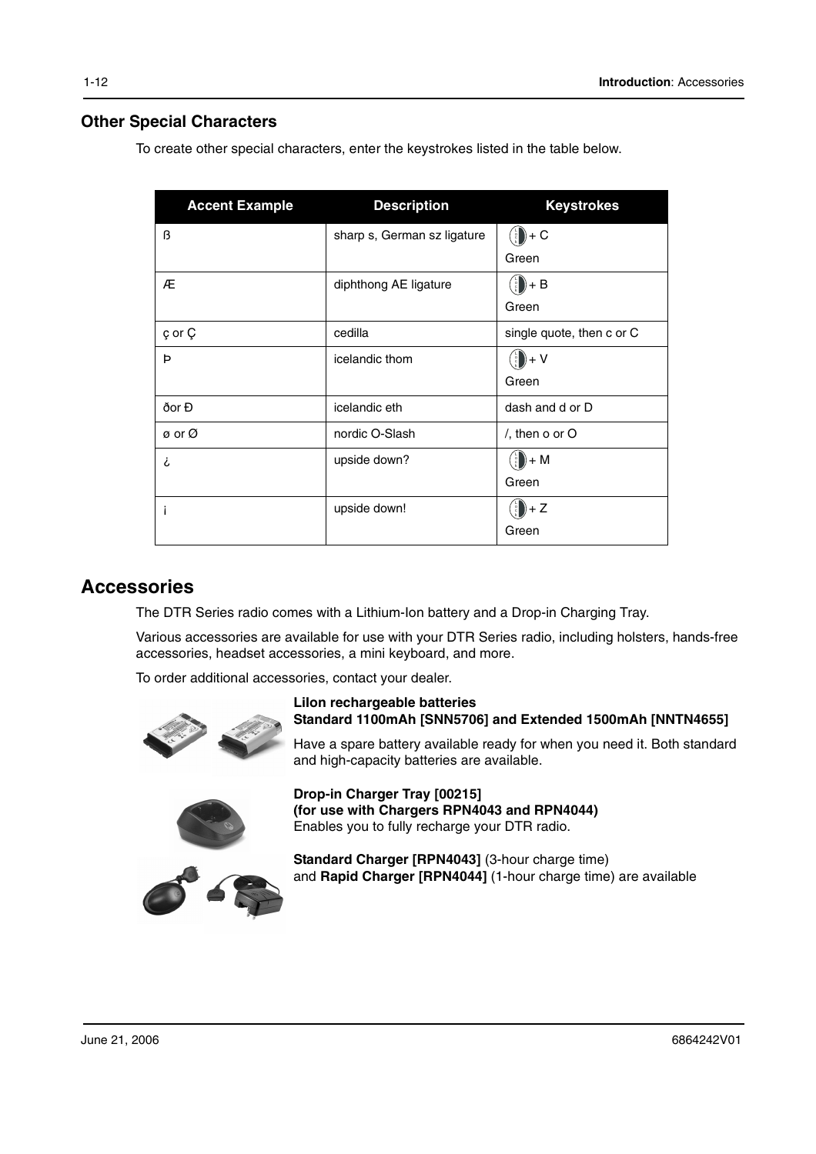#### **Other Special Characters**

To create other special characters, enter the keystrokes listed in the table below.

| <b>Accent Example</b> | <b>Description</b>          | <b>Keystrokes</b>                      |
|-----------------------|-----------------------------|----------------------------------------|
| ß                     | sharp s, German sz ligature | $\binom{1}{2}$ + C                     |
|                       |                             | Green                                  |
| Æ                     | diphthong AE ligature       | $\binom{5}{2}$ + B                     |
|                       |                             | Green                                  |
| ç or Ç                | cedilla                     | single quote, then c or C              |
| Þ                     | icelandic thom              | $\binom{\frac{1}{2}}{\frac{5}{2}} + V$ |
|                       |                             | Green                                  |
| ðor Đ                 | icelandic eth               | dash and d or D                        |
| ø or Ø                | nordic O-Slash              | $/$ , then o or O                      |
| i                     | upside down?                | $)+M$<br>$\frac{5}{c}$                 |
|                       |                             | Green                                  |
|                       | upside down!                | $\binom{5}{2}$ + Z                     |
|                       |                             | Green                                  |

#### **Accessories**

The DTR Series radio comes with a Lithium-Ion battery and a Drop-in Charging Tray.

Various accessories are available for use with your DTR Series radio, including holsters, hands-free accessories, headset accessories, a mini keyboard, and more.

To order additional accessories, contact your dealer.





**LiIon rechargeable batteries Standard 1100mAh [SNN5706] and Extended 1500mAh [NNTN4655]**

Have a spare battery available ready for when you need it. Both standard and high-capacity batteries are available.

**Drop-in Charger Tray [00215] (for use with Chargers RPN4043 and RPN4044)** Enables you to fully recharge your DTR radio.

**Standard Charger [RPN4043]** (3-hour charge time) and **Rapid Charger [RPN4044]** (1-hour charge time) are available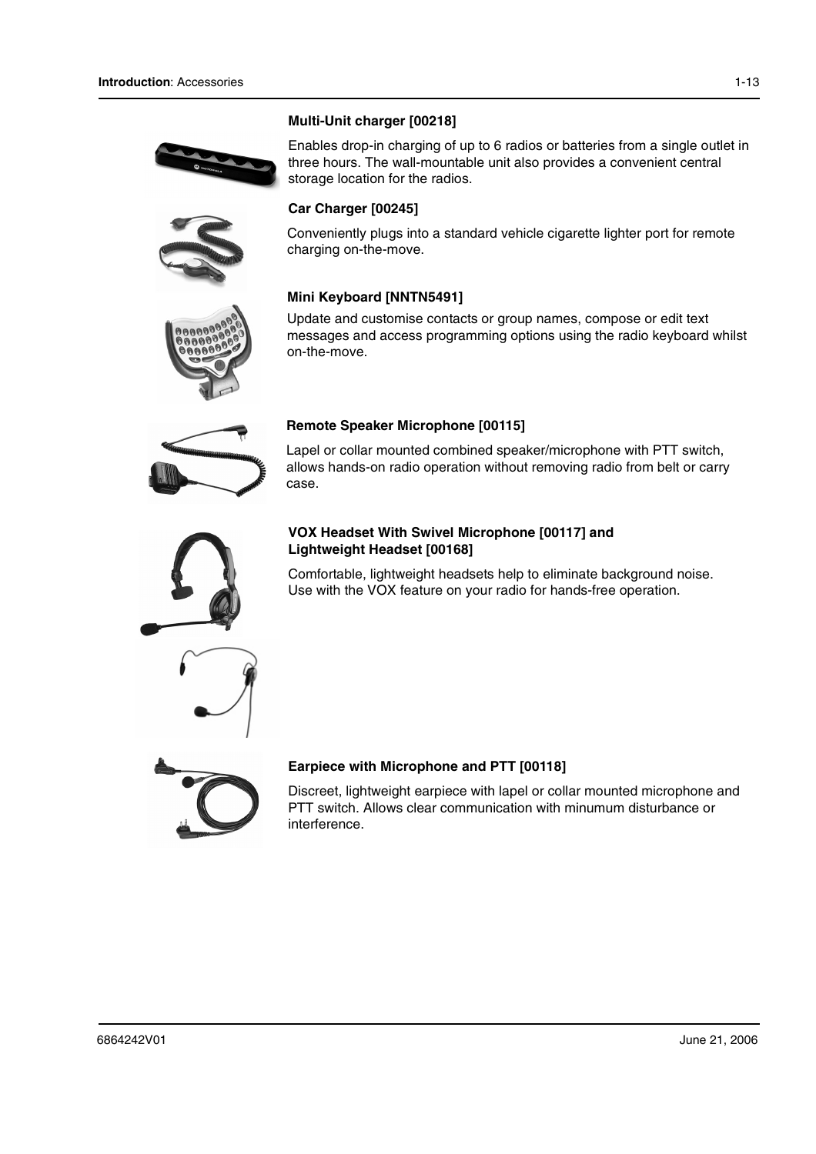







Enables drop-in charging of up to 6 radios or batteries from a single outlet in three hours. The wall-mountable unit also provides a convenient central storage location for the radios.

#### **Car Charger [00245]**

Conveniently plugs into a standard vehicle cigarette lighter port for remote charging on-the-move.

#### **Mini Keyboard [NNTN5491]**

Update and customise contacts or group names, compose or edit text messages and access programming options using the radio keyboard whilst on-the-move.



#### **Remote Speaker Microphone [00115]**

Lapel or collar mounted combined speaker/microphone with PTT switch, allows hands-on radio operation without removing radio from belt or carry case.



#### **VOX Headset With Swivel Microphone [00117] and Lightweight Headset [00168]**

Comfortable, lightweight headsets help to eliminate background noise. Use with the VOX feature on your radio for hands-free operation.



#### **Earpiece with Microphone and PTT [00118]**

Discreet, lightweight earpiece with lapel or collar mounted microphone and PTT switch. Allows clear communication with minumum disturbance or interference.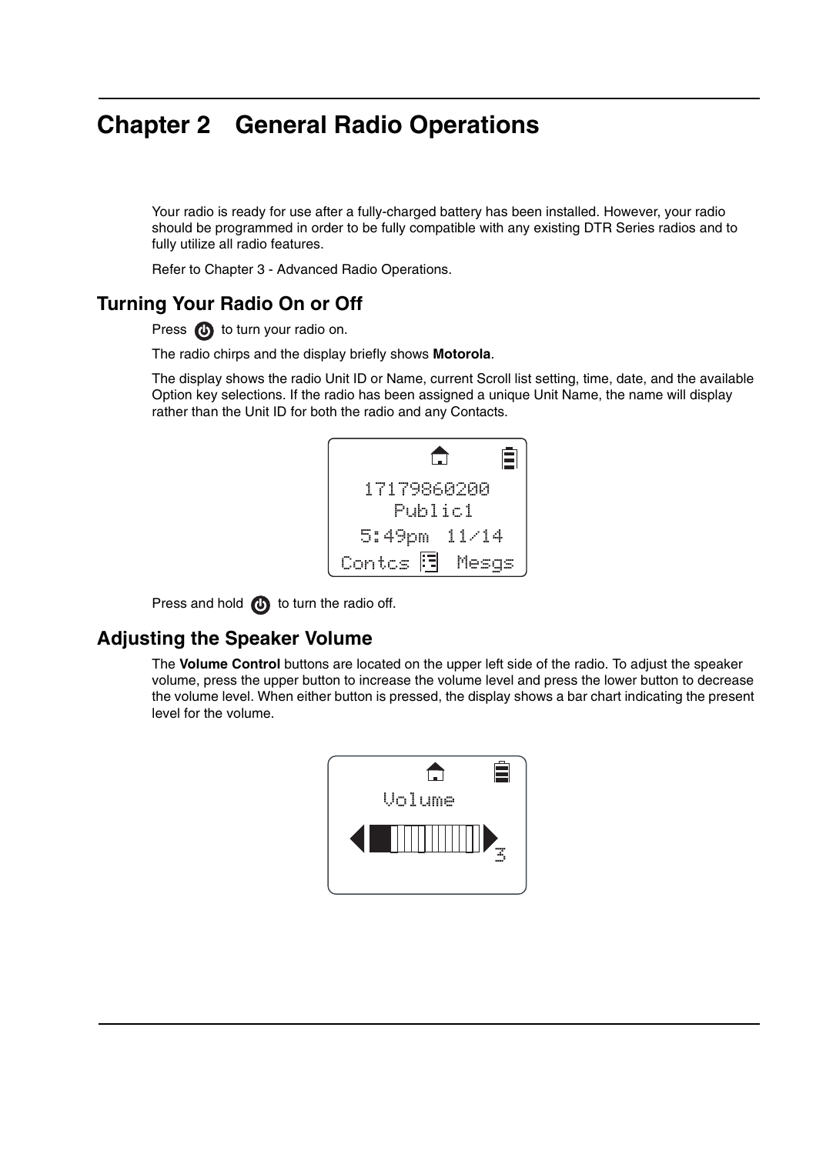## **Chapter 2 General Radio Operations**

Your radio is ready for use after a fully-charged battery has been installed. However, your radio should be programmed in order to be fully compatible with any existing DTR Series radios and to fully utilize all radio features.

Refer to Chapter 3 - Advanced Radio Operations.

### **Turning Your Radio On or Off**

Press **(b)** to turn your radio on.

The radio chirps and the display briefly shows **Motorola**.

The display shows the radio Unit ID or Name, current Scroll list setting, time, date, and the available Option key selections. If the radio has been assigned a unique Unit Name, the name will display rather than the Unit ID for both the radio and any Contacts.

|                        | Ε |
|------------------------|---|
| 17179860200<br>Publici |   |
| 5:49pm 11/14           |   |
| Contos 週 Mesqs         |   |

Press and hold  $\bigoplus$  to turn the radio off.

### **Adjusting the Speaker Volume**

The **Volume Control** buttons are located on the upper left side of the radio. To adjust the speaker volume, press the upper button to increase the volume level and press the lower button to decrease the volume level. When either button is pressed, the display shows a bar chart indicating the present level for the volume.

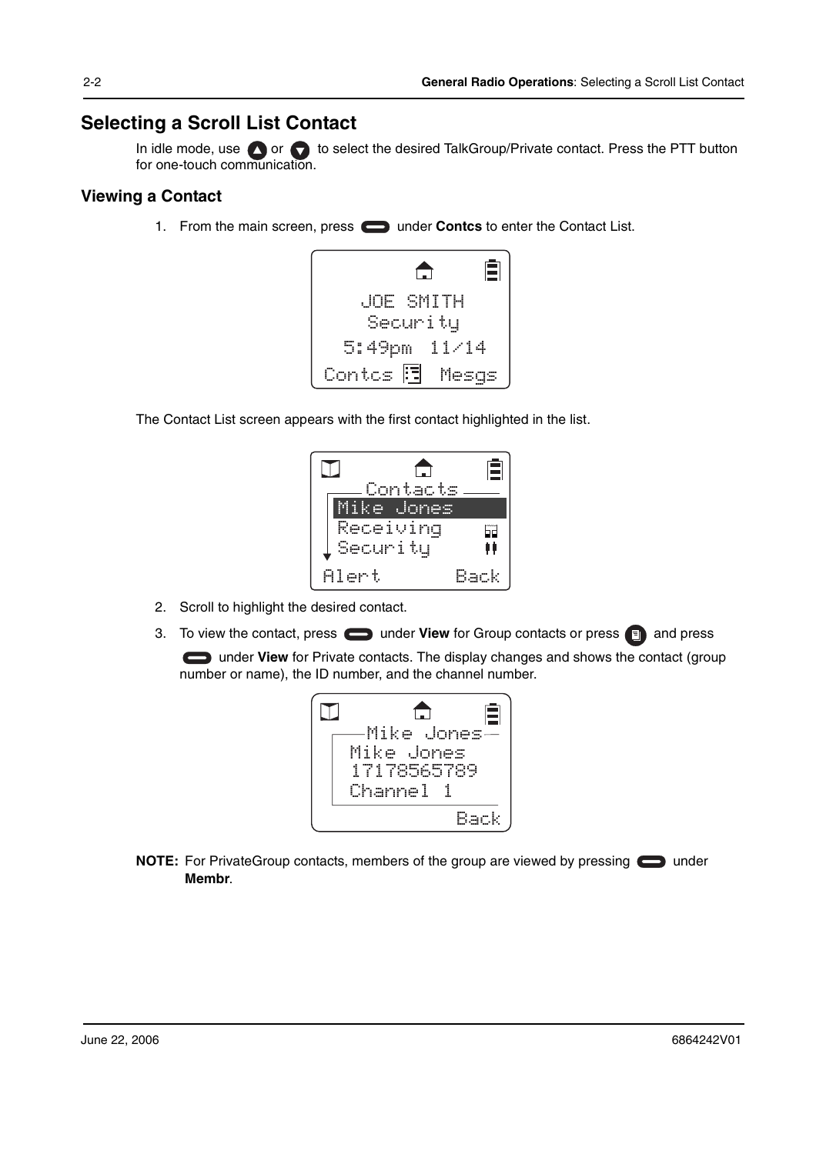### **Selecting a Scroll List Contact**

In idle mode, use  $\bigcirc$  or  $\bigcirc$  to select the desired TalkGroup/Private contact. Press the PTT button for one-touch communication.

#### **Viewing a Contact**

1. From the main screen, press **in the Contact Contcs** to enter the Contact List.



The Contact List screen appears with the first contact highlighted in the list.

|       |            | Ē                         |
|-------|------------|---------------------------|
|       | Contacts   |                           |
|       | Mike Jones |                           |
|       | Receiving  | $\widetilde{\mathsf{Sp}}$ |
|       | Security   | Ħ                         |
| Alert |            |                           |

- 2. Scroll to highlight the desired contact.
- 3. To view the contact, press **inter the View** for Group contacts or press **a** and press

**Computer View** for Private contacts. The display changes and shows the contact (group number or name), the ID number, and the channel number.



**NOTE:** For PrivateGroup contacts, members of the group are viewed by pressing  $\Box$  under **Membr**.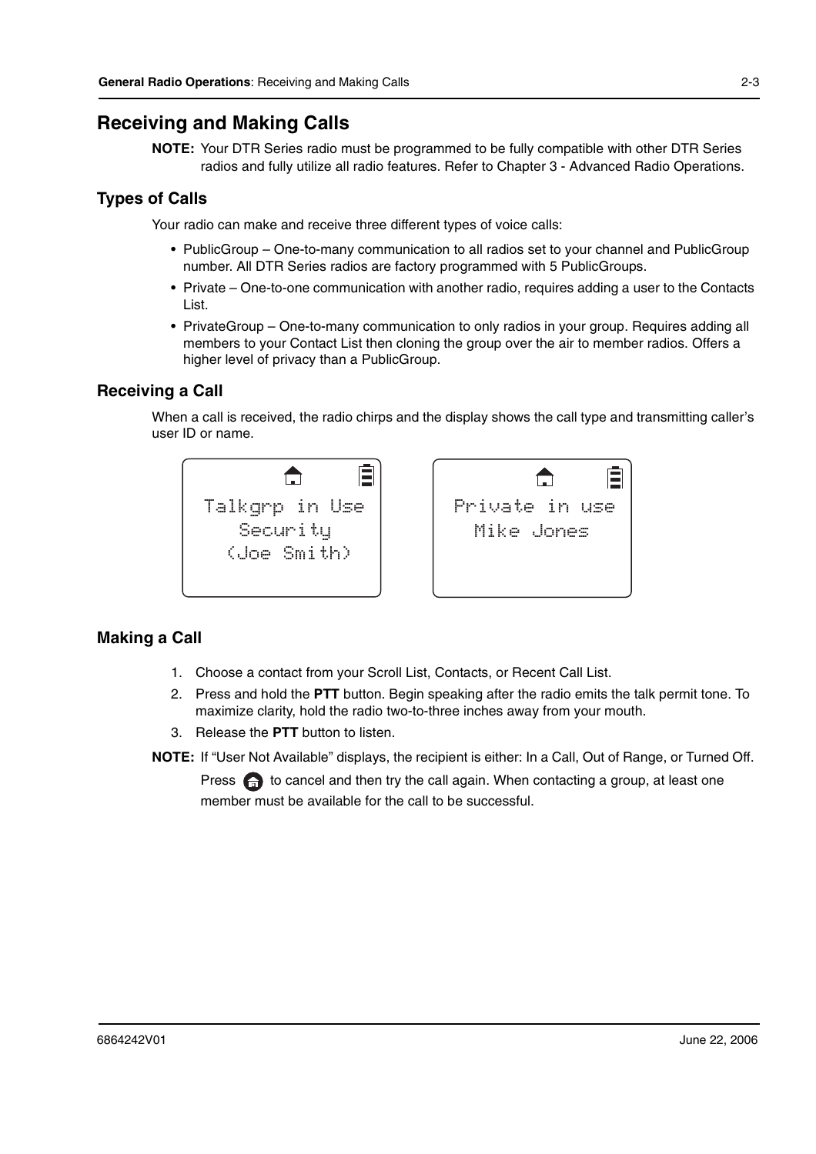### **Receiving and Making Calls**

**NOTE:** Your DTR Series radio must be programmed to be fully compatible with other DTR Series radios and fully utilize all radio features. Refer to Chapter 3 - Advanced Radio Operations.

#### **Types of Calls**

Your radio can make and receive three different types of voice calls:

- PublicGroup One-to-many communication to all radios set to your channel and PublicGroup number. All DTR Series radios are factory programmed with 5 PublicGroups.
- Private One-to-one communication with another radio, requires adding a user to the Contacts List.
- PrivateGroup One-to-many communication to only radios in your group. Requires adding all members to your Contact List then cloning the group over the air to member radios. Offers a higher level of privacy than a PublicGroup.

#### **Receiving a Call**

When a call is received, the radio chirps and the display shows the call type and transmitting caller's user ID or name.





#### **Making a Call**

- 1. Choose a contact from your Scroll List, Contacts, or Recent Call List.
- 2. Press and hold the **PTT** button. Begin speaking after the radio emits the talk permit tone. To maximize clarity, hold the radio two-to-three inches away from your mouth.
- 3. Release the **PTT** button to listen.

**NOTE:** If "User Not Available" displays, the recipient is either: In a Call, Out of Range, or Turned Off.

Press  $\oplus$  to cancel and then try the call again. When contacting a group, at least one member must be available for the call to be successful.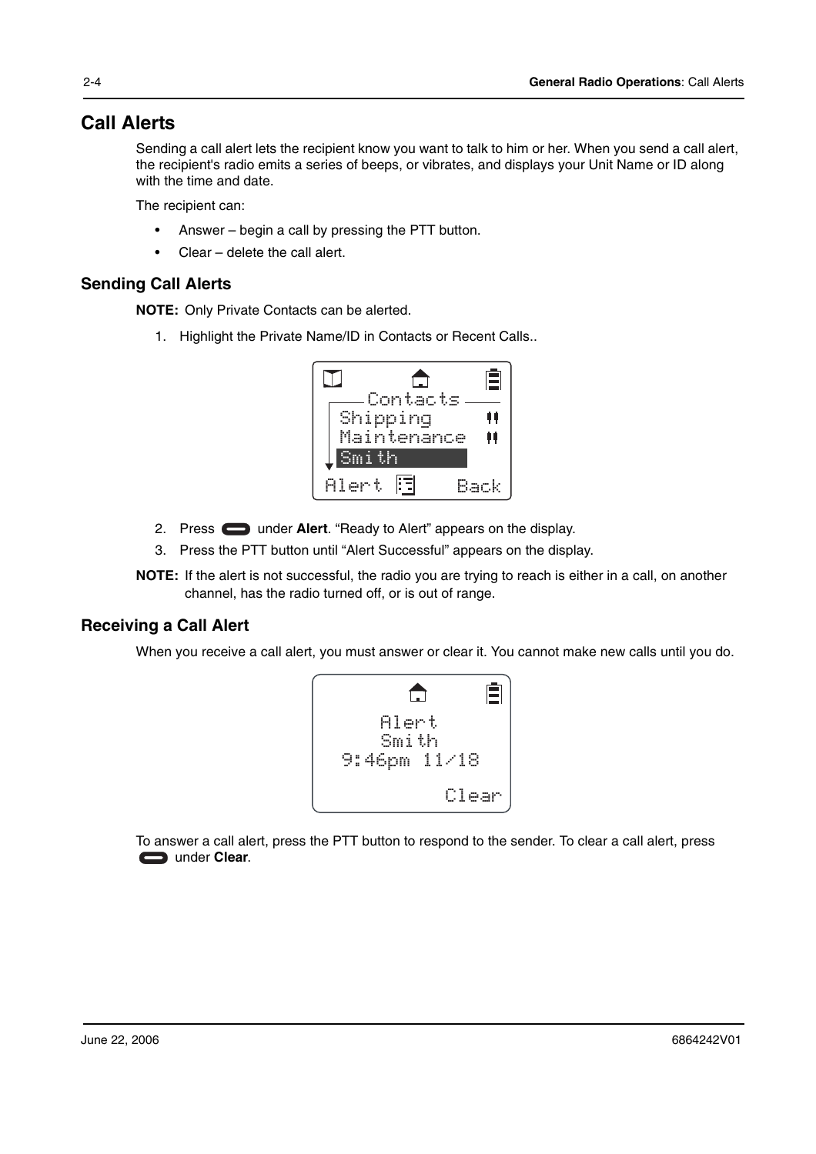### **Call Alerts**

Sending a call alert lets the recipient know you want to talk to him or her. When you send a call alert, the recipient's radio emits a series of beeps, or vibrates, and displays your Unit Name or ID along with the time and date.

The recipient can:

- Answer begin a call by pressing the PTT button.
- Clear delete the call alert.

#### **Sending Call Alerts**

**NOTE:** Only Private Contacts can be alerted.

1. Highlight the Private Name/ID in Contacts or Recent Calls..



- 2. Press **example 2.** Under **Alert**. "Ready to Alert" appears on the display.
- 3. Press the PTT button until "Alert Successful" appears on the display.
- **NOTE:** If the alert is not successful, the radio you are trying to reach is either in a call, on another channel, has the radio turned off, or is out of range.

#### **Receiving a Call Alert**

When you receive a call alert, you must answer or clear it. You cannot make new calls until you do.



To answer a call alert, press the PTT button to respond to the sender. To clear a call alert, press under **Clear**.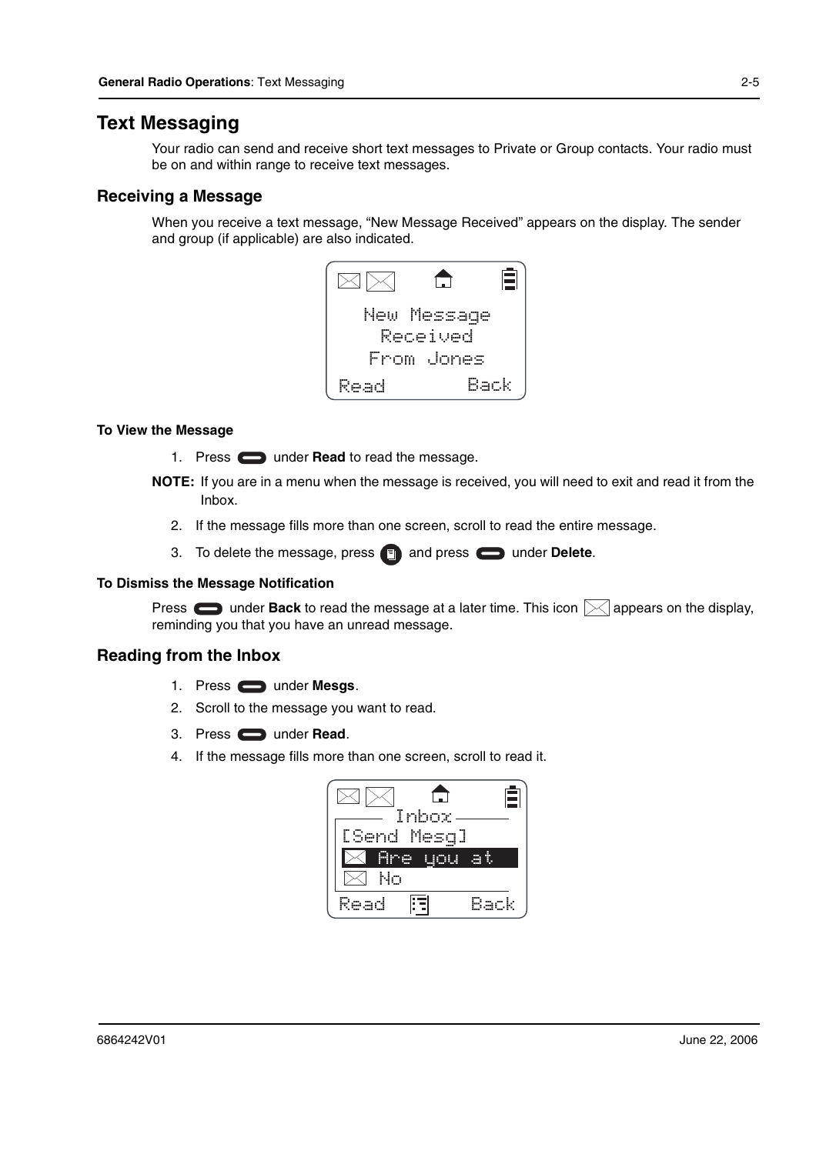#### **Text Messaging**

Your radio can send and receive short text messages to Private or Group contacts. Your radio must be on and within range to receive text messages.

#### **Receiving a Message**

When you receive a text message, "New Message Received" appears on the display. The sender and group (if applicable) are also indicated.



#### **To View the Message**

- 1. Press **the under Read** to read the message.
- **NOTE:** If you are in a menu when the message is received, you will need to exit and read it from the Inbox.
	- 2. If the message fills more than one screen, scroll to read the entire message.
	- 3. To delete the message, press **and press and press** under Delete.

#### **To Dismiss the Message Notification**

Press  $\Box$  under Back to read the message at a later time. This icon  $\boxtimes$  appears on the display, reminding you that you have an unread message.

#### **Reading from the Inbox**

- 1. Press under **Mesgs**.
- 2. Scroll to the message you want to read.
- 3. Press under **Read**.
- 4. If the message fills more than one screen, scroll to read it.

|    |             | - |
|----|-------------|---|
|    | Inbox       |   |
|    | [Send Mesq] |   |
|    |             |   |
| łο |             |   |
|    |             |   |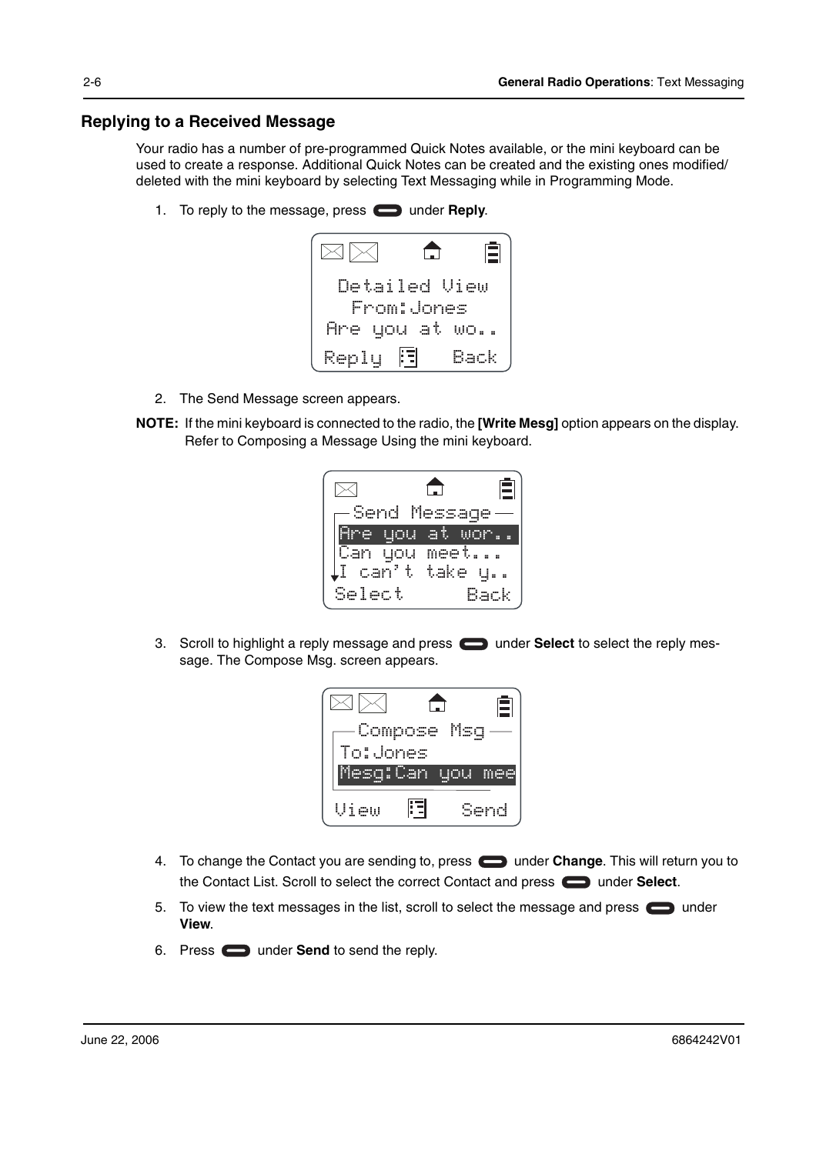#### **Replying to a Received Message**

Your radio has a number of pre-programmed Quick Notes available, or the mini keyboard can be used to create a response. Additional Quick Notes can be created and the existing ones modified/ deleted with the mini keyboard by selecting Text Messaging while in Programming Mode.

1. To reply to the message, press **the under Reply.** 



- 2. The Send Message screen appears.
- **NOTE:** If the mini keyboard is connected to the radio, the **[Write Mesg]** option appears on the display. Refer to Composing a Message Using the mini keyboard.

|                              |            | Ξ   |
|------------------------------|------------|-----|
| Send Mess                    |            |     |
| <u>gou </u>                  | <b>ALL</b> |     |
| Can you meet                 |            |     |
| $\mathop{\rm Li}$ can't take |            |     |
| Select                       |            | ack |

3. Scroll to highlight a reply message and press **in the Select** to select the reply message. The Compose Msg. screen appears.



- 4. To change the Contact you are sending to, press **come under Change**. This will return you to the Contact List. Scroll to select the correct Contact and press **example 3 under Select**.
- 5. To view the text messages in the list, scroll to select the message and press  $\Box$  under **View**.
- 6. Press **or** under **Send** to send the reply.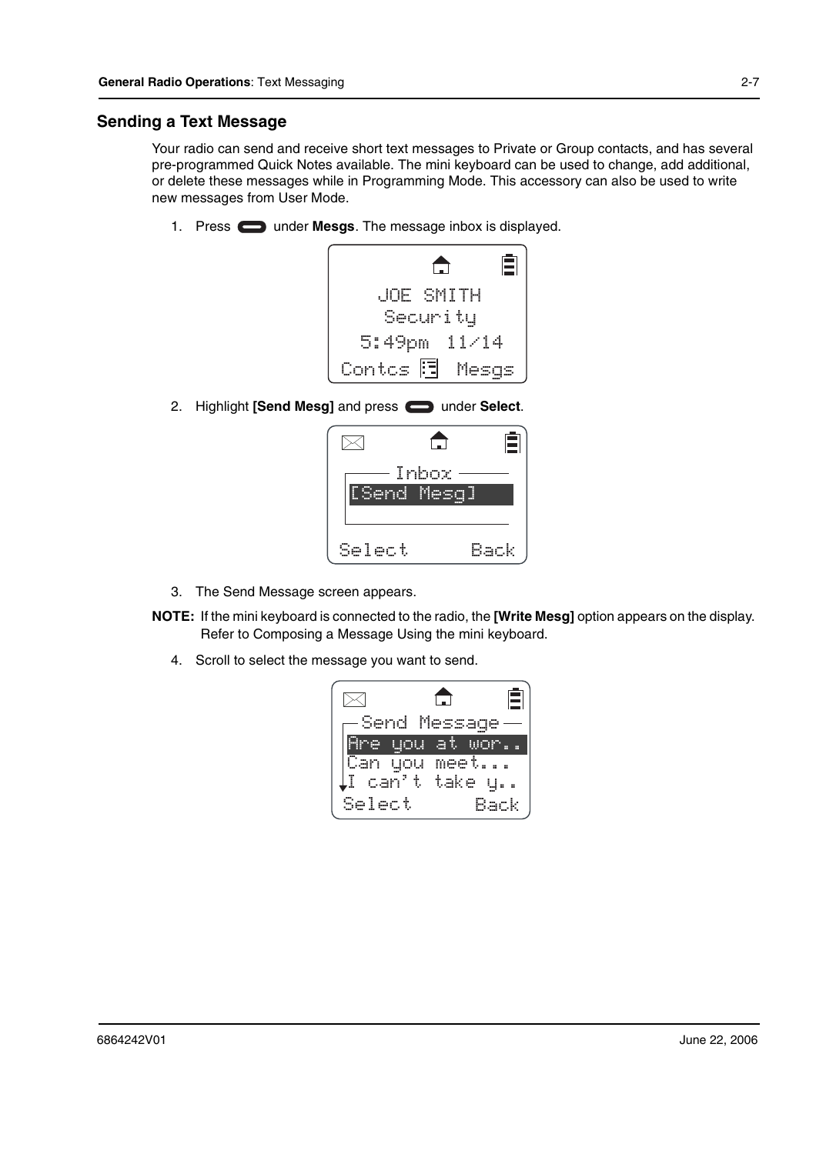#### **Sending a Text Message**

Your radio can send and receive short text messages to Private or Group contacts, and has several pre-programmed Quick Notes available. The mini keyboard can be used to change, add additional, or delete these messages while in Programming Mode. This accessory can also be used to write new messages from User Mode.

1. Press **the under Mesgs**. The message inbox is displayed.



2. Highlight **[Send Mesg]** and press **candidate Select**.



- 3. The Send Message screen appears.
- **NOTE:** If the mini keyboard is connected to the radio, the **[Write Mesg]** option appears on the display. Refer to Composing a Message Using the mini keyboard.
	- 4. Scroll to select the message you want to send.

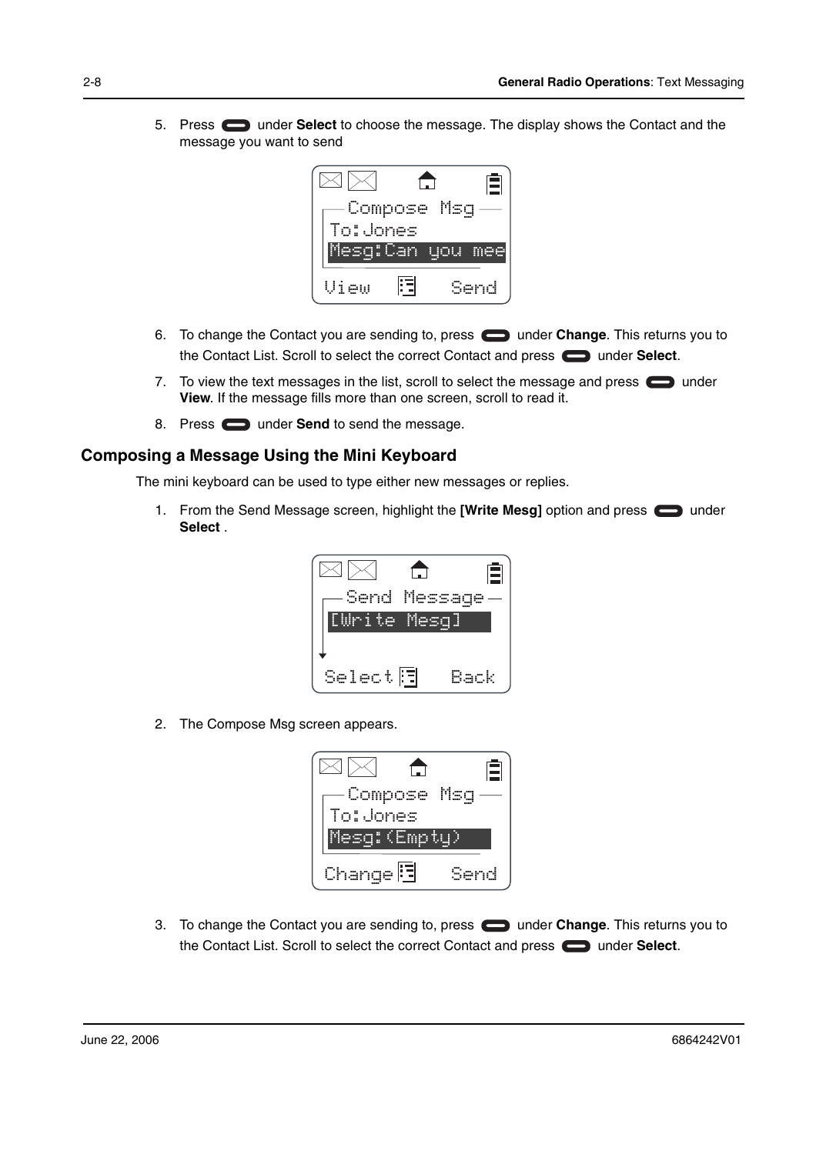5. Press under **Select** to choose the message. The display shows the Contact and the message you want to send



- 6. To change the Contact you are sending to, press **in the Under Change**. This returns you to the Contact List. Scroll to select the correct Contact and press **example 1** under **Select**.
- 7. To view the text messages in the list, scroll to select the message and press  $\Box$  under **View**. If the message fills more than one screen, scroll to read it.
- 8. Press **the under Send** to send the message.

#### **Composing a Message Using the Mini Keyboard**

The mini keyboard can be used to type either new messages or replies.

1. From the Send Message screen, highlight the **[Write Mesg]** option and press  $\Box$  under **Select** .



2. The Compose Msg screen appears.



3. To change the Contact you are sending to, press **the under Change**. This returns you to the Contact List. Scroll to select the correct Contact and press **example 3** under **Select**.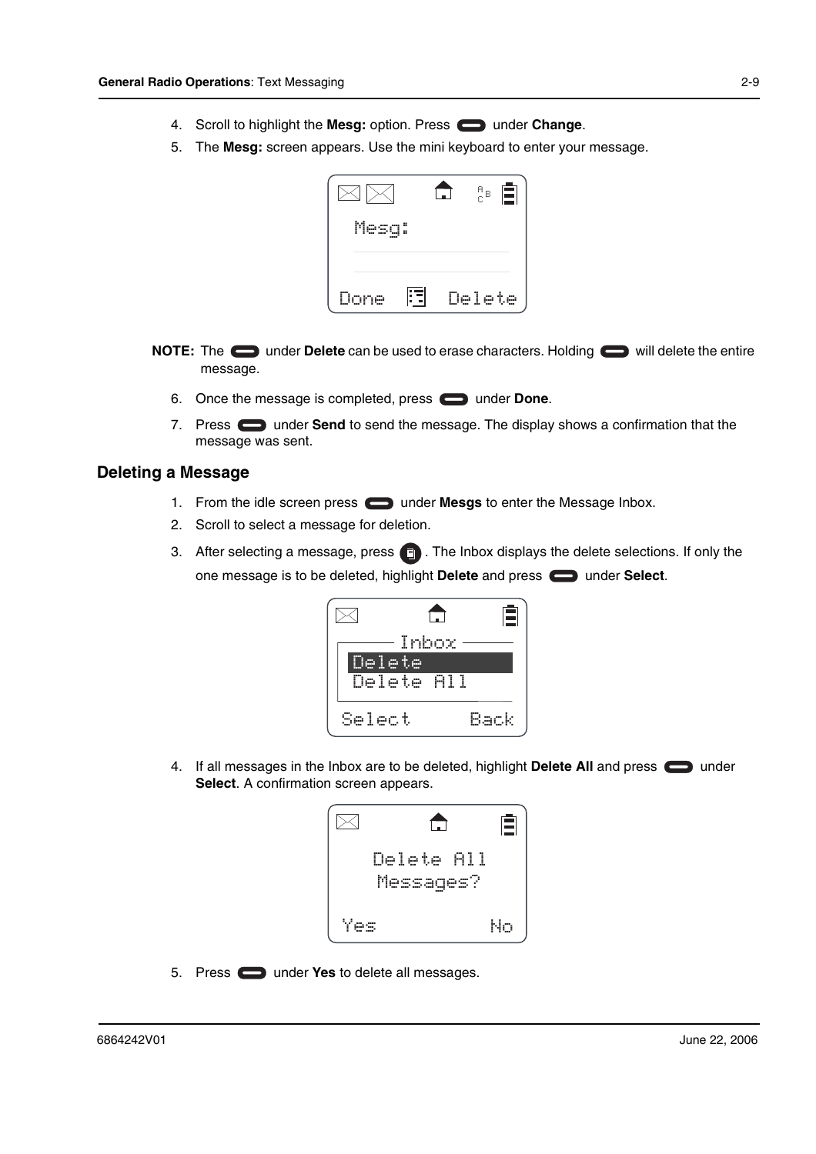- 4. Scroll to highlight the Mesg: option. Press **can under Change.**
- 5. The **Mesg:** screen appears. Use the mini keyboard to enter your message.



- **NOTE:** The under Delete can be used to erase characters. Holding will delete the entire message.
	- 6. Once the message is completed, press **candidate** under **Done**.
	- 7. Press **the United Send** to send the message. The display shows a confirmation that the message was sent.

#### **Deleting a Message**

- 1. From the idle screen press **in the Mesgs** to enter the Message Inbox.
- 2. Scroll to select a message for deletion.
- 3. After selecting a message, press  $\Box$  . The Inbox displays the delete selections. If only the one message is to be deleted, highlight Delete and press  $\Box$  under Select.



4. If all messages in the Inbox are to be deleted, highlight Delete All and press **or** under **Select**. A confirmation screen appears.



5. Press **the Under Yes** to delete all messages.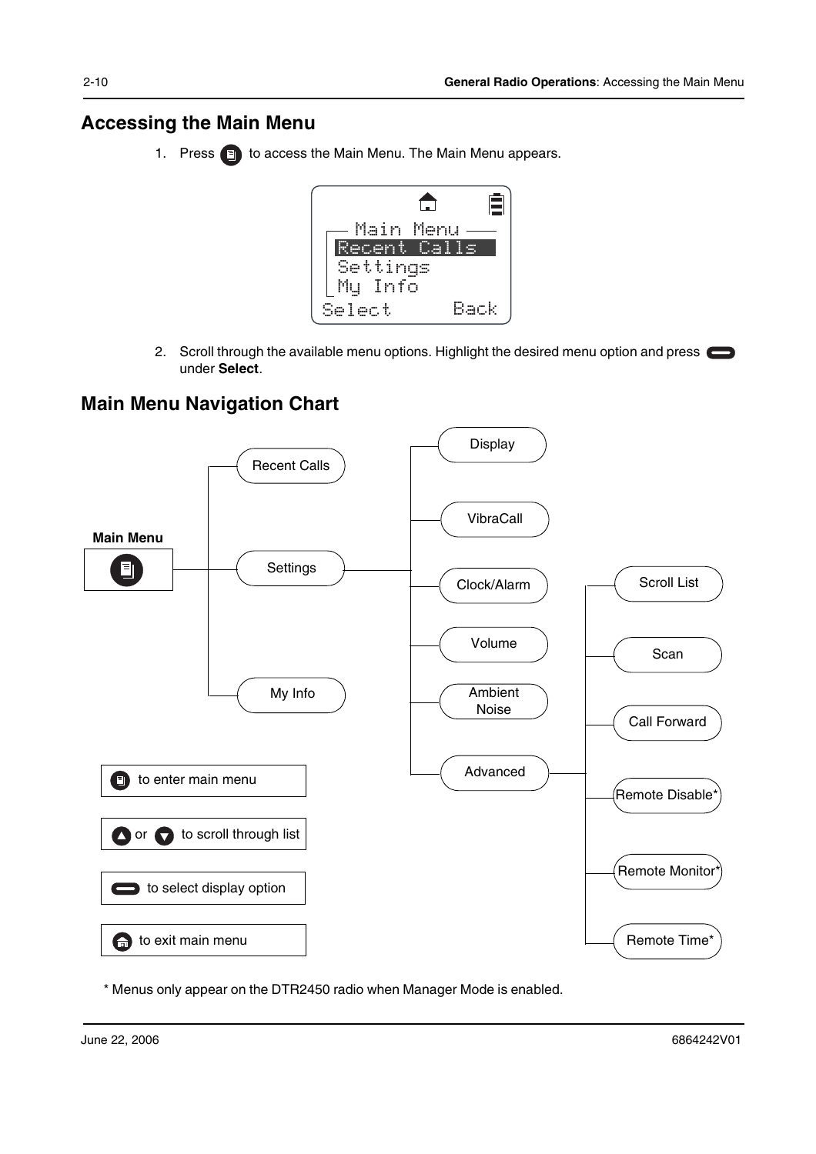### **Accessing the Main Menu**

1. Press **i** to access the Main Menu. The Main Menu appears.



2. Scroll through the available menu options. Highlight the desired menu option and press under **Select**.

## **Main Menu Navigation Chart**



\* Menus only appear on the DTR2450 radio when Manager Mode is enabled.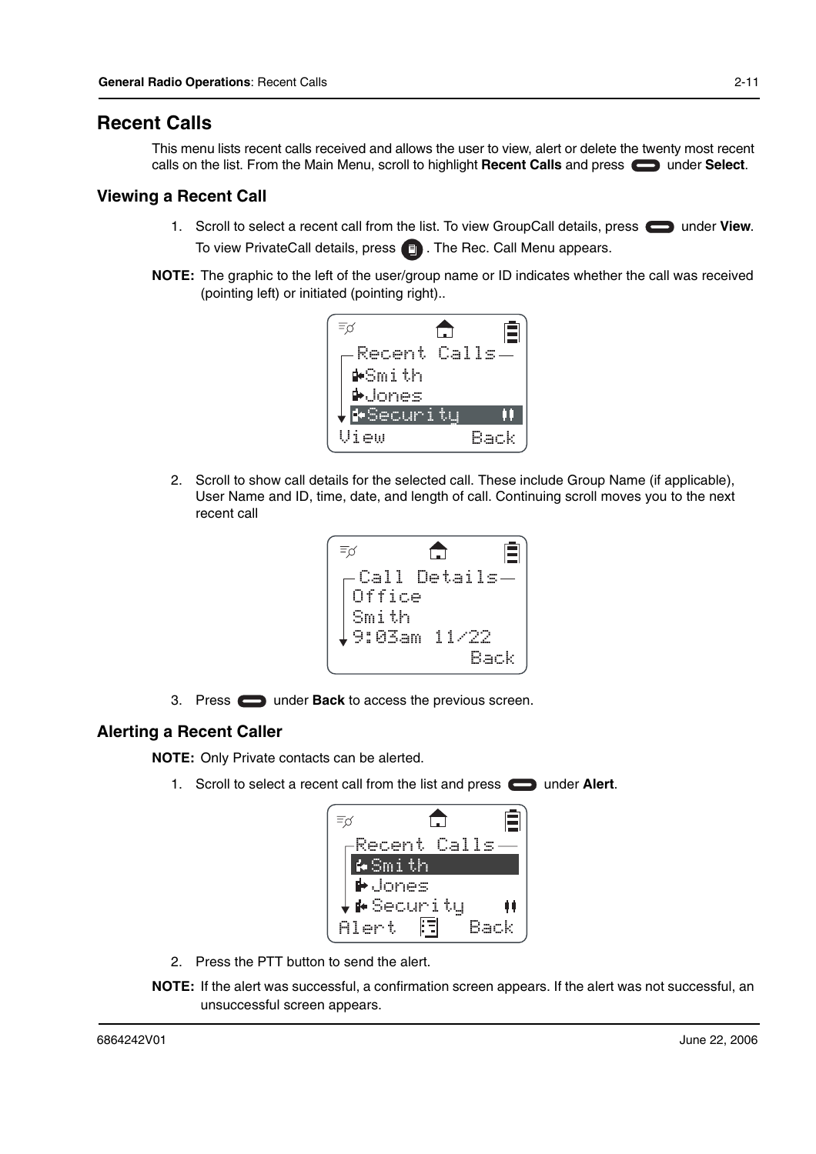#### **Recent Calls**

This menu lists recent calls received and allows the user to view, alert or delete the twenty most recent calls on the list. From the Main Menu, scroll to highlight Recent Calls and press **or a** under Select.

#### **Viewing a Recent Call**

- 1. Scroll to select a recent call from the list. To view GroupCall details, press **example on** under **View**. To view PrivateCall details, press  $\blacksquare$  . The Rec. Call Menu appears.
- **NOTE:** The graphic to the left of the user/group name or ID indicates whether the call was received (pointing left) or initiated (pointing right)..



2. Scroll to show call details for the selected call. These include Group Name (if applicable), User Name and ID, time, date, and length of call. Continuing scroll moves you to the next recent call

$$
\begin{bmatrix}\n\overline{z}_{\beta} & \overbrace{\Box} & \boxed{\Box} \\
\overline{\phantom{z}} & \overline{\phantom{z}} & \overline{\phantom{z}} \\
\overline{\phantom{z}} & \overline{\phantom{z}} & \overline{\phantom{z}} \\
\overline{\phantom{z}} & \overline{\phantom{z}} & \overline{\phantom{z}} \\
\overline{\phantom{z}} & \overline{\phantom{z}} & \overline{\phantom{z}} \\
\overline{\phantom{z}} & \overline{\phantom{z}} & \overline{\phantom{z}} \\
\overline{\phantom{z}} & \overline{\phantom{z}} & \overline{\phantom{z}} \\
\overline{\phantom{z}} & \overline{\phantom{z}} & \overline{\phantom{z}} \\
\overline{\phantom{z}} & \overline{\phantom{z}} & \overline{\phantom{z}} \\
\overline{\phantom{z}} & \overline{\phantom{z}} & \overline{\phantom{z}} \\
\overline{\phantom{z}} & \overline{\phantom{z}} & \overline{\phantom{z}} \\
\overline{\phantom{z}} & \overline{\phantom{z}} & \overline{\phantom{z}} \\
\overline{\phantom{z}} & \overline{\phantom{z}} & \overline{\phantom{z}} \\
\overline{\phantom{z}} & \overline{\phantom{z}} & \overline{\phantom{z}} \\
\overline{\phantom{z}} & \overline{\phantom{z}} & \overline{\phantom{z}} \\
\overline{\phantom{z}} & \overline{\phantom{z}} & \overline{\phantom{z}} \\
\overline{\phantom{z}} & \overline{\phantom{z}} & \overline{\phantom{z}} \\
\overline{\phantom{z}} & \overline{\phantom{z}} & \overline{\phantom{z}} \\
\overline{\phantom{z}} & \overline{\phantom{z}} & \overline{\phantom{z}} \\
\overline{\phantom{z}} & \overline{\phantom{z}} & \overline{\phantom{z}} \\
\overline{\phantom{z}} & \overline{\phantom{z}} & \overline{\phantom{z}} \\
\overline{\phantom{z}} & \overline{\phantom{z}} & \overline{\phantom{z}} \\
\overline{\phantom{z}} & \overline{\phantom{z}} & \overline{\phantom{z}} \\
\overline{\phantom{z}} & \overline{\phantom{z}} & \overline{\phantom{z}} \\
\overline{\phantom{z}} & \overline{\phantom{z}} & \overline{\phantom{z}} \\
\overline{\phantom{z}} &
$$

3. Press **example 2** under **Back** to access the previous screen.

#### **Alerting a Recent Caller**

**NOTE:** Only Private contacts can be alerted.

1. Scroll to select a recent call from the list and press **that under Alert**.

| Recent Calls                     |  |
|----------------------------------|--|
| i•Smith                          |  |
| $\overline{\blacklozenge}$ Jones |  |
| $\downarrow$ ⊭Security           |  |
| Alert                            |  |

- 2. Press the PTT button to send the alert.
- **NOTE:** If the alert was successful, a confirmation screen appears. If the alert was not successful, an unsuccessful screen appears.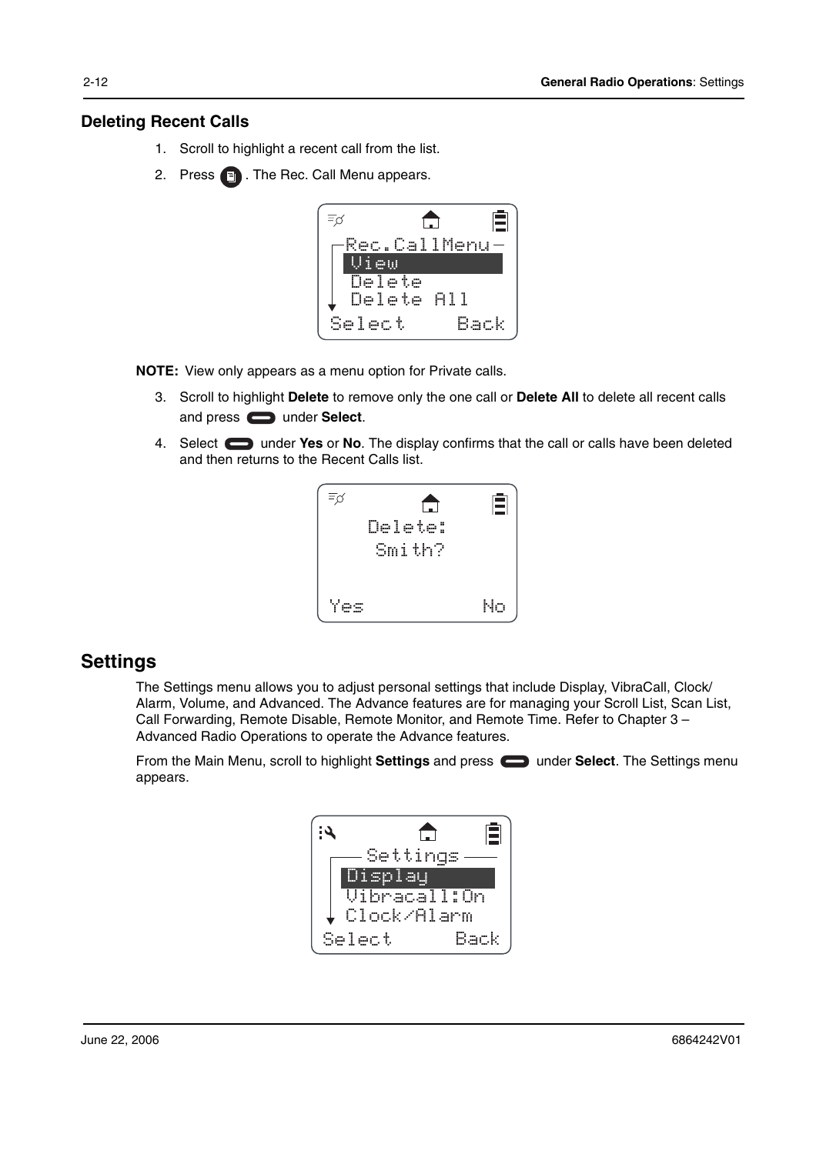#### **Deleting Recent Calls**

- 1. Scroll to highlight a recent call from the list.
- 2. Press **a**. The Rec. Call Menu appears.



**NOTE:** View only appears as a menu option for Private calls.

- 3. Scroll to highlight **Delete** to remove only the one call or **Delete All** to delete all recent calls and press  $\qquad \qquad$  under **Select**.
- 4. Select under **Yes** or **No**. The display confirms that the call or calls have been deleted and then returns to the Recent Calls list.



### **Settings**

The Settings menu allows you to adjust personal settings that include Display, VibraCall, Clock/ Alarm, Volume, and Advanced. The Advance features are for managing your Scroll List, Scan List, Call Forwarding, Remote Disable, Remote Monitor, and Remote Time. Refer to Chapter 3 – Advanced Radio Operations to operate the Advance features.

From the Main Menu, scroll to highlight **Settings** and press **example 20 under Select**. The Settings menu appears.

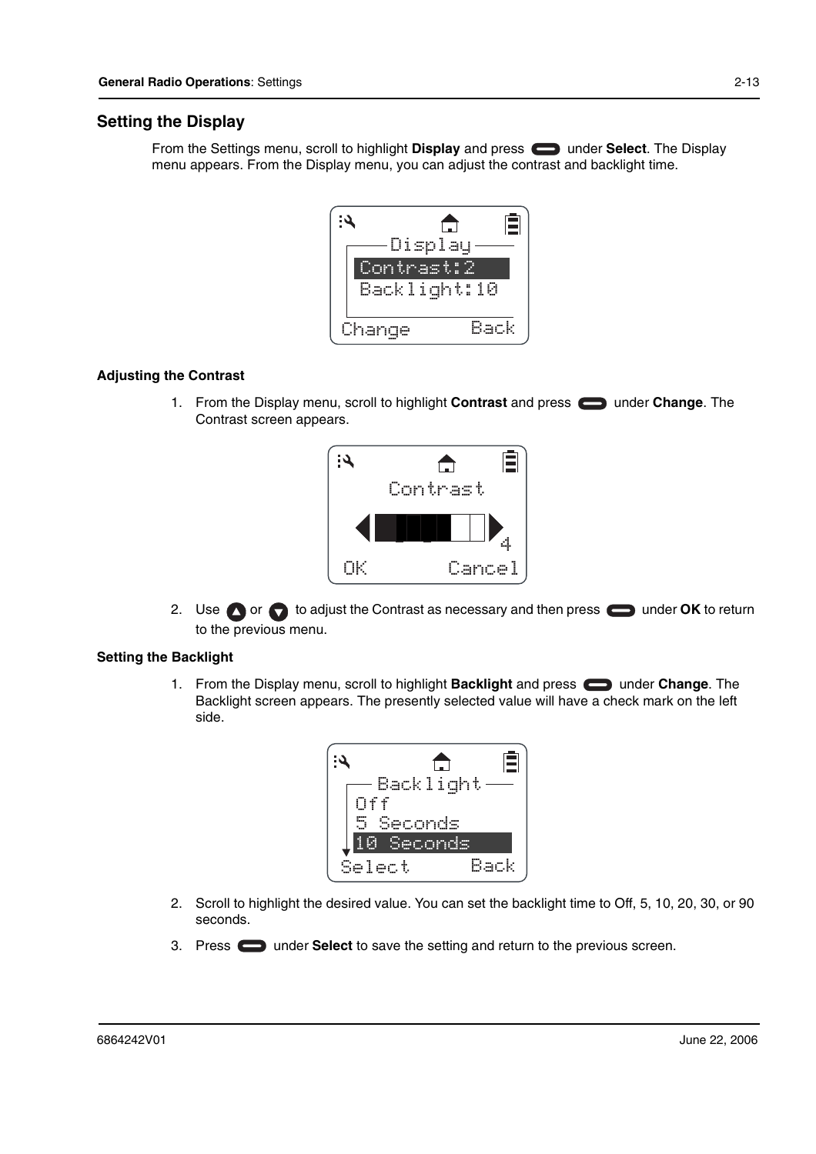#### **Setting the Display**

From the Settings menu, scroll to highlight **Display** and press **noting by under Select**. The Display menu appears. From the Display menu, you can adjust the contrast and backlight time.



#### **Adjusting the Contrast**

1. From the Display menu, scroll to highlight **Contrast** and press under **Change**. The Contrast screen appears.



2. Use or contrast as necessary and then press ounder OK to return to the previous menu.

#### **Setting the Backlight**

1. From the Display menu, scroll to highlight **Backlight** and press **see thange**. The Backlight screen appears. The presently selected value will have a check mark on the left side.



- 2. Scroll to highlight the desired value. You can set the backlight time to Off, 5, 10, 20, 30, or 90 seconds.
- 3. Press **the Select** to save the setting and return to the previous screen.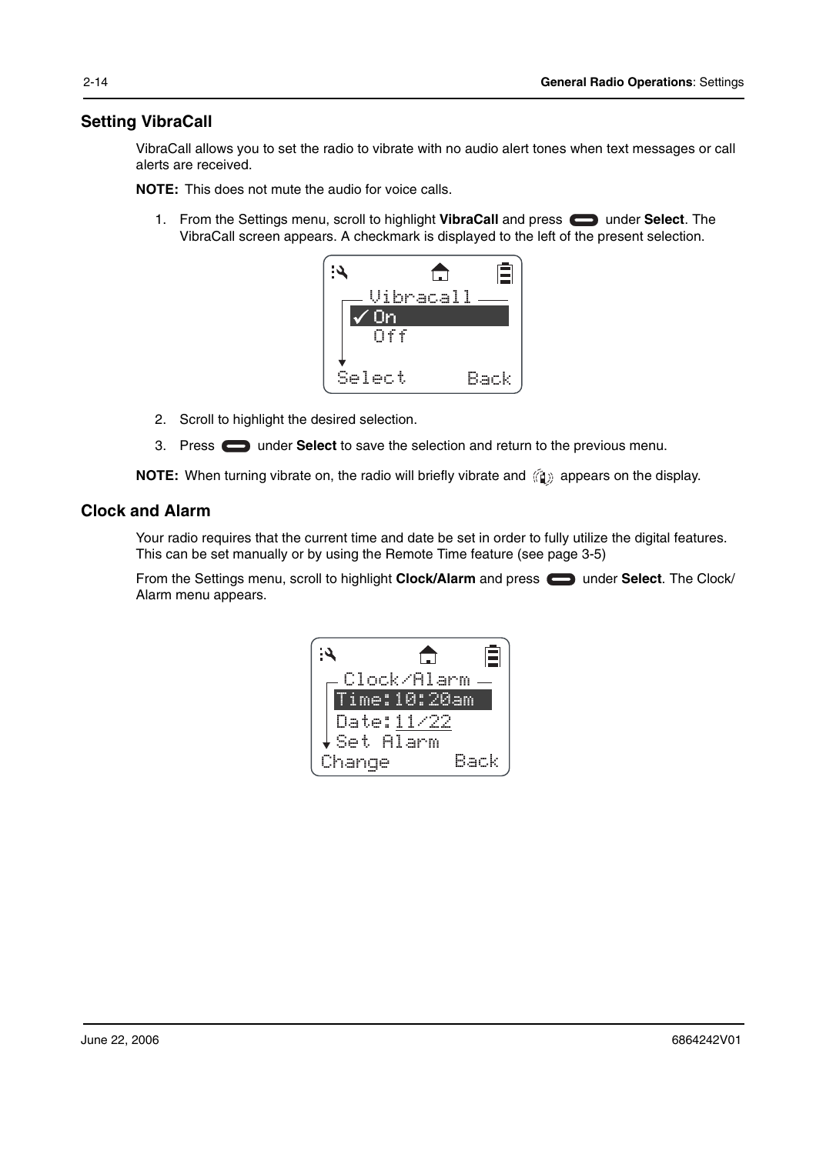#### **Setting VibraCall**

VibraCall allows you to set the radio to vibrate with no audio alert tones when text messages or call alerts are received.

**NOTE:** This does not mute the audio for voice calls.

1. From the Settings menu, scroll to highlight **VibraCall** and press **see that in Select**. The VibraCall screen appears. A checkmark is displayed to the left of the present selection.



- 2. Scroll to highlight the desired selection.
- 3. Press under **Select** to save the selection and return to the previous menu.

**NOTE:** When turning vibrate on, the radio will briefly vibrate and  $\langle \hat{a} \rangle$  appears on the display.

#### **Clock and Alarm**

Your radio requires that the current time and date be set in order to fully utilize the digital features. This can be set manually or by using the Remote Time feature (see page 3-5)

From the Settings menu, scroll to highlight **Clock/Alarm** and press **example in the Clock** The Clock/ Alarm menu appears.

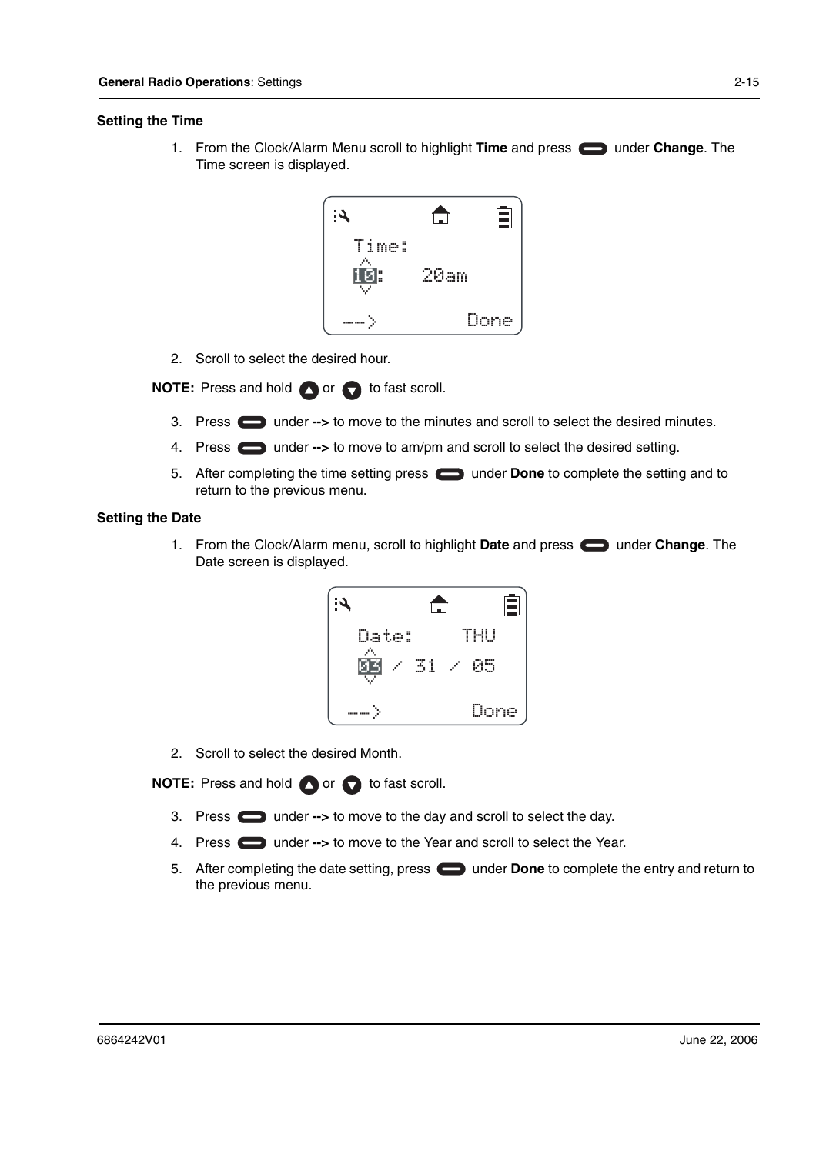#### **Setting the Time**

1. From the Clock/Alarm Menu scroll to highlight **Time** and press under **Change**. The Time screen is displayed.



2. Scroll to select the desired hour.

**NOTE:** Press and hold **O** or **C** to fast scroll.

- 3. Press **the under -->** to move to the minutes and scroll to select the desired minutes.
- 4. Press **the under -->** to move to am/pm and scroll to select the desired setting.
- 5. After completing the time setting press **that under Done** to complete the setting and to return to the previous menu.

#### **Setting the Date**

1. From the Clock/Alarm menu, scroll to highlight **Date** and press under **Change**. The Date screen is displayed.



2. Scroll to select the desired Month.

**NOTE:** Press and hold **O** or **C** to fast scroll.

- 3. Press **c** under --> to move to the day and scroll to select the day.
- 4. Press **the under -->** to move to the Year and scroll to select the Year.
- 5. After completing the date setting, press **in the Done** to complete the entry and return to the previous menu.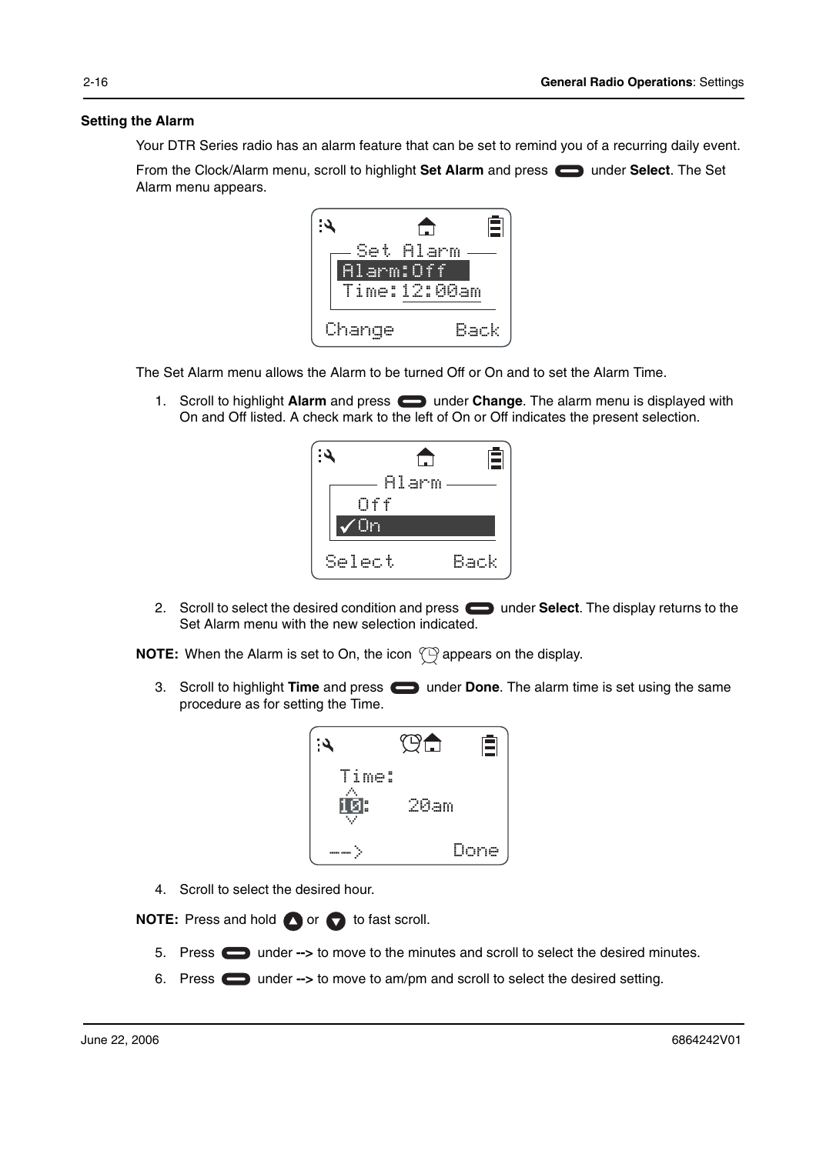#### **Setting the Alarm**

Your DTR Series radio has an alarm feature that can be set to remind you of a recurring daily event.

From the Clock/Alarm menu, scroll to highlight Set Alarm and press  $\Box$  under Select. The Set Alarm menu appears.



The Set Alarm menu allows the Alarm to be turned Off or On and to set the Alarm Time.

1. Scroll to highlight Alarm and press **in the Change**. The alarm menu is displayed with On and Off listed. A check mark to the left of On or Off indicates the present selection.



2. Scroll to select the desired condition and press **example 2** under **Select**. The display returns to the Set Alarm menu with the new selection indicated.

**NOTE:** When the Alarm is set to On, the icon  $\mathbb{C}$  appears on the display.

3. Scroll to highlight **Time** and press **that** under **Done**. The alarm time is set using the same procedure as for setting the Time.



4. Scroll to select the desired hour.

**NOTE:** Press and hold **O** or **C** to fast scroll.

- 5. Press  $\Box$  under --> to move to the minutes and scroll to select the desired minutes.
- 6. Press **the under -->** to move to am/pm and scroll to select the desired setting.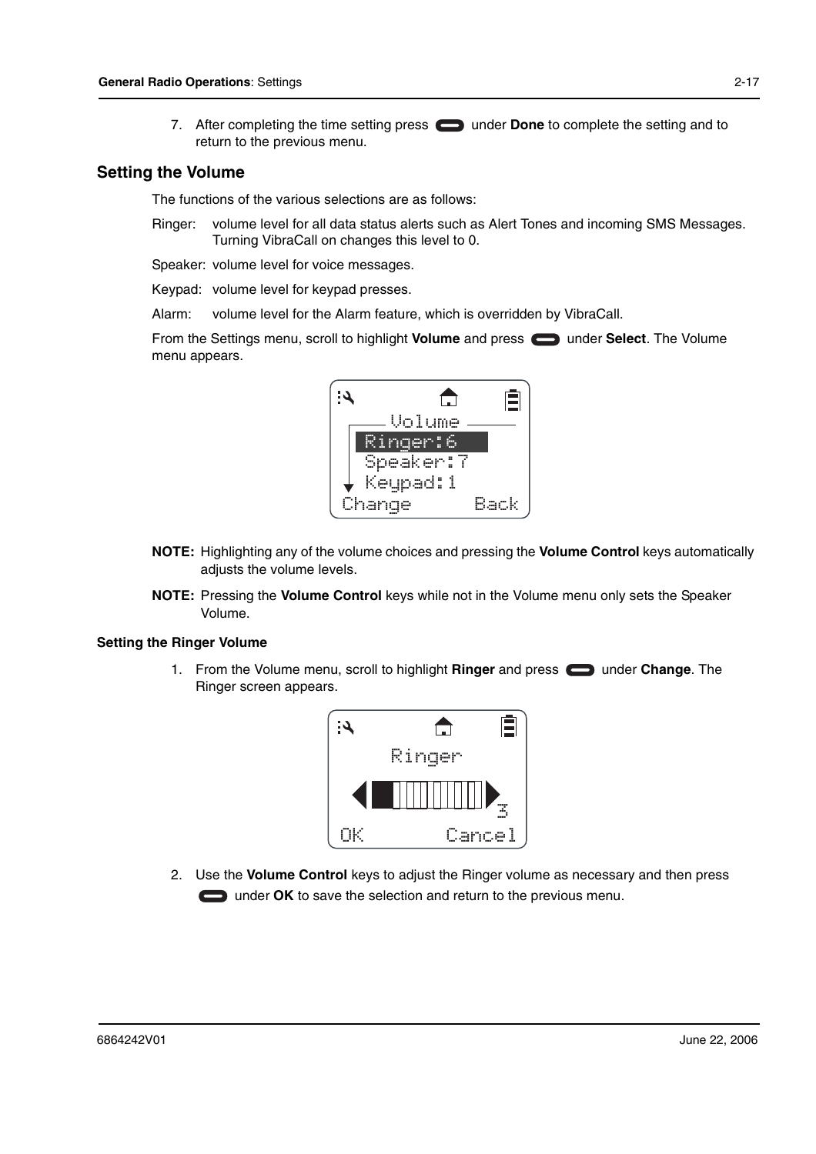7. After completing the time setting press **in the Done** to complete the setting and to return to the previous menu.

#### **Setting the Volume**

The functions of the various selections are as follows:

Ringer: volume level for all data status alerts such as Alert Tones and incoming SMS Messages. Turning VibraCall on changes this level to 0.

Speaker: volume level for voice messages.

Keypad: volume level for keypad presses.

Alarm: volume level for the Alarm feature, which is overridden by VibraCall.

From the Settings menu, scroll to highlight **Volume** and press **can under Select**. The Volume menu appears.



- **NOTE:** Highlighting any of the volume choices and pressing the **Volume Control** keys automatically adjusts the volume levels.
- **NOTE:** Pressing the **Volume Control** keys while not in the Volume menu only sets the Speaker Volume.

#### **Setting the Ringer Volume**

1. From the Volume menu, scroll to highlight **Ringer** and press under **Change**. The Ringer screen appears.



2. Use the **Volume Control** keys to adjust the Ringer volume as necessary and then press under **OK** to save the selection and return to the previous menu.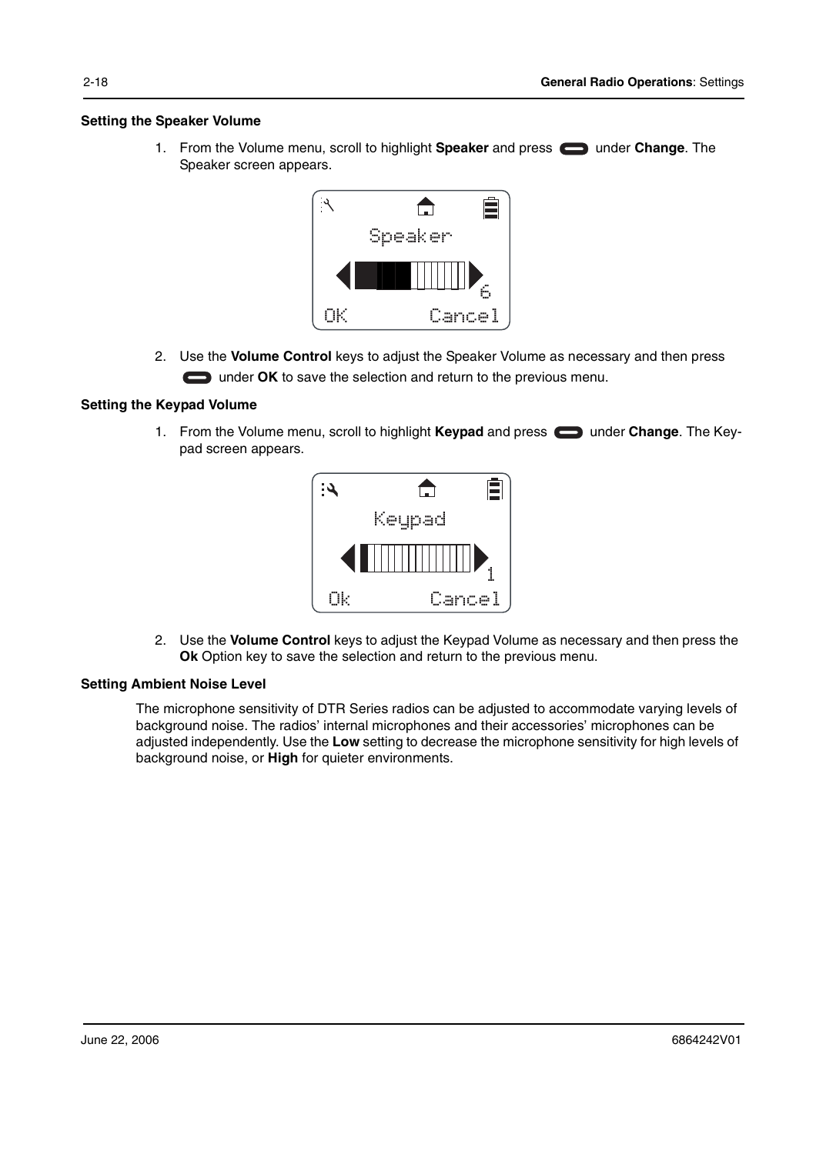#### **Setting the Speaker Volume**

1. From the Volume menu, scroll to highlight **Speaker** and press **example 20 under Change**. The Speaker screen appears.



2. Use the **Volume Control** keys to adjust the Speaker Volume as necessary and then press under **OK** to save the selection and return to the previous menu.

#### **Setting the Keypad Volume**

1. From the Volume menu, scroll to highlight **Keypad** and press **extend under Change**. The Keypad screen appears.



2. Use the **Volume Control** keys to adjust the Keypad Volume as necessary and then press the **Ok** Option key to save the selection and return to the previous menu.

#### **Setting Ambient Noise Level**

The microphone sensitivity of DTR Series radios can be adjusted to accommodate varying levels of background noise. The radios' internal microphones and their accessories' microphones can be adjusted independently. Use the **Low** setting to decrease the microphone sensitivity for high levels of background noise, or **High** for quieter environments.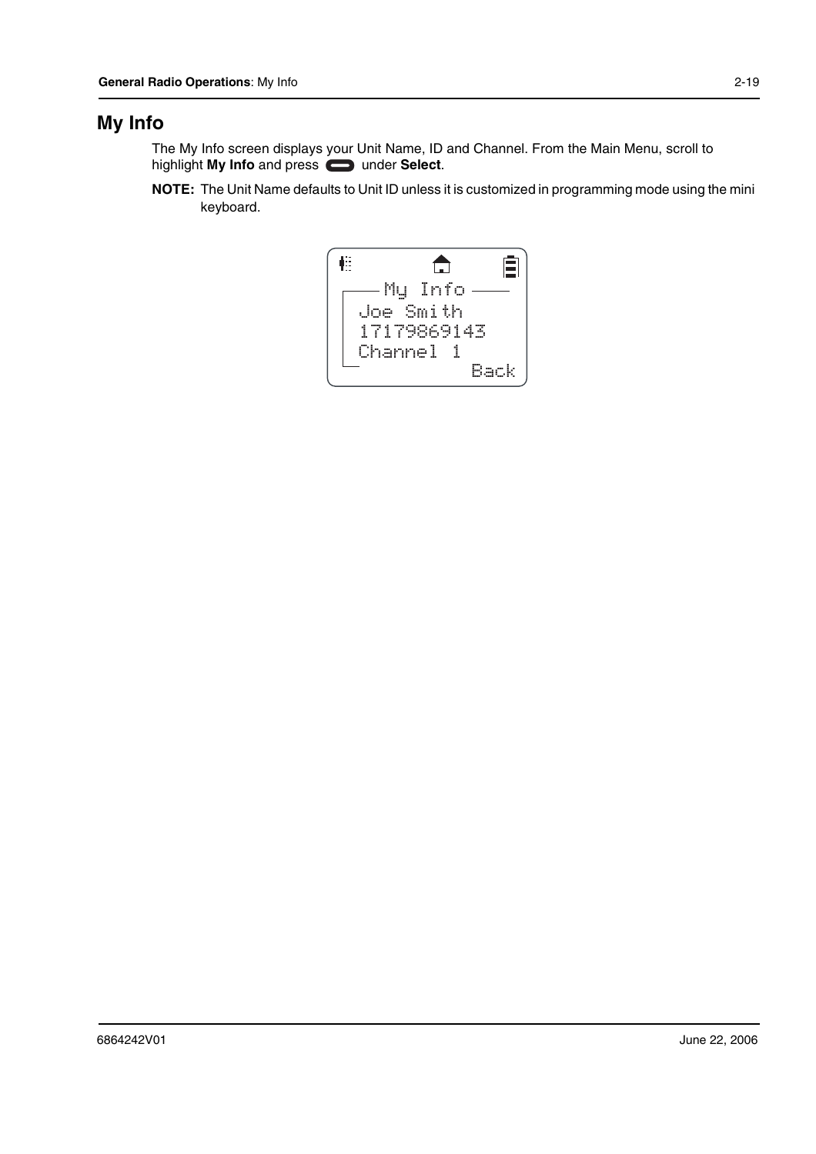## **My Info**

The My Info screen displays your Unit Name, ID and Channel. From the Main Menu, scroll to highlight My Info and press **compared Exercise** 

**NOTE:** The Unit Name defaults to Unit ID unless it is customized in programming mode using the mini keyboard.

自 框  $\bigoplus$ My Info Joe Smith 17179869143 Channel 1 Back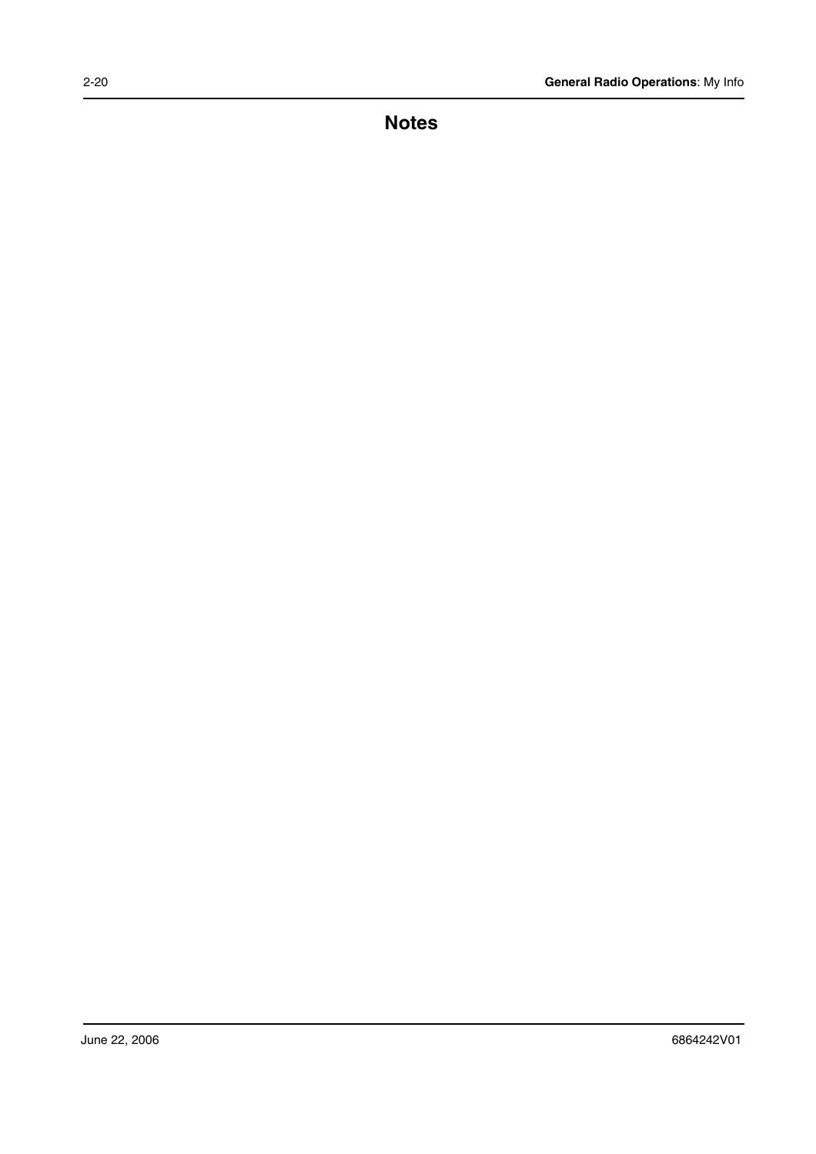**Notes**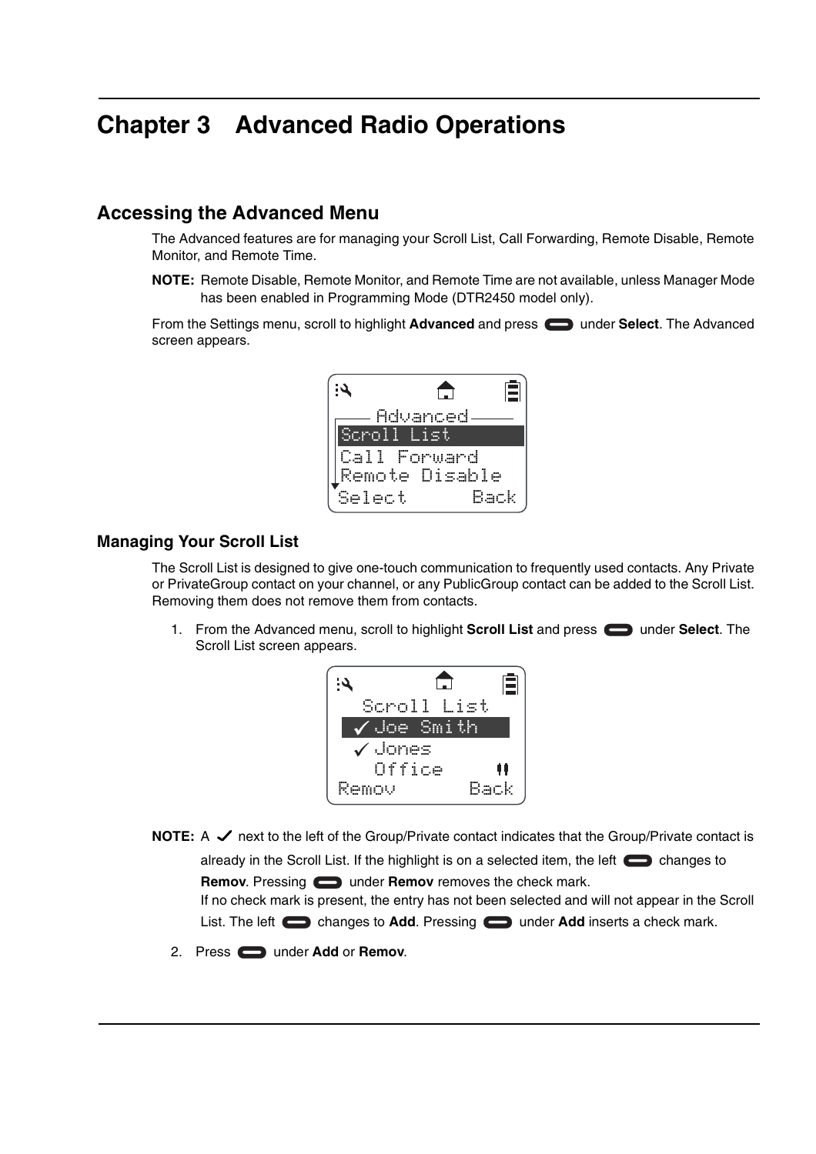## **Chapter 3 Advanced Radio Operations**

#### **Accessing the Advanced Menu**

The Advanced features are for managing your Scroll List, Call Forwarding, Remote Disable, Remote Monitor, and Remote Time.

**NOTE:** Remote Disable, Remote Monitor, and Remote Time are not available, unless Manager Mode has been enabled in Programming Mode (DTR2450 model only).

From the Settings menu, scroll to highlight **Advanced** and press **in Advanced** under **Select**. The Advanced screen appears.



#### **Managing Your Scroll List**

The Scroll List is designed to give one-touch communication to frequently used contacts. Any Private or PrivateGroup contact on your channel, or any PublicGroup contact can be added to the Scroll List. Removing them does not remove them from contacts.

1. From the Advanced menu, scroll to highlight **Scroll List** and press **secure Select**. The Scroll List screen appears.



**NOTE:** A  $\checkmark$  next to the left of the Group/Private contact indicates that the Group/Private contact is

already in the Scroll List. If the highlight is on a selected item, the left  $\Box$  changes to **Remov**. Pressing **example 2** under **Remov** removes the check mark.

If no check mark is present, the entry has not been selected and will not appear in the Scroll List. The left changes to **Add**. Pressing under **Add** inserts a check mark.

2. Press **example 2.** Under **Add** or **Remov.**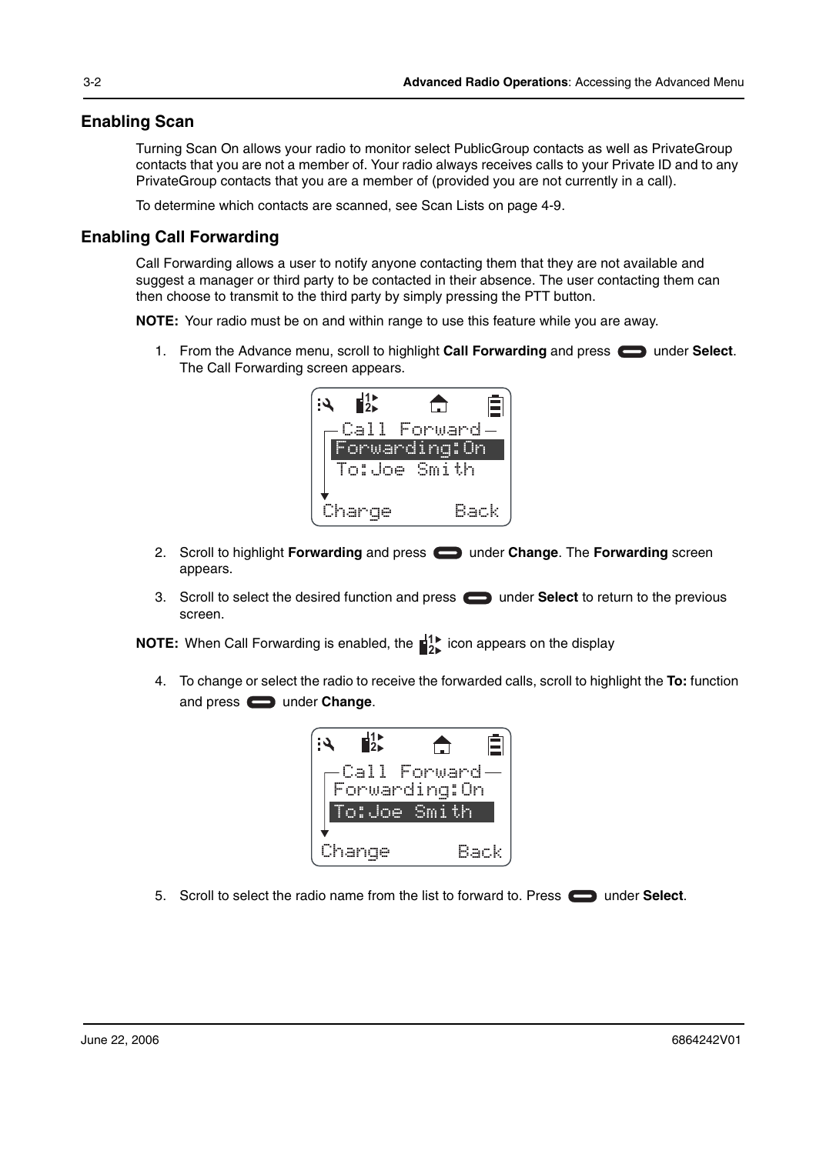#### **Enabling Scan**

Turning Scan On allows your radio to monitor select PublicGroup contacts as well as PrivateGroup contacts that you are not a member of. Your radio always receives calls to your Private ID and to any PrivateGroup contacts that you are a member of (provided you are not currently in a call).

To determine which contacts are scanned, see Scan Lists on page 4-9.

#### **Enabling Call Forwarding**

Call Forwarding allows a user to notify anyone contacting them that they are not available and suggest a manager or third party to be contacted in their absence. The user contacting them can then choose to transmit to the third party by simply pressing the PTT button.

**NOTE:** Your radio must be on and within range to use this feature while you are away.

1. From the Advance menu, scroll to highlight **Call Forwarding** and press **example 10 Select**. The Call Forwarding screen appears.



- 2. Scroll to highlight **Forwarding** and press **example 2. Change**. The **Forwarding** screen appears.
- 3. Scroll to select the desired function and press **the properties and select** to return to the previous screen.

**NOTE:** When Call Forwarding is enabled, the  $\frac{1}{2}$  icon appears on the display

4. To change or select the radio to receive the forwarded calls, scroll to highlight the **To:** function and press  $\implies$  under **Change**.



5. Scroll to select the radio name from the list to forward to. Press **the under Select**.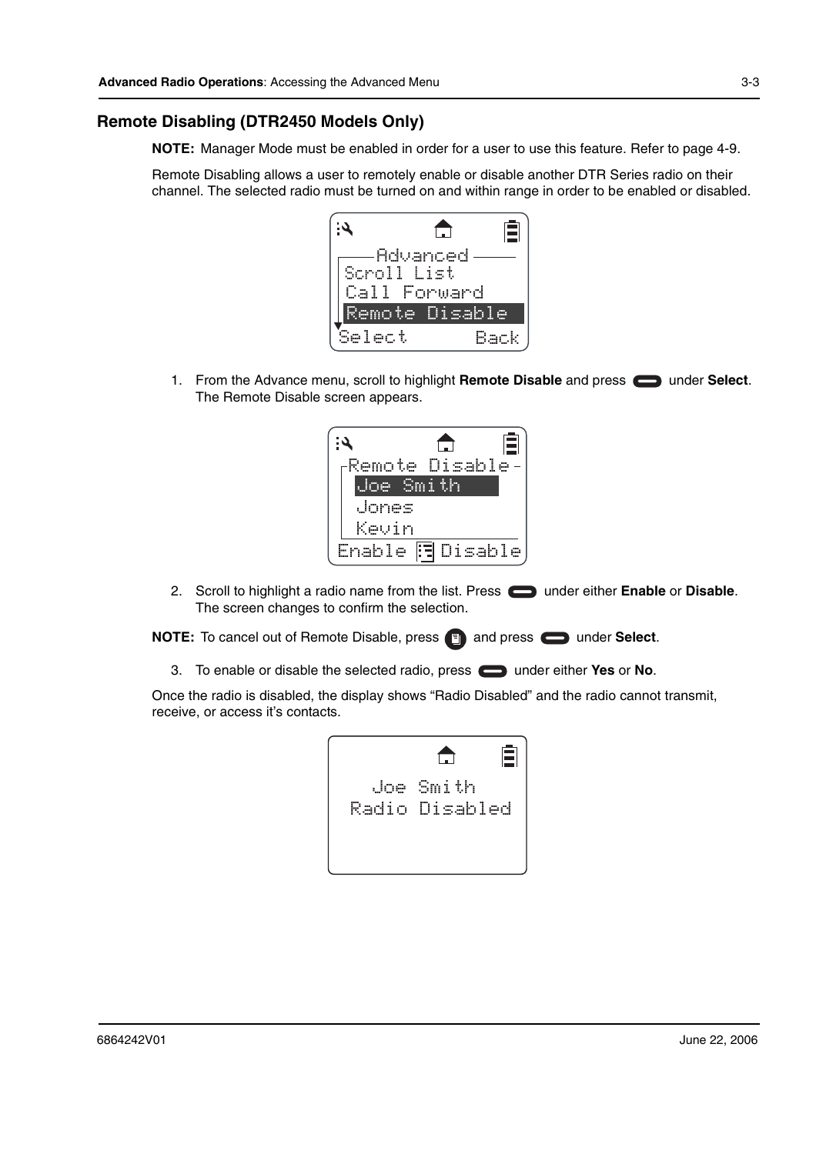#### **Remote Disabling (DTR2450 Models Only)**

**NOTE:** Manager Mode must be enabled in order for a user to use this feature. Refer to page 4-9.

Remote Disabling allows a user to remotely enable or disable another DTR Series radio on their channel. The selected radio must be turned on and within range in order to be enabled or disabled.



1. From the Advance menu, scroll to highlight **Remote Disable** and press **some inder Select**. The Remote Disable screen appears.



2. Scroll to highlight a radio name from the list. Press **come under either Enable** or **Disable**. The screen changes to confirm the selection.

**NOTE:** To cancel out of Remote Disable, press and press **and presect.** 

3. To enable or disable the selected radio, press under either **Yes** or **No**.

Once the radio is disabled, the display shows "Radio Disabled" and the radio cannot transmit, receive, or access it's contacts.

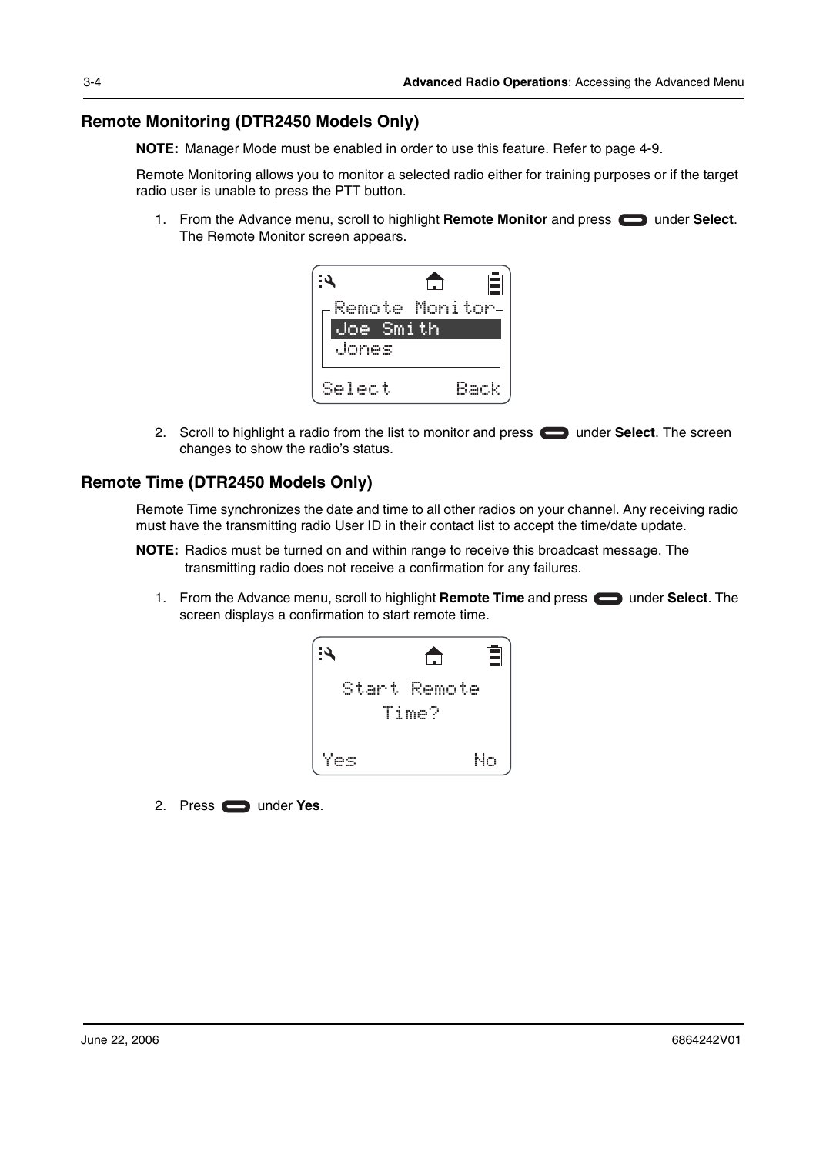#### **Remote Monitoring (DTR2450 Models Only)**

**NOTE:** Manager Mode must be enabled in order to use this feature. Refer to page 4-9.

Remote Monitoring allows you to monitor a selected radio either for training purposes or if the target radio user is unable to press the PTT button.

1. From the Advance menu, scroll to highlight Remote Monitor and press **or a** under Select. The Remote Monitor screen appears.



2. Scroll to highlight a radio from the list to monitor and press  $\Box$  under **Select**. The screen changes to show the radio's status.

#### **Remote Time (DTR2450 Models Only)**

Remote Time synchronizes the date and time to all other radios on your channel. Any receiving radio must have the transmitting radio User ID in their contact list to accept the time/date update.

- **NOTE:** Radios must be turned on and within range to receive this broadcast message. The transmitting radio does not receive a confirmation for any failures.
	- 1. From the Advance menu, scroll to highlight **Remote Time** and press **can** under **Select**. The screen displays a confirmation to start remote time.



2. Press under **Yes**.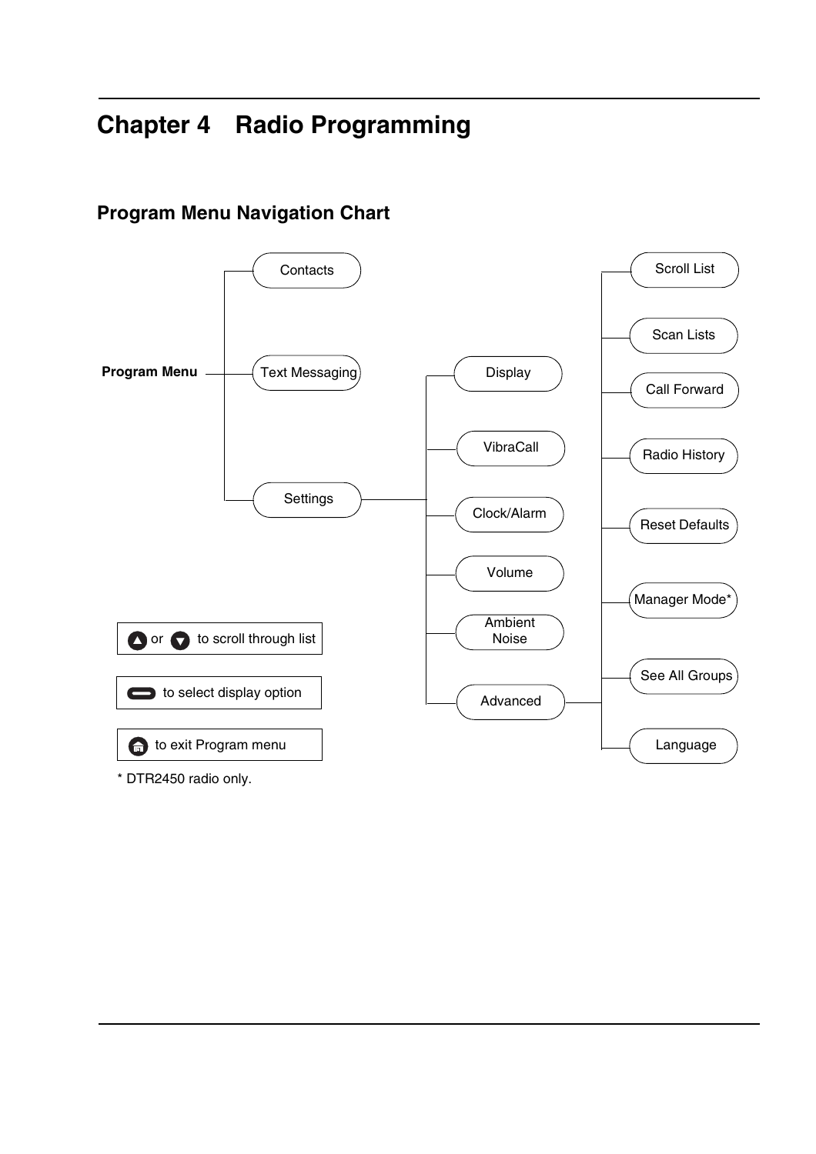## **Chapter 4 Radio Programming**



## **Program Menu Navigation Chart**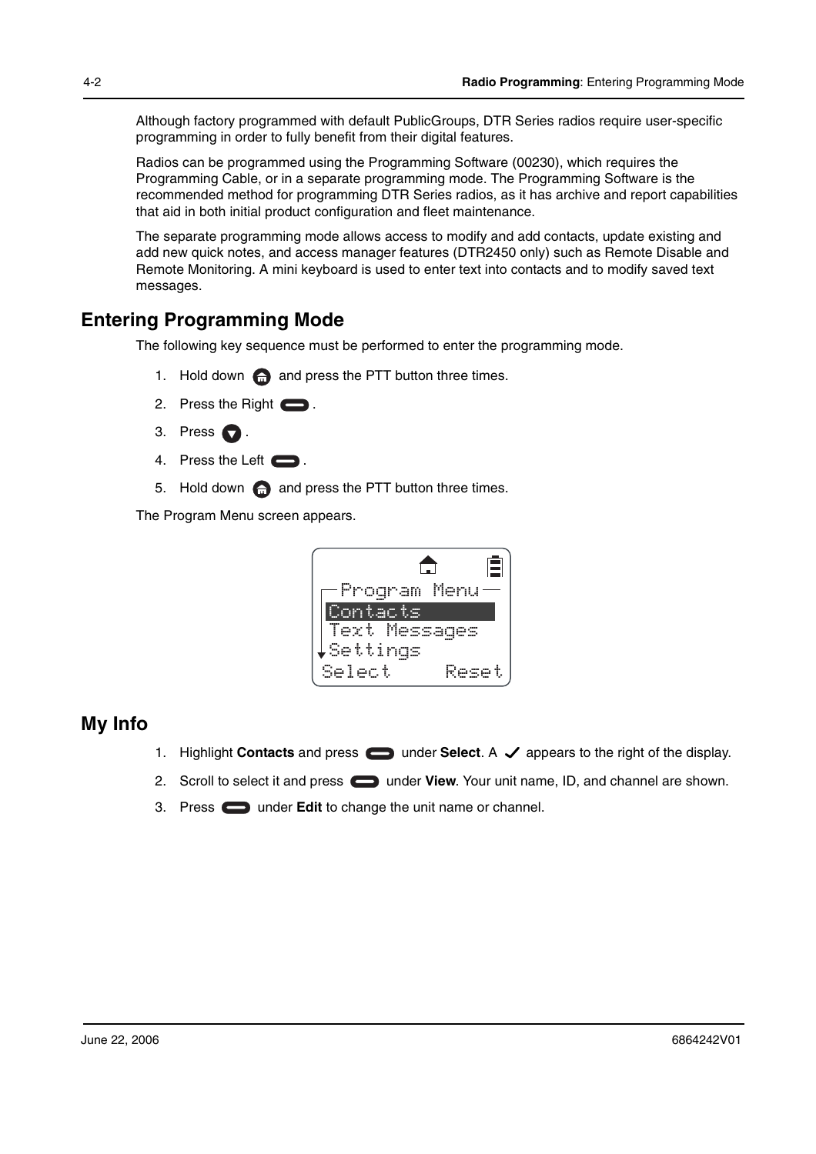Although factory programmed with default PublicGroups, DTR Series radios require user-specific programming in order to fully benefit from their digital features.

Radios can be programmed using the Programming Software (00230), which requires the Programming Cable, or in a separate programming mode. The Programming Software is the recommended method for programming DTR Series radios, as it has archive and report capabilities that aid in both initial product configuration and fleet maintenance.

The separate programming mode allows access to modify and add contacts, update existing and add new quick notes, and access manager features (DTR2450 only) such as Remote Disable and Remote Monitoring. A mini keyboard is used to enter text into contacts and to modify saved text messages.

### **Entering Programming Mode**

The following key sequence must be performed to enter the programming mode.

- 1. Hold down  $\bigoplus$  and press the PTT button three times.
- 2. Press the Right  $\blacksquare$ .
- 3. Press  $\bigcirc$ .
- 4. Press the Left  $\blacksquare$ .
- 5. Hold down  $\bigcap$  and press the PTT button three times.

The Program Menu screen appears.



### **My Info**

- 1. Highlight **Contacts** and press  $\Box$  under **Select**. A  $\angle$  appears to the right of the display.
- 2. Scroll to select it and press **in the View**. Your unit name, ID, and channel are shown.
- 3. Press **the under Edit** to change the unit name or channel.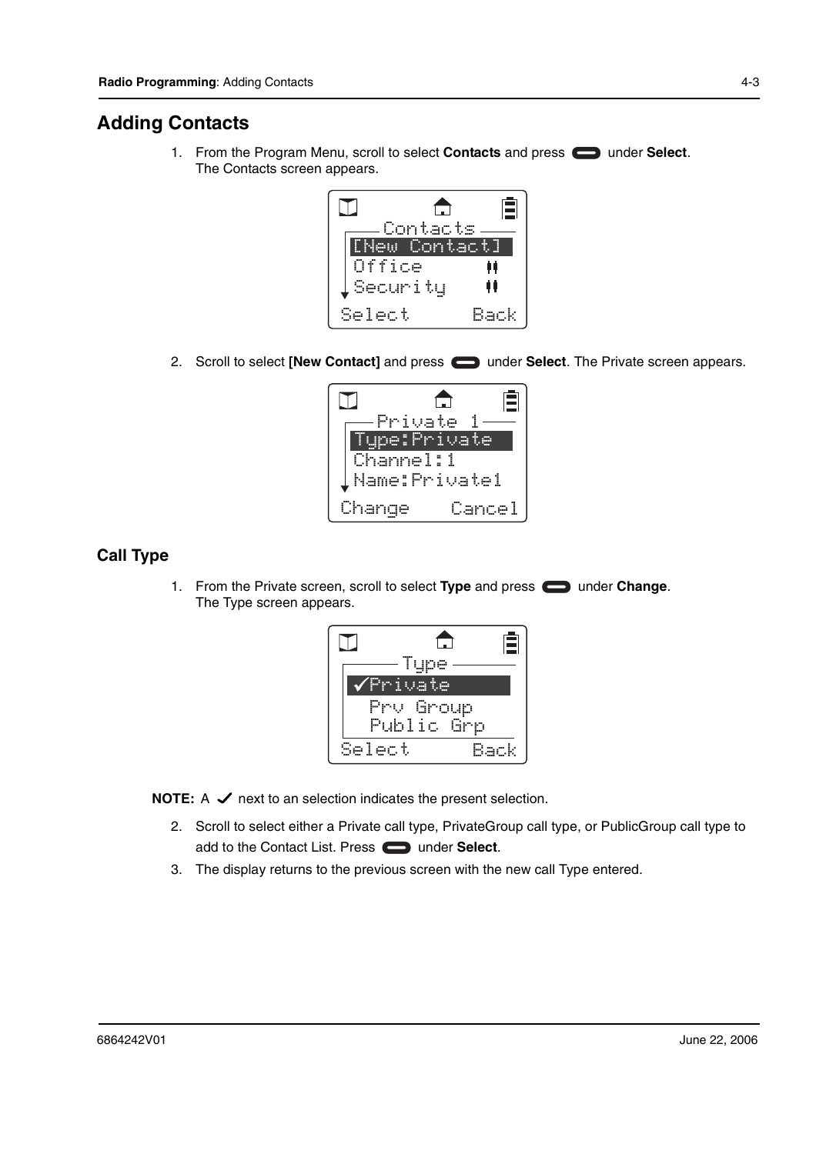### **Adding Contacts**

1. From the Program Menu, scroll to select **Contacts** and press **example 1** under **Select**. The Contacts screen appears.



2. Scroll to select [New Contact] and press **in the Select**. The Private screen appears.



#### **Call Type**

1. From the Private screen, scroll to select Type and press **can** under **Change**. The Type screen appears.



**NOTE:**  $A \nightharpoonup$  next to an selection indicates the present selection.

- 2. Scroll to select either a Private call type, PrivateGroup call type, or PublicGroup call type to add to the Contact List. Press **example 2** under **Select**.
- 3. The display returns to the previous screen with the new call Type entered.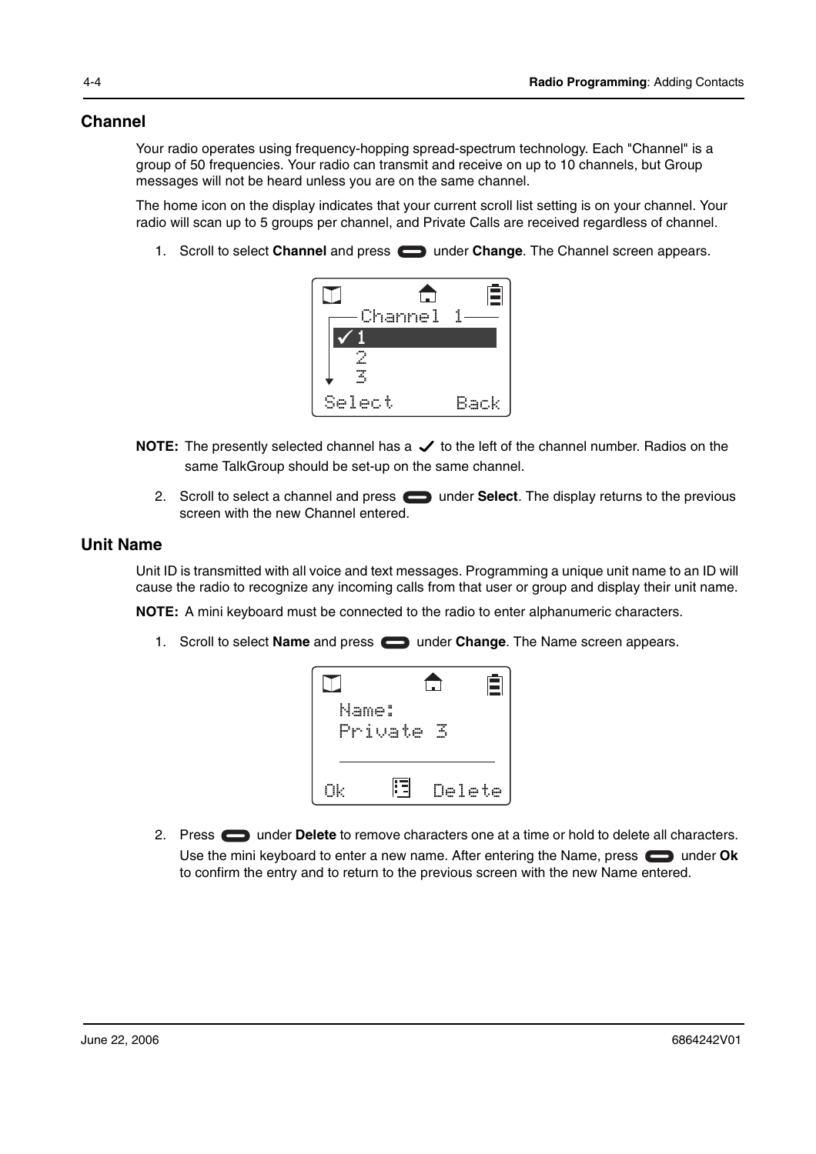#### **Channel**

Your radio operates using frequency-hopping spread-spectrum technology. Each "Channel" is a group of 50 frequencies. Your radio can transmit and receive on up to 10 channels, but Group messages will not be heard unless you are on the same channel.

The home icon on the display indicates that your current scroll list setting is on your channel. Your radio will scan up to 5 groups per channel, and Private Calls are received regardless of channel.

1. Scroll to select **Channel** and press **example 2 under Change**. The Channel screen appears.



- **NOTE:** The presently selected channel has a  $\checkmark$  to the left of the channel number. Radios on the same TalkGroup should be set-up on the same channel.
	- 2. Scroll to select a channel and press **example 2.** under **Select**. The display returns to the previous screen with the new Channel entered.

#### **Unit Name**

Unit ID is transmitted with all voice and text messages. Programming a unique unit name to an ID will cause the radio to recognize any incoming calls from that user or group and display their unit name.

**NOTE:** A mini keyboard must be connected to the radio to enter alphanumeric characters.

1. Scroll to select **Name** and press **in the Change**. The Name screen appears.



2. Press **the under Delete** to remove characters one at a time or hold to delete all characters. Use the mini keyboard to enter a new name. After entering the Name, press  $\Box$  under  $\alpha$ k to confirm the entry and to return to the previous screen with the new Name entered.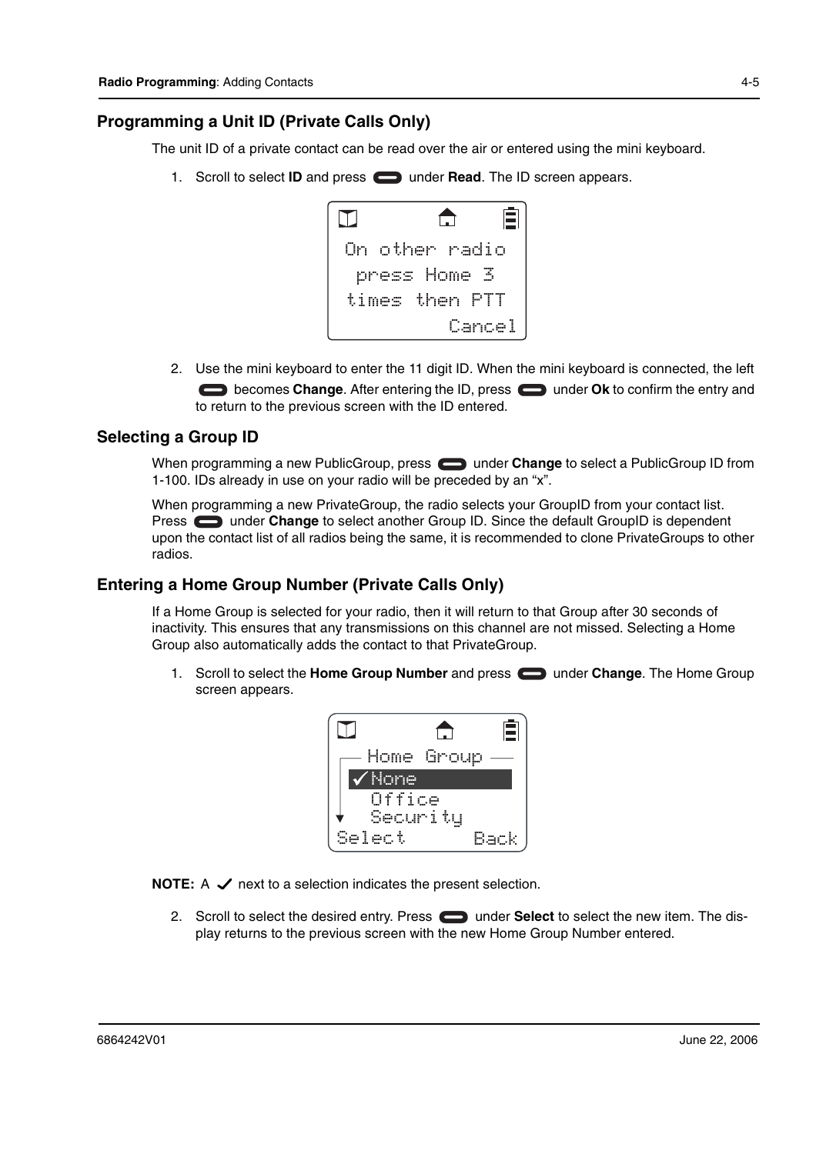#### **Programming a Unit ID (Private Calls Only)**

The unit ID of a private contact can be read over the air or entered using the mini keyboard.

1. Scroll to select **ID** and press **notated** under **Read**. The ID screen appears.

| ıIJ |                | E |
|-----|----------------|---|
|     | On other radio |   |
|     | press Home 3   |   |
|     | times then PTT |   |
|     | Cancel         |   |

2. Use the mini keyboard to enter the 11 digit ID. When the mini keyboard is connected, the left **becomes Change.** After entering the ID, press **than the CK** to confirm the entry and to return to the previous screen with the ID entered.

#### **Selecting a Group ID**

When programming a new PublicGroup, press **example 20 under Change** to select a PublicGroup ID from 1-100. IDs already in use on your radio will be preceded by an "x".

When programming a new PrivateGroup, the radio selects your GroupID from your contact list. **Press computer Change** to select another Group ID. Since the default GroupID is dependent upon the contact list of all radios being the same, it is recommended to clone PrivateGroups to other radios.

#### **Entering a Home Group Number (Private Calls Only)**

If a Home Group is selected for your radio, then it will return to that Group after 30 seconds of inactivity. This ensures that any transmissions on this channel are not missed. Selecting a Home Group also automatically adds the contact to that PrivateGroup.

1. Scroll to select the **Home Group Number** and press **exampler Change**. The Home Group screen appears.

|      | Home Group |  |
|------|------------|--|
| None |            |  |
|      | Office     |  |
|      | Security   |  |
| ect  |            |  |

**NOTE:**  $A \nightharpoonup$  next to a selection indicates the present selection.

2. Scroll to select the desired entry. Press **in the Select** to select the new item. The display returns to the previous screen with the new Home Group Number entered.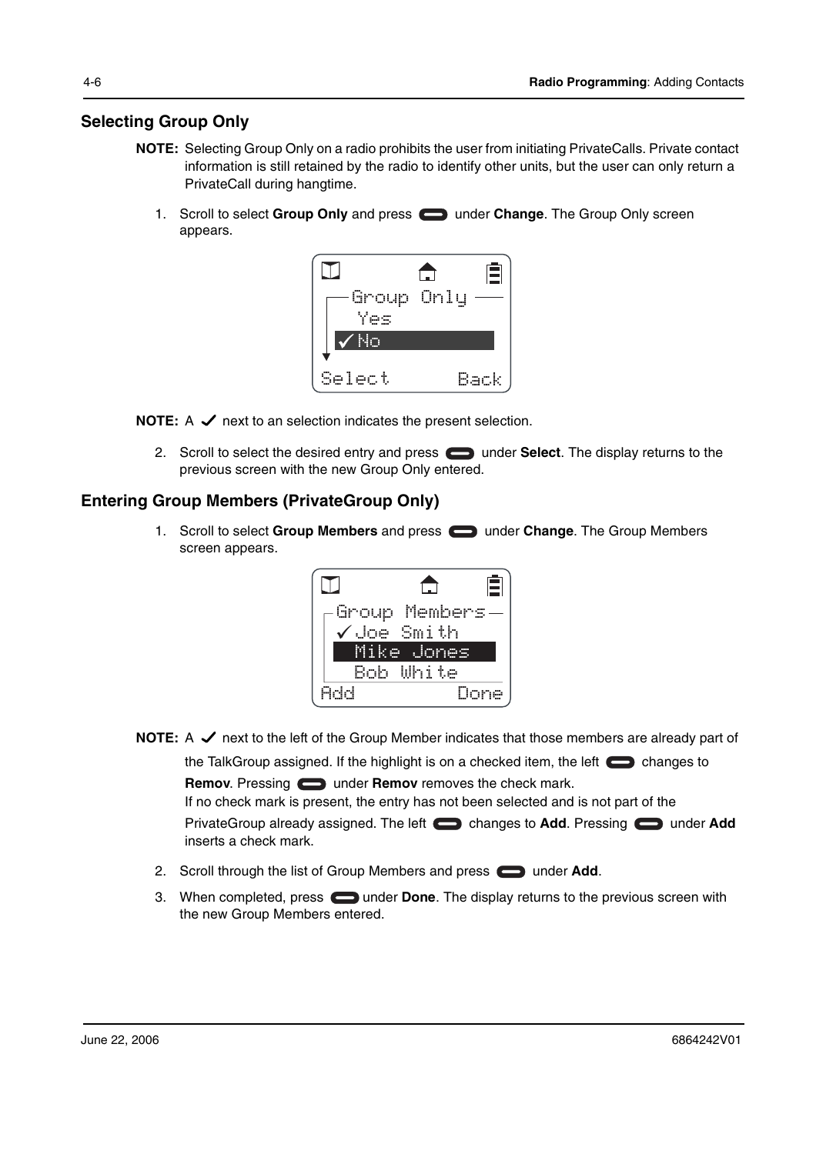#### **Selecting Group Only**

- **NOTE:** Selecting Group Only on a radio prohibits the user from initiating PrivateCalls. Private contact information is still retained by the radio to identify other units, but the user can only return a PrivateCall during hangtime.
	- 1. Scroll to select **Group Only** and press **see thange**. The Group Only screen appears.



**NOTE:**  $A \nightharpoonup$  next to an selection indicates the present selection.

2. Scroll to select the desired entry and press **seem** under **Select**. The display returns to the previous screen with the new Group Only entered.

#### **Entering Group Members (PrivateGroup Only)**

1. Scroll to select Group Members and press **in the Change**. The Group Members screen appears.



- **NOTE:** A  $\checkmark$  next to the left of the Group Member indicates that those members are already part of the TalkGroup assigned. If the highlight is on a checked item, the left  $\Box$  changes to **Remov**. Pressing **example 2** under **Remov** removes the check mark. If no check mark is present, the entry has not been selected and is not part of the PrivateGroup already assigned. The left changes to **Add**. Pressing computer Add inserts a check mark.
	- 2. Scroll through the list of Group Members and press **the under Add.**
	- 3. When completed, press **inter 1** under **Done**. The display returns to the previous screen with the new Group Members entered.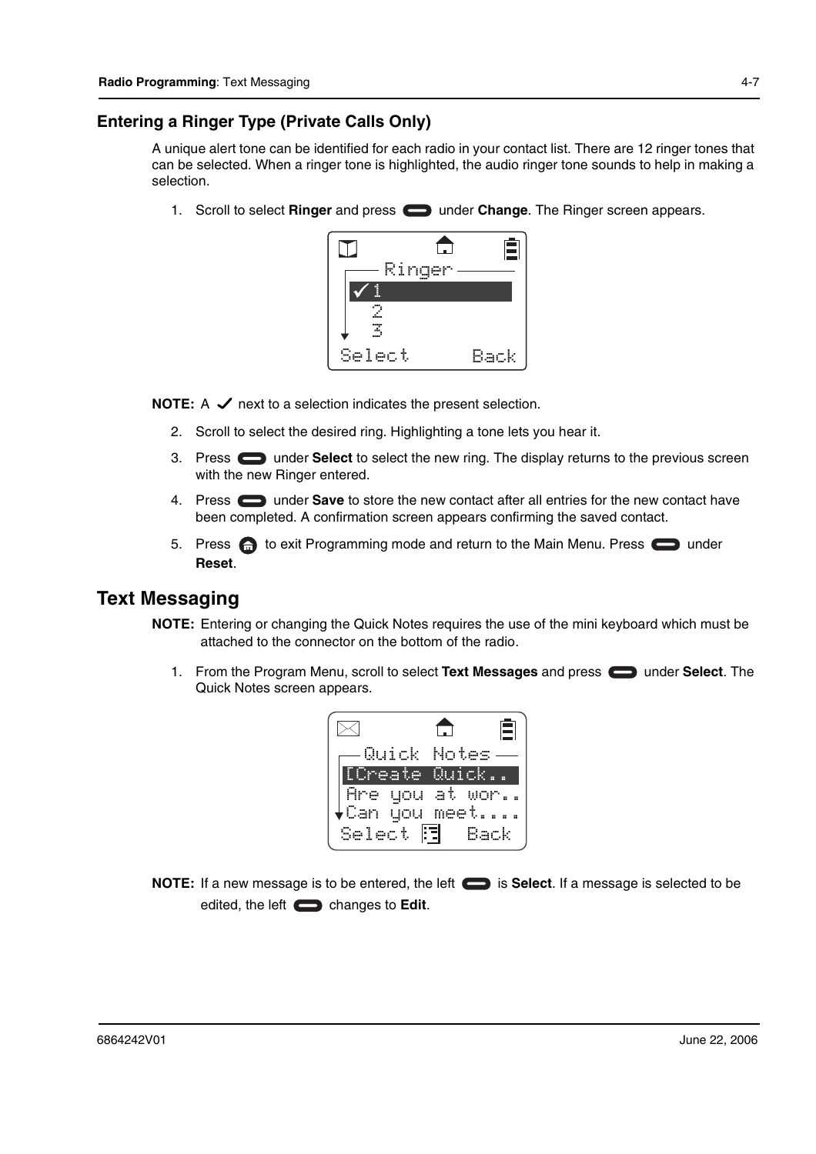#### **Entering a Ringer Type (Private Calls Only)**

A unique alert tone can be identified for each radio in your contact list. There are 12 ringer tones that can be selected. When a ringer tone is highlighted, the audio ringer tone sounds to help in making a selection.

1. Scroll to select **Ringer** and press **exampler Change**. The Ringer screen appears.



**NOTE:**  $A \nightharpoondown$  next to a selection indicates the present selection.

- 2. Scroll to select the desired ring. Highlighting a tone lets you hear it.
- 3. Press under **Select** to select the new ring. The display returns to the previous screen with the new Ringer entered.
- 4. Press under **Save** to store the new contact after all entries for the new contact have been completed. A confirmation screen appears confirming the saved contact.
- 5. Press **the beam of the State Times of the Main Menu. Press** on the Main Menu. Press and example the Main Menu. Press and the value of the Main Menu. Press and the value of the Value of the Value of the Value of the Valu **Reset**.

### **Text Messaging**

- **NOTE:** Entering or changing the Quick Notes requires the use of the mini keyboard which must be attached to the connector on the bottom of the radio.
	- 1. From the Program Menu, scroll to select Text Messages and press  $\Box$  under Select. The Quick Notes screen appears.



**NOTE:** If a new message is to be entered, the left  $\Box$  is **Select**. If a message is selected to be edited, the left changes to **Edit**.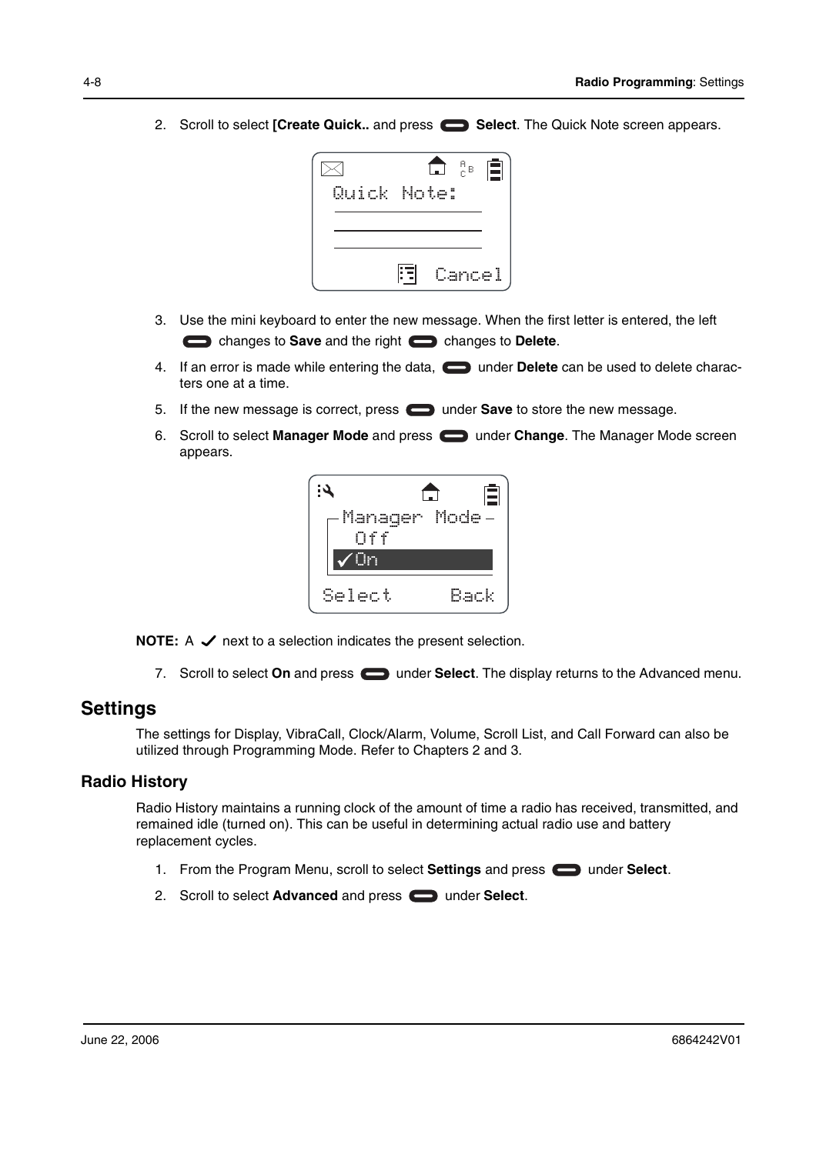2. Scroll to select **[Create Quick..** and press **Select**. The Quick Note screen appears.



- 3. Use the mini keyboard to enter the new message. When the first letter is entered, the left changes to **Save** and the right changes to **Delete**.
- 4. If an error is made while entering the data, **in the Delete** can be used to delete characters one at a time.
- 5. If the new message is correct, press **in the Save** to store the new message.
- 6. Scroll to select **Manager Mode** and press under **Change**. The Manager Mode screen appears.



**NOTE:**  $A \nightharpoonup$  next to a selection indicates the present selection.

7. Scroll to select **On** and press **1. Select**. The display returns to the Advanced menu.

#### **Settings**

The settings for Display, VibraCall, Clock/Alarm, Volume, Scroll List, and Call Forward can also be utilized through Programming Mode. Refer to Chapters 2 and 3.

#### **Radio History**

Radio History maintains a running clock of the amount of time a radio has received, transmitted, and remained idle (turned on). This can be useful in determining actual radio use and battery replacement cycles.

- 1. From the Program Menu, scroll to select **Settings** and press **some inder Select**.
- 2. Scroll to select **Advanced** and press **example 3** under **Select**.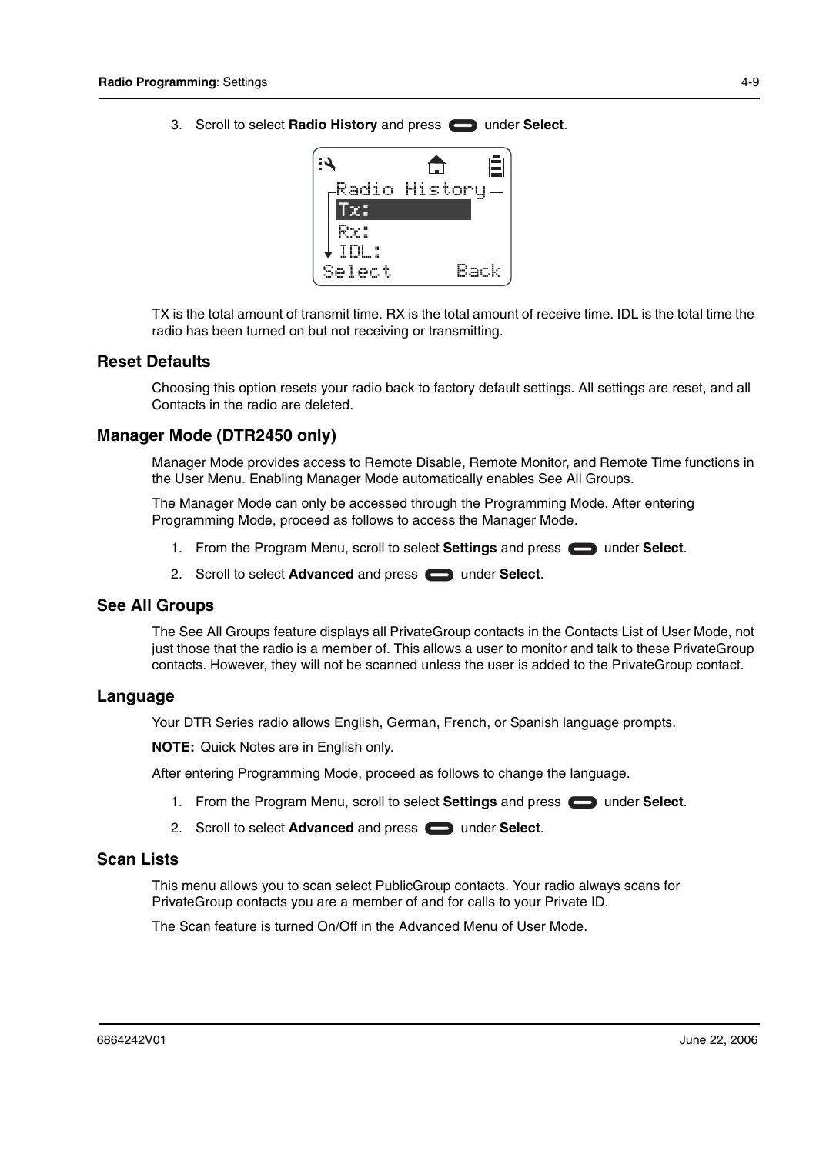3. Scroll to select **Radio History** and press **example 3.** under **Select**.



TX is the total amount of transmit time. RX is the total amount of receive time. IDL is the total time the radio has been turned on but not receiving or transmitting.

#### **Reset Defaults**

Choosing this option resets your radio back to factory default settings. All settings are reset, and all Contacts in the radio are deleted.

#### **Manager Mode (DTR2450 only)**

Manager Mode provides access to Remote Disable, Remote Monitor, and Remote Time functions in the User Menu. Enabling Manager Mode automatically enables See All Groups.

The Manager Mode can only be accessed through the Programming Mode. After entering Programming Mode, proceed as follows to access the Manager Mode.

- 1. From the Program Menu, scroll to select **Settings** and press **in the select**.
- 2. Scroll to select **Advanced** and press **soul and and Select**.

#### **See All Groups**

The See All Groups feature displays all PrivateGroup contacts in the Contacts List of User Mode, not just those that the radio is a member of. This allows a user to monitor and talk to these PrivateGroup contacts. However, they will not be scanned unless the user is added to the PrivateGroup contact.

#### **Language**

Your DTR Series radio allows English, German, French, or Spanish language prompts.

**NOTE:** Quick Notes are in English only.

After entering Programming Mode, proceed as follows to change the language.

- 1. From the Program Menu, scroll to select **Settings** and press **example 1** under **Select**.
- 2. Scroll to select **Advanced** and press **example 3** under **Select**.

#### **Scan Lists**

This menu allows you to scan select PublicGroup contacts. Your radio always scans for PrivateGroup contacts you are a member of and for calls to your Private ID.

The Scan feature is turned On/Off in the Advanced Menu of User Mode.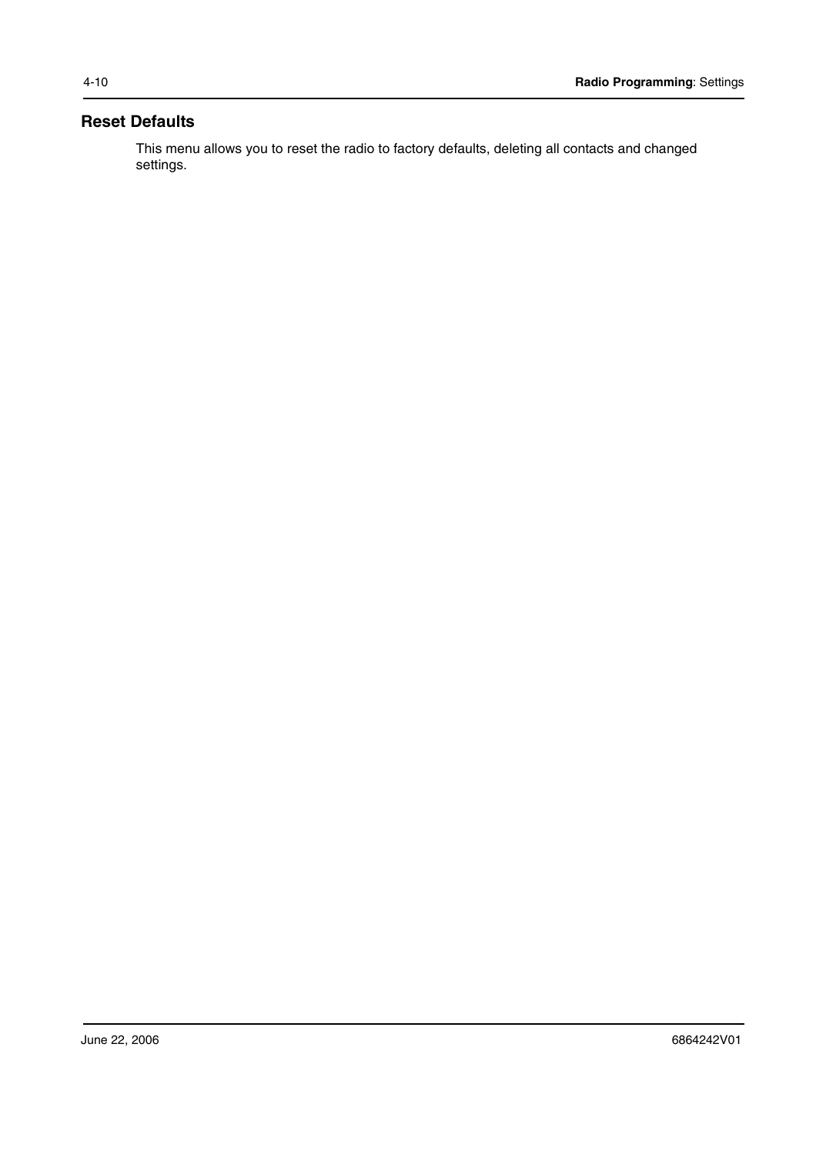#### **Reset Defaults**

This menu allows you to reset the radio to factory defaults, deleting all contacts and changed settings.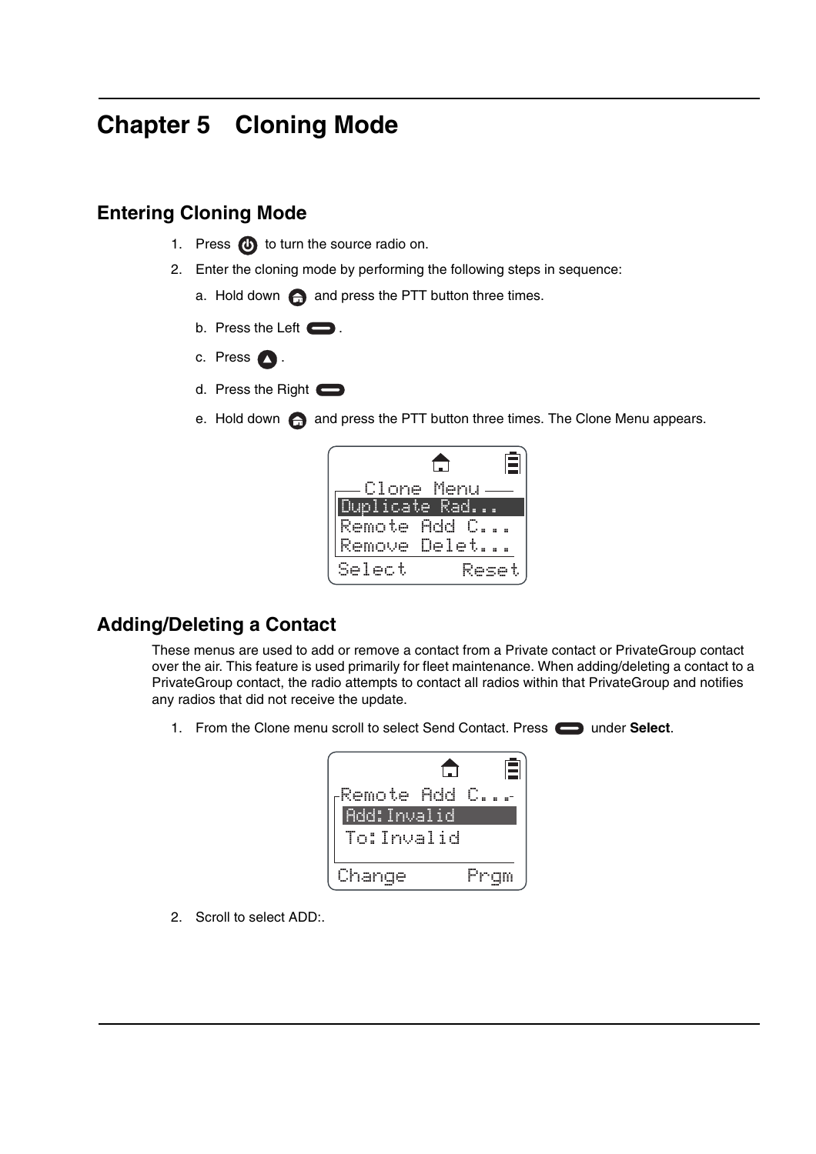## **Chapter 5 Cloning Mode**

### **Entering Cloning Mode**

- 1. Press  $\bigoplus$  to turn the source radio on.
- 2. Enter the cloning mode by performing the following steps in sequence:
	- a. Hold down  $\bigoplus$  and press the PTT button three times.
	- b. Press the Left  $\Box$ .
	- c. Press  $\bigcirc$ .
	- d. Press the Right
	- e. Hold down  $\bigoplus$  and press the PTT button three times. The Clone Menu appears.

| Clone Menu         |  |
|--------------------|--|
| <u>plicate Rad</u> |  |
| Remote Add C.      |  |
| Remove Delet       |  |
| elect<br>ч.,       |  |

## **Adding/Deleting a Contact**

These menus are used to add or remove a contact from a Private contact or PrivateGroup contact over the air. This feature is used primarily for fleet maintenance. When adding/deleting a contact to a PrivateGroup contact, the radio attempts to contact all radios within that PrivateGroup and notifies any radios that did not receive the update.

1. From the Clone menu scroll to select Send Contact. Press **can** under Select.

|                     | Ē |
|---------------------|---|
| Remote Add          |   |
| <u> Add:Invalid</u> |   |
| To:Invalid          |   |
| Change              |   |

2. Scroll to select ADD:.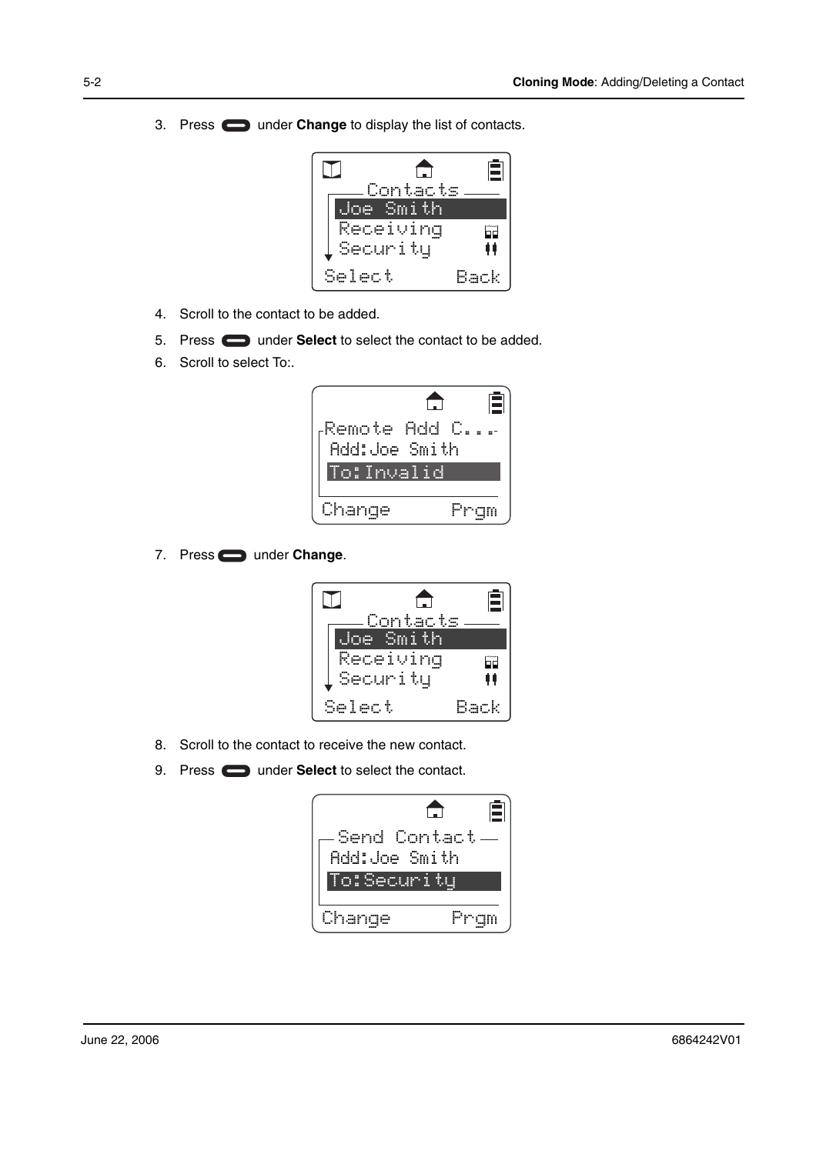3. Press under **Change** to display the list of contacts.



- 4. Scroll to the contact to be added.
- 5. Press **or** under **Select** to select the contact to be added.
- 6. Scroll to select To:.

|                                | tij |
|--------------------------------|-----|
| Remote Add C.<br>Add:Joe Smith |     |
| To:Invalid                     |     |
| Change                         |     |

7. Press **under Change**.

|        |           | (章)  |
|--------|-----------|------|
|        | Contacts  |      |
| . Ine  | -Smith    |      |
|        | Receiving |      |
|        | Security  | 00   |
| Select |           | Back |

- 8. Scroll to the contact to receive the new contact.
- 9. Press **the under Select** to select the contact.

| Send Contact<br>Add:Joe Smith |  |
|-------------------------------|--|
| To:Security                   |  |
| Change                        |  |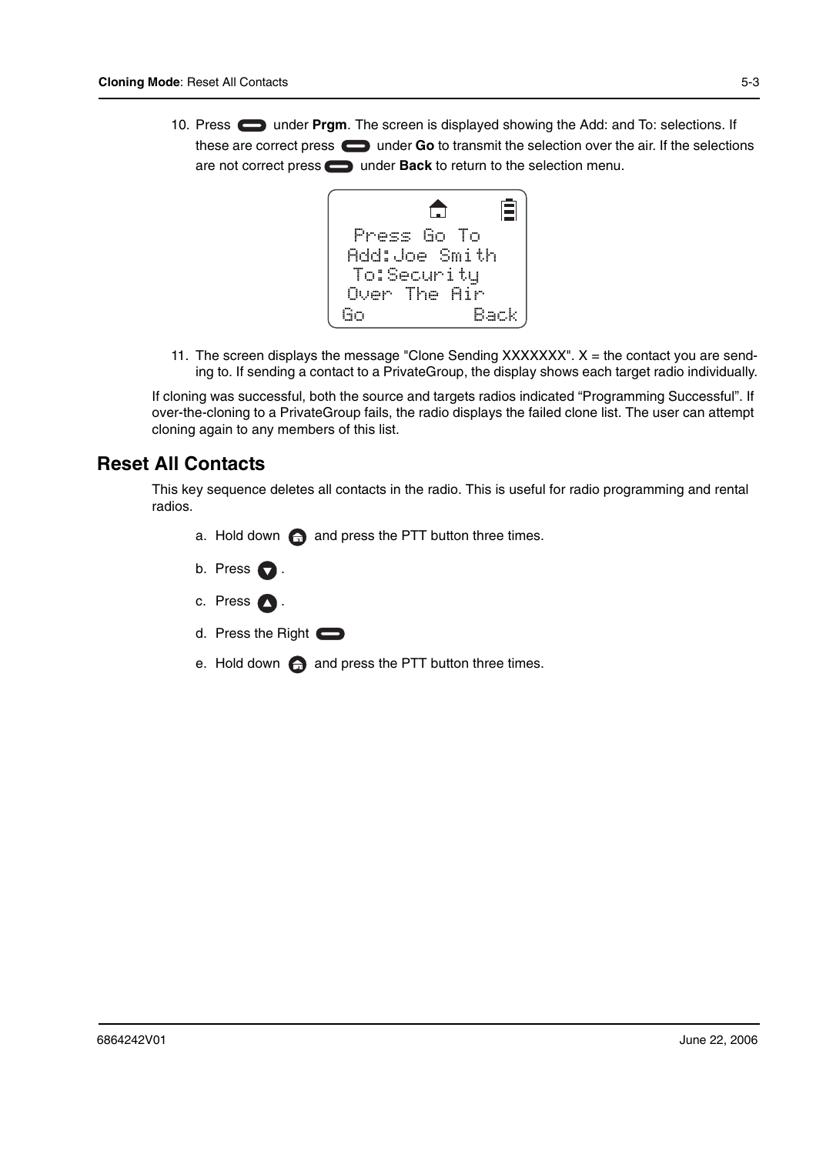10. Press **the United States under Prgm**. The screen is displayed showing the Add: and To: selections. If these are correct press **the under Go** to transmit the selection over the air. If the selections are not correct press **in the Back** to return to the selection menu.



11. The screen displays the message "Clone Sending  $XXXXXX"$ .  $X =$  the contact you are sending to. If sending a contact to a PrivateGroup, the display shows each target radio individually.

If cloning was successful, both the source and targets radios indicated "Programming Successful". If over-the-cloning to a PrivateGroup fails, the radio displays the failed clone list. The user can attempt cloning again to any members of this list.

### **Reset All Contacts**

This key sequence deletes all contacts in the radio. This is useful for radio programming and rental radios.

- a. Hold down  $\bigoplus$  and press the PTT button three times.
- b. Press  $\bigcirc$ .
- c. Press  $\bigcirc$ .
- d. Press the Right
- e. Hold down  $\bigoplus$  and press the PTT button three times.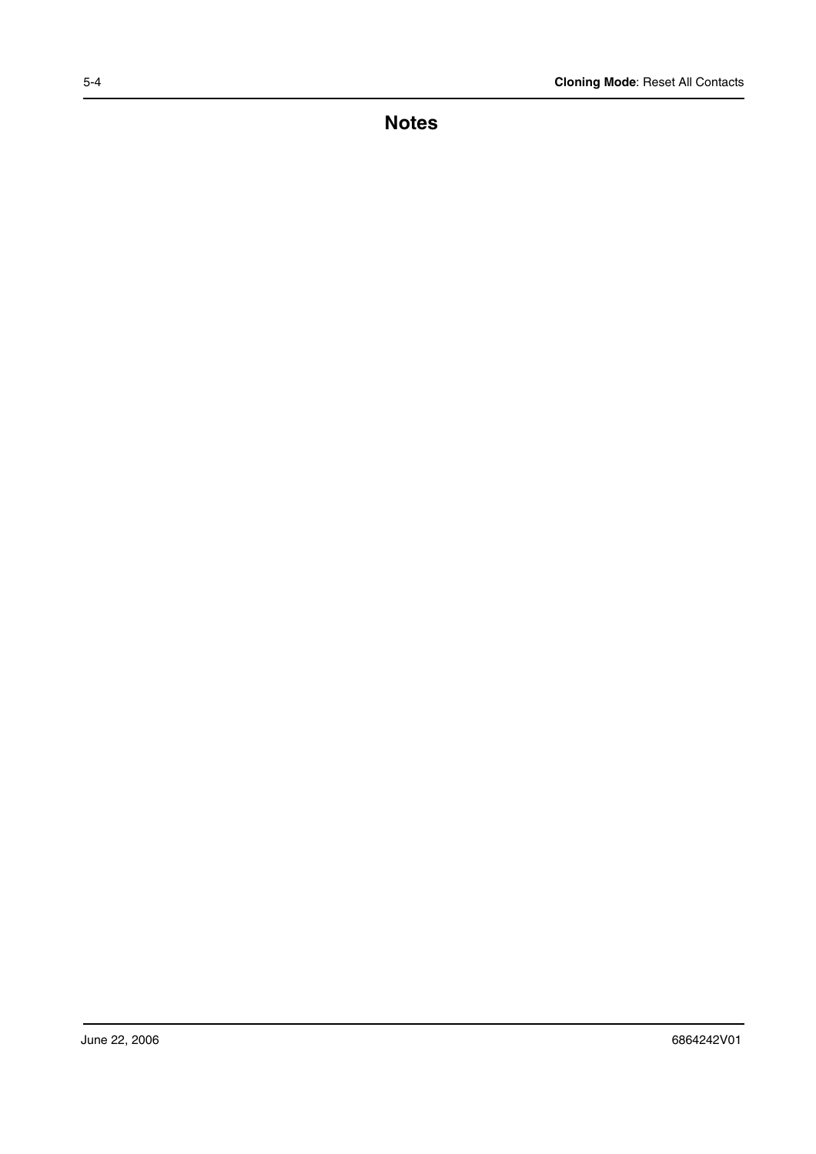**Notes**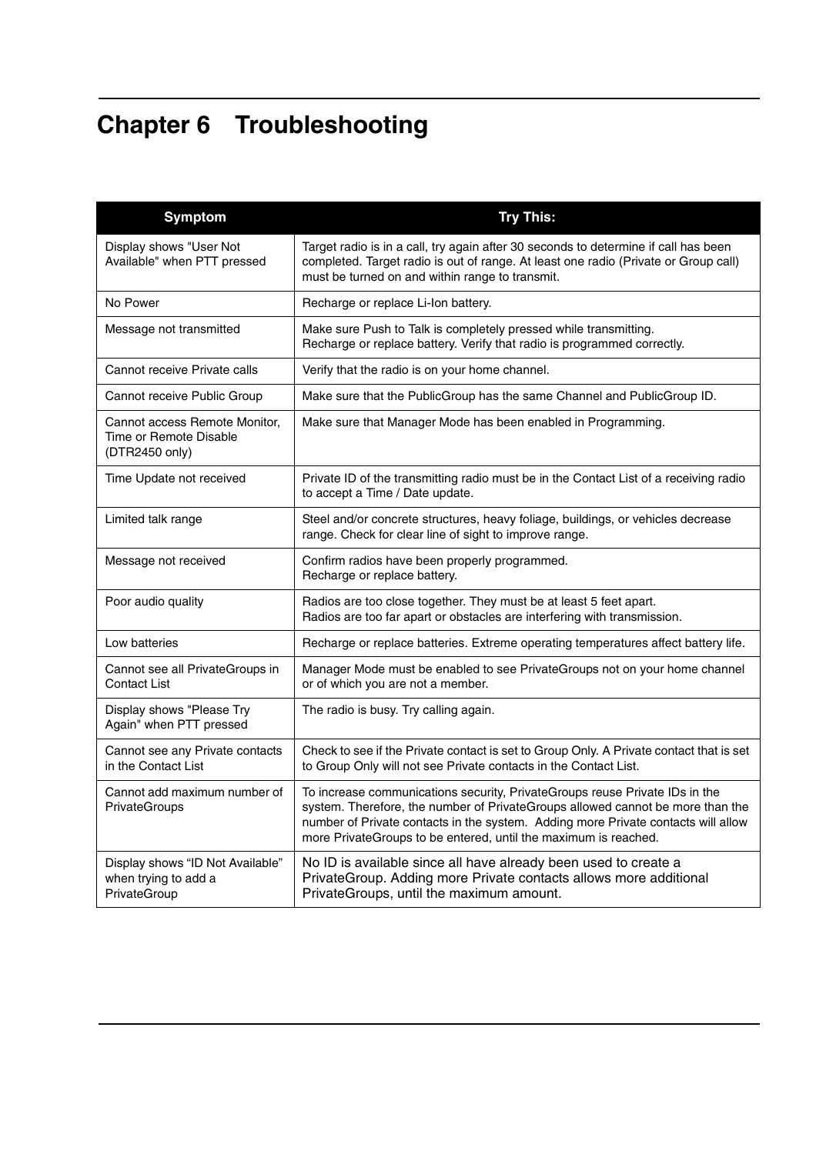# **Chapter 6 Troubleshooting**

| <b>Symptom</b>                                                            | <b>Try This:</b>                                                                                                                                                                                                                                                                                                      |
|---------------------------------------------------------------------------|-----------------------------------------------------------------------------------------------------------------------------------------------------------------------------------------------------------------------------------------------------------------------------------------------------------------------|
| Display shows "User Not<br>Available" when PTT pressed                    | Target radio is in a call, try again after 30 seconds to determine if call has been<br>completed. Target radio is out of range. At least one radio (Private or Group call)<br>must be turned on and within range to transmit.                                                                                         |
| No Power                                                                  | Recharge or replace Li-Ion battery.                                                                                                                                                                                                                                                                                   |
| Message not transmitted                                                   | Make sure Push to Talk is completely pressed while transmitting.<br>Recharge or replace battery. Verify that radio is programmed correctly.                                                                                                                                                                           |
| Cannot receive Private calls                                              | Verify that the radio is on your home channel.                                                                                                                                                                                                                                                                        |
| Cannot receive Public Group                                               | Make sure that the PublicGroup has the same Channel and PublicGroup ID.                                                                                                                                                                                                                                               |
| Cannot access Remote Monitor,<br>Time or Remote Disable<br>(DTR2450 only) | Make sure that Manager Mode has been enabled in Programming.                                                                                                                                                                                                                                                          |
| Time Update not received                                                  | Private ID of the transmitting radio must be in the Contact List of a receiving radio<br>to accept a Time / Date update.                                                                                                                                                                                              |
| Limited talk range                                                        | Steel and/or concrete structures, heavy foliage, buildings, or vehicles decrease<br>range. Check for clear line of sight to improve range.                                                                                                                                                                            |
| Message not received                                                      | Confirm radios have been properly programmed.<br>Recharge or replace battery.                                                                                                                                                                                                                                         |
| Poor audio quality                                                        | Radios are too close together. They must be at least 5 feet apart.<br>Radios are too far apart or obstacles are interfering with transmission.                                                                                                                                                                        |
| Low batteries                                                             | Recharge or replace batteries. Extreme operating temperatures affect battery life.                                                                                                                                                                                                                                    |
| Cannot see all PrivateGroups in<br><b>Contact List</b>                    | Manager Mode must be enabled to see PrivateGroups not on your home channel<br>or of which you are not a member.                                                                                                                                                                                                       |
| Display shows "Please Try<br>Again" when PTT pressed                      | The radio is busy. Try calling again.                                                                                                                                                                                                                                                                                 |
| Cannot see any Private contacts<br>in the Contact List                    | Check to see if the Private contact is set to Group Only. A Private contact that is set<br>to Group Only will not see Private contacts in the Contact List.                                                                                                                                                           |
| Cannot add maximum number of<br>PrivateGroups                             | To increase communications security, PrivateGroups reuse Private IDs in the<br>system. Therefore, the number of PrivateGroups allowed cannot be more than the<br>number of Private contacts in the system. Adding more Private contacts will allow<br>more PrivateGroups to be entered, until the maximum is reached. |
| Display shows "ID Not Available"<br>when trying to add a<br>PrivateGroup  | No ID is available since all have already been used to create a<br>PrivateGroup. Adding more Private contacts allows more additional<br>PrivateGroups, until the maximum amount.                                                                                                                                      |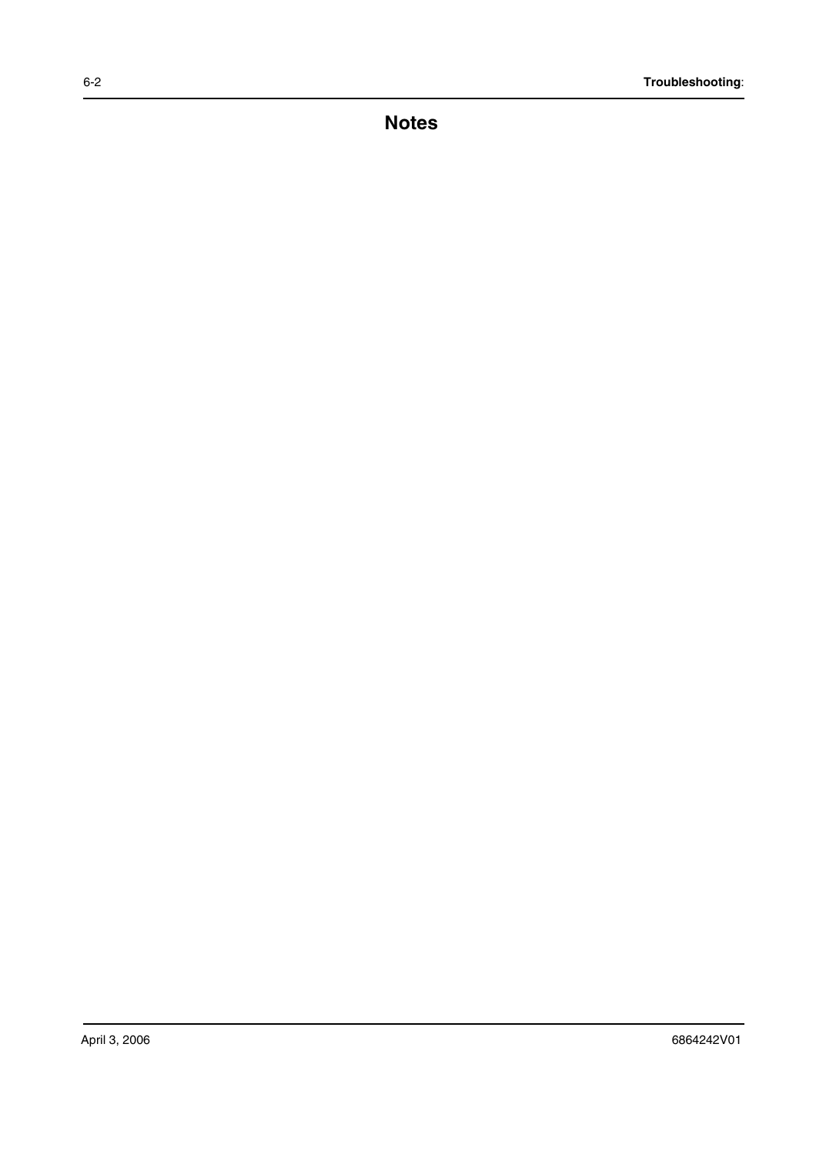**Notes**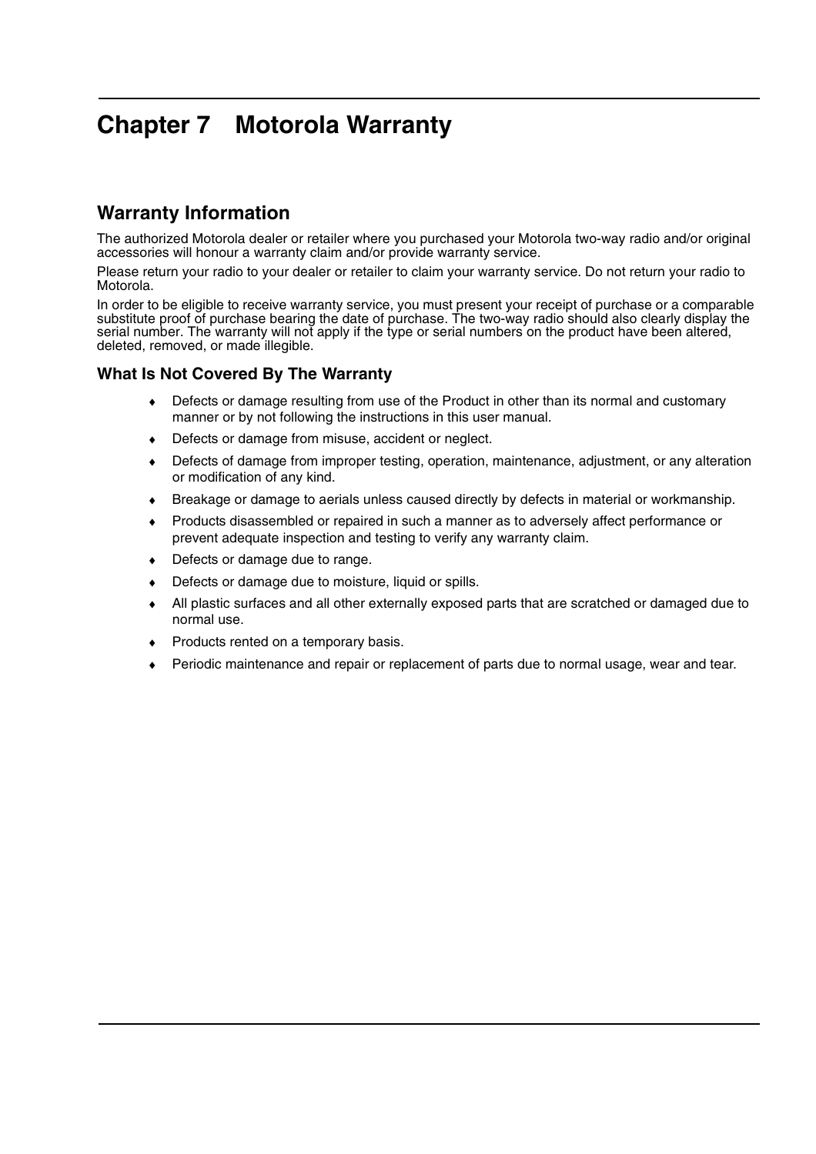## **Chapter 7 Motorola Warranty**

## **Warranty Information**

The authorized Motorola dealer or retailer where you purchased your Motorola two-way radio and/or original accessories will honour a warranty claim and/or provide warranty service.

Please return your radio to your dealer or retailer to claim your warranty service. Do not return your radio to Motorola.

In order to be eligible to receive warranty service, you must present your receipt of purchase or a comparable substitute proof of purchase bearing the date of purchase. The two-way radio should also clearly display the serial number. The warranty will not apply if the type or serial numbers on the product have been altered, deleted, removed, or made illegible.

#### **What Is Not Covered By The Warranty**

- ♦ Defects or damage resulting from use of the Product in other than its normal and customary manner or by not following the instructions in this user manual.
- ♦ Defects or damage from misuse, accident or neglect.
- Defects of damage from improper testing, operation, maintenance, adjustment, or any alteration or modification of any kind.
- ♦ Breakage or damage to aerials unless caused directly by defects in material or workmanship.
- Products disassembled or repaired in such a manner as to adversely affect performance or prevent adequate inspection and testing to verify any warranty claim.
- ♦ Defects or damage due to range.
- Defects or damage due to moisture, liquid or spills.
- All plastic surfaces and all other externally exposed parts that are scratched or damaged due to normal use.
- Products rented on a temporary basis.
- Periodic maintenance and repair or replacement of parts due to normal usage, wear and tear.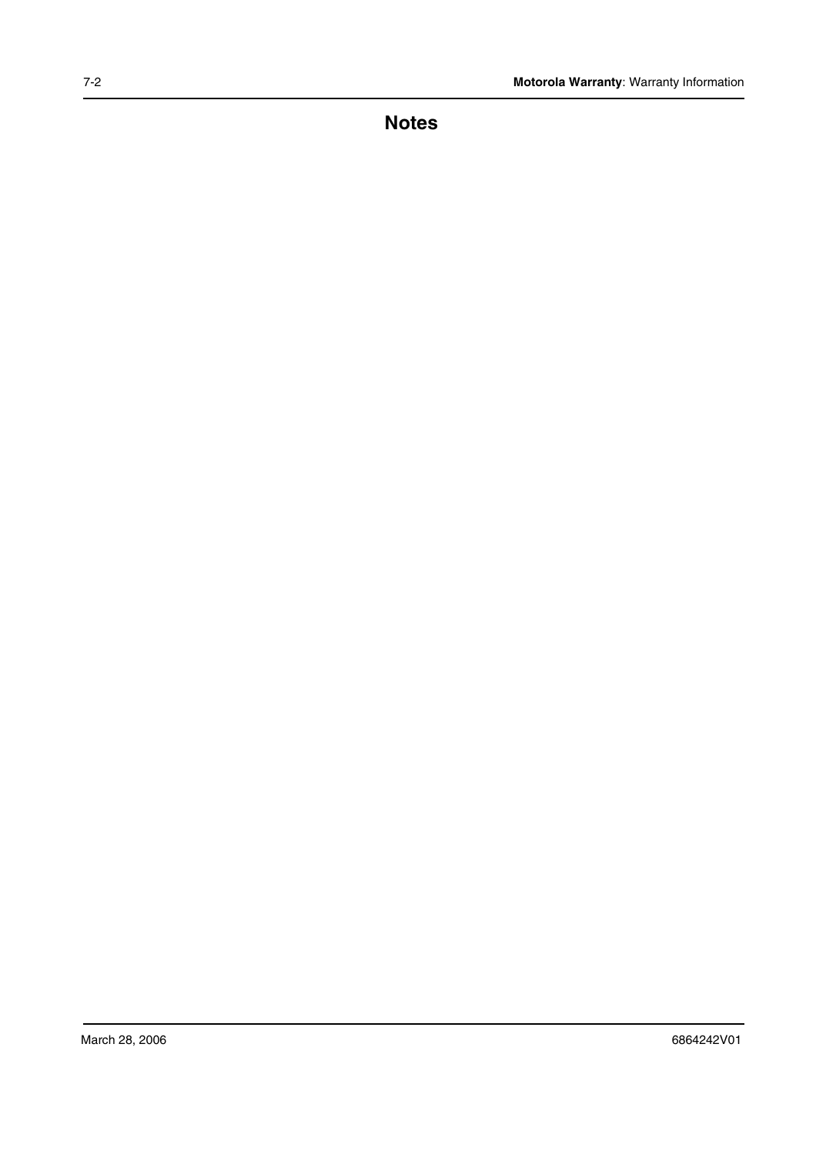**Notes**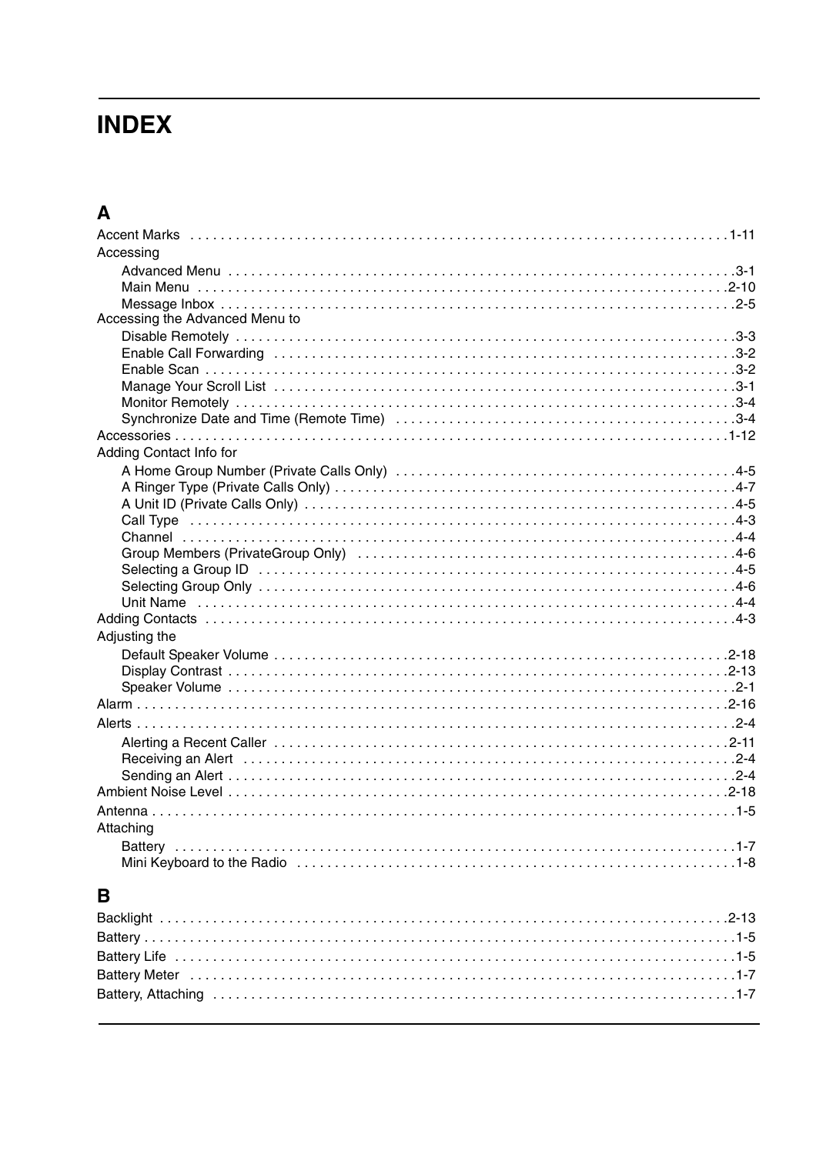# **INDEX**

## $\mathbf{A}$

| Accessing                      |
|--------------------------------|
|                                |
|                                |
|                                |
| Accessing the Advanced Menu to |
|                                |
|                                |
|                                |
|                                |
|                                |
|                                |
|                                |
| Adding Contact Info for        |
|                                |
|                                |
|                                |
|                                |
|                                |
|                                |
|                                |
|                                |
|                                |
|                                |
| Adjusting the                  |
|                                |
|                                |
|                                |
|                                |
|                                |
|                                |
|                                |
|                                |
|                                |
|                                |
|                                |
| Attaching                      |
|                                |
|                                |

## $\overline{\mathbf{B}}$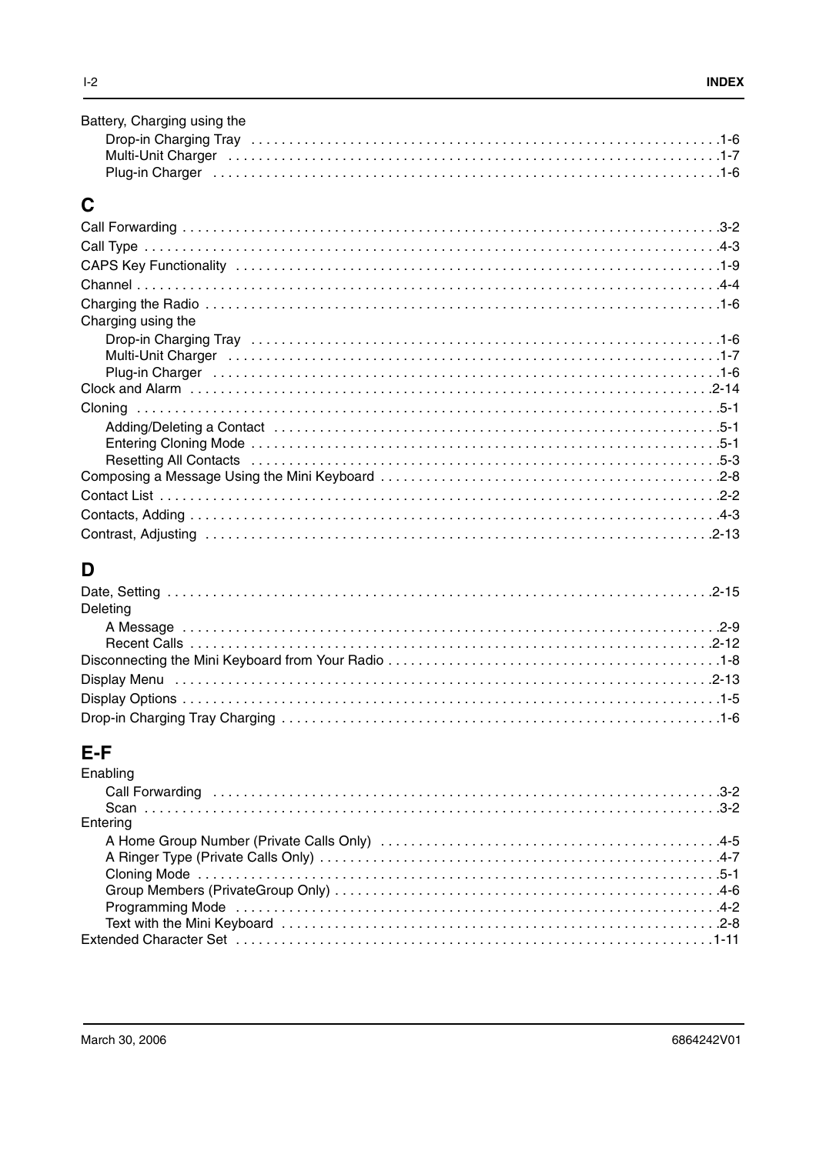| Battery, Charging using the                                                                                     |  |
|-----------------------------------------------------------------------------------------------------------------|--|
|                                                                                                                 |  |
| Multi-Unit Charger (also contained a state of the control of the control of the control of the control of the c |  |
|                                                                                                                 |  |

## $\mathbf C$

| Charging using the                                                                                                                                                                                                             |
|--------------------------------------------------------------------------------------------------------------------------------------------------------------------------------------------------------------------------------|
|                                                                                                                                                                                                                                |
| Multi-Unit Charger (also constant also constant also constant also constant also constant also constant also c                                                                                                                 |
| Plug-in Charger in the contract of the contract of the contract of the contract of the contract of the contract of the contract of the contract of the contract of the contract of the contract of the contract of the contrac |
|                                                                                                                                                                                                                                |
|                                                                                                                                                                                                                                |
|                                                                                                                                                                                                                                |
|                                                                                                                                                                                                                                |
|                                                                                                                                                                                                                                |
|                                                                                                                                                                                                                                |
|                                                                                                                                                                                                                                |
|                                                                                                                                                                                                                                |
|                                                                                                                                                                                                                                |

## $\mathbf D$

| Deleting |
|----------|
|          |
|          |
|          |
|          |
|          |
|          |

# E-F<br>Enablis

| Enabling |  |
|----------|--|
|          |  |
|          |  |
| Entering |  |
|          |  |
|          |  |
|          |  |
|          |  |
|          |  |
|          |  |
|          |  |
|          |  |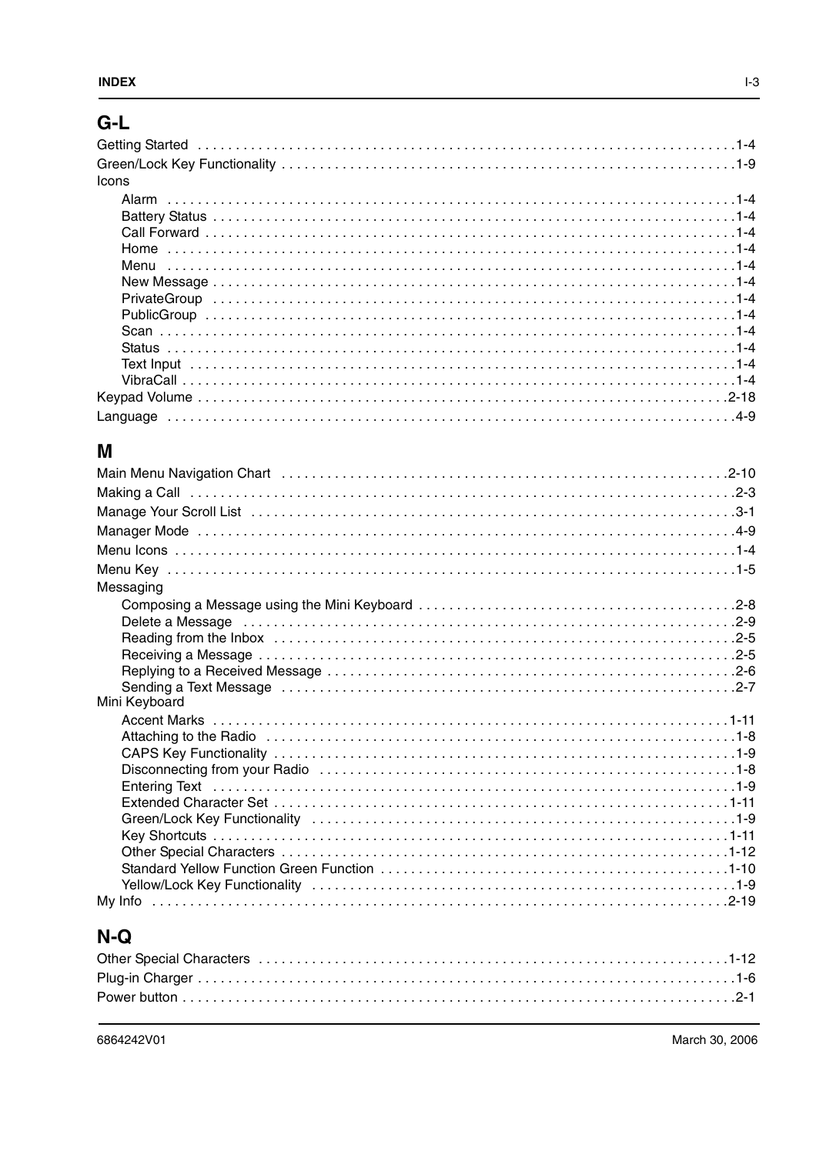## $G-L$

| <b>Icons</b> |  |
|--------------|--|
|              |  |
|              |  |
|              |  |
|              |  |
|              |  |
|              |  |
|              |  |
|              |  |
|              |  |
|              |  |
|              |  |
|              |  |
|              |  |
|              |  |

## $\mathsf{M}$

| Main Menu Navigation Chart (all contained all contracts and contained all contained and all contained and all       |
|---------------------------------------------------------------------------------------------------------------------|
|                                                                                                                     |
|                                                                                                                     |
|                                                                                                                     |
|                                                                                                                     |
|                                                                                                                     |
| Messaging                                                                                                           |
|                                                                                                                     |
| Delete a Message (and according to the control of the control of the control of the control of the control of t     |
|                                                                                                                     |
|                                                                                                                     |
|                                                                                                                     |
| Sending a Text Message entitled contains and container and contact the contact of the Sending a Text Message e      |
| Mini Keyboard                                                                                                       |
|                                                                                                                     |
| Attaching to the Radio educational control of the Radio education of the Radio education of the Radio education     |
|                                                                                                                     |
|                                                                                                                     |
|                                                                                                                     |
|                                                                                                                     |
| Green/Lock Key Functionality (and accommodation of the contract of the contract of the Green/Lock Key Functionality |
|                                                                                                                     |
|                                                                                                                     |
|                                                                                                                     |
|                                                                                                                     |
|                                                                                                                     |

## $N-Q$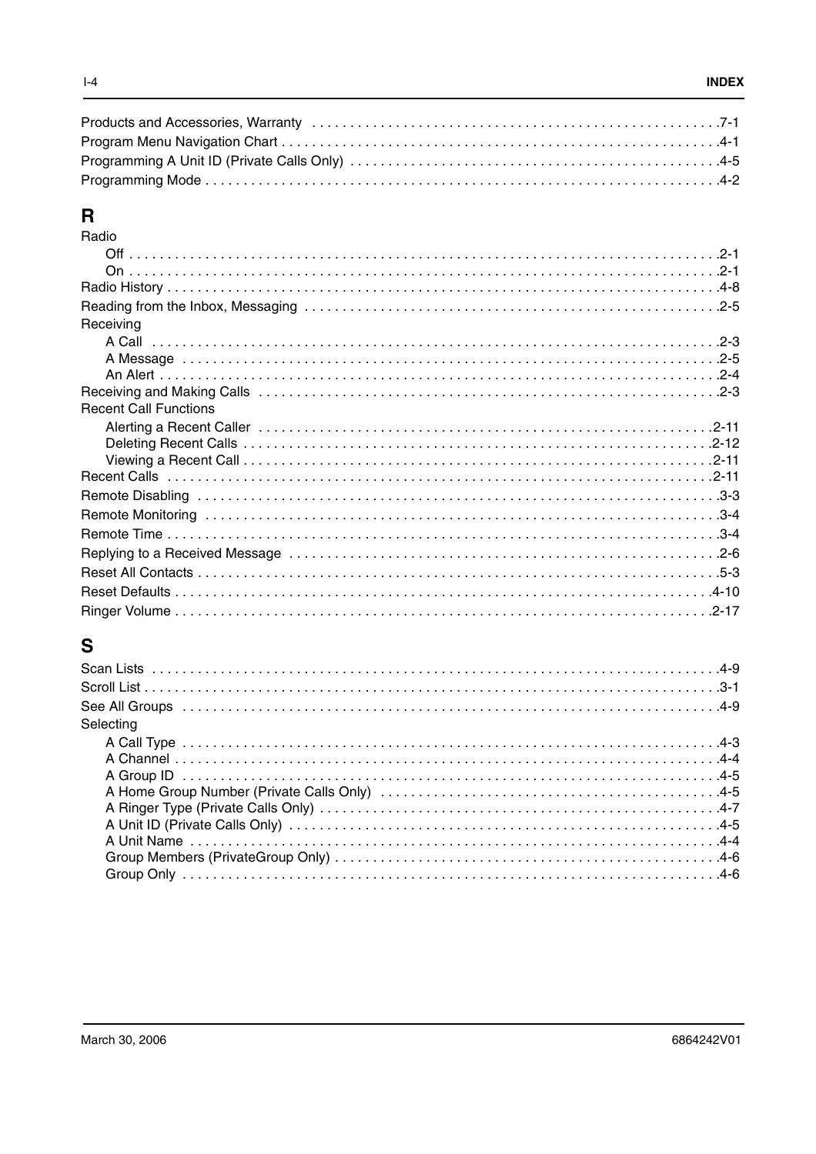## $\overline{\mathbf{R}}$

| Radio                        |
|------------------------------|
|                              |
|                              |
|                              |
|                              |
| Receiving                    |
|                              |
|                              |
|                              |
|                              |
| <b>Recent Call Functions</b> |
|                              |
|                              |
|                              |
|                              |
|                              |
|                              |
|                              |
|                              |
|                              |
|                              |
|                              |

## $\mathbf{s}$

| Selecting |  |
|-----------|--|
|           |  |
|           |  |
|           |  |
|           |  |
|           |  |
|           |  |
|           |  |
|           |  |
|           |  |